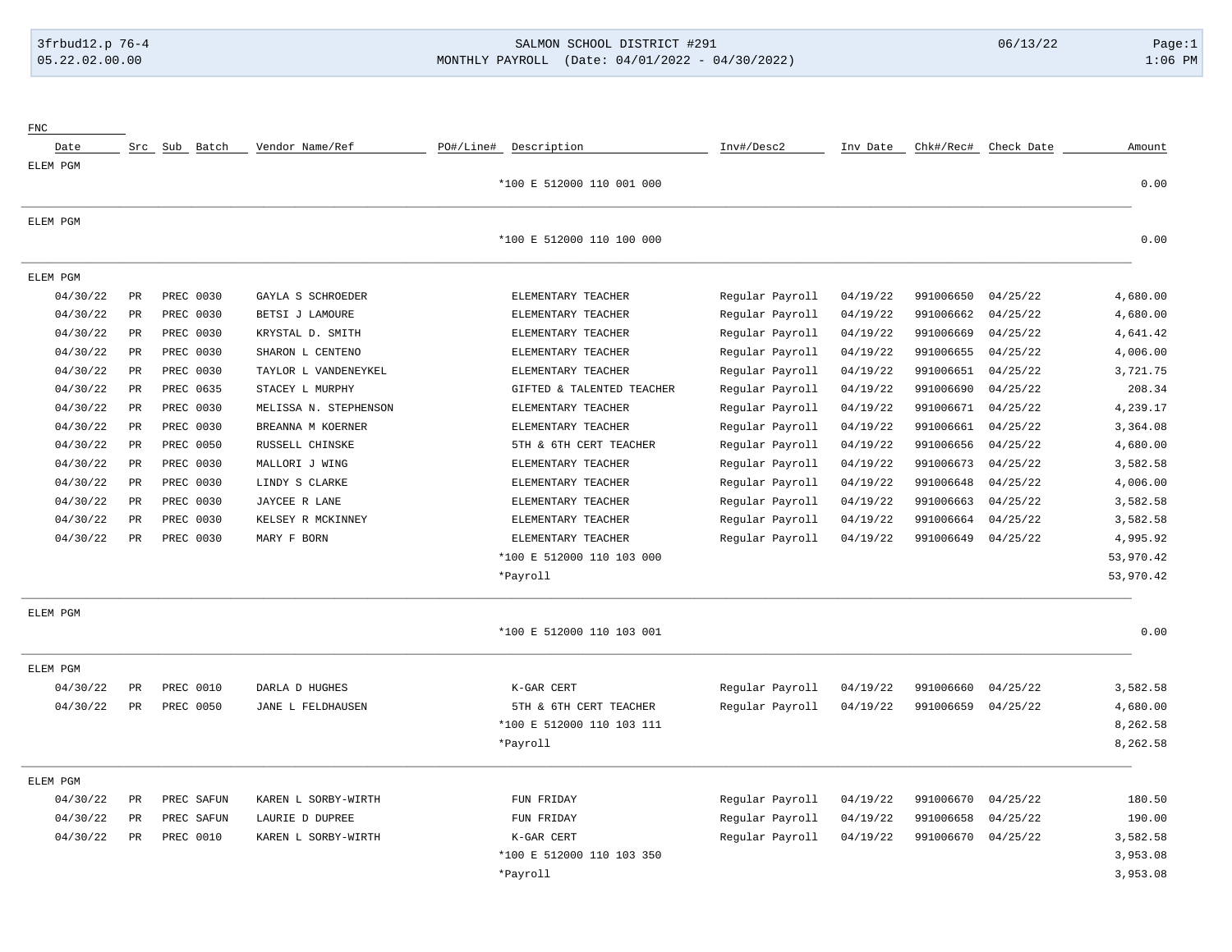# 3frbud12.p 76-4 SALMON SCHOOL DISTRICT #291 06/13/22 Page:1 05.22.02.00.00 MONTHLY PAYROLL (Date: 04/01/2022 - 04/30/2022) 1:06 PM

| Chk#/Rec# Check Date                                                                                                                                                                                                             | Inv Date | Inv#/Desc2      | PO#/Line# Description     | Vendor Name/Ref       | Src Sub Batch |                 | Date     |
|----------------------------------------------------------------------------------------------------------------------------------------------------------------------------------------------------------------------------------|----------|-----------------|---------------------------|-----------------------|---------------|-----------------|----------|
|                                                                                                                                                                                                                                  |          |                 |                           |                       |               |                 | ELEM PGM |
|                                                                                                                                                                                                                                  |          |                 | *100 E 512000 110 001 000 |                       |               |                 |          |
|                                                                                                                                                                                                                                  |          |                 |                           |                       |               |                 | ELEM PGM |
|                                                                                                                                                                                                                                  |          |                 | *100 E 512000 110 100 000 |                       |               |                 |          |
|                                                                                                                                                                                                                                  |          |                 |                           |                       |               |                 | ELEM PGM |
| 991006650                                                                                                                                                                                                                        | 04/19/22 | Regular Payroll | ELEMENTARY TEACHER        | GAYLA S SCHROEDER     | PREC 0030     | $_{\rm PR}$     | 04/30/22 |
| 991006662                                                                                                                                                                                                                        | 04/19/22 | Regular Payroll | ELEMENTARY TEACHER        | BETSI J LAMOURE       | PREC 0030     | $_{\rm PR}$     | 04/30/22 |
| 991006669                                                                                                                                                                                                                        | 04/19/22 | Regular Payroll | ELEMENTARY TEACHER        | KRYSTAL D. SMITH      | PREC 0030     | PR              | 04/30/22 |
| 991006655                                                                                                                                                                                                                        | 04/19/22 | Regular Payroll | ELEMENTARY TEACHER        | SHARON L CENTENO      | PREC 0030     | $_{\rm PR}$     | 04/30/22 |
| 991006651                                                                                                                                                                                                                        | 04/19/22 | Regular Payroll | ELEMENTARY TEACHER        | TAYLOR L VANDENEYKEL  | PREC 0030     | PR              | 04/30/22 |
| 991006690                                                                                                                                                                                                                        | 04/19/22 | Regular Payroll | GIFTED & TALENTED TEACHER | STACEY L MURPHY       | PREC 0635     | $_{\rm PR}$     | 04/30/22 |
| 991006671                                                                                                                                                                                                                        | 04/19/22 | Regular Payroll | ELEMENTARY TEACHER        | MELISSA N. STEPHENSON | PREC 0030     | $\mbox{\sf PR}$ | 04/30/22 |
| 991006661                                                                                                                                                                                                                        | 04/19/22 | Regular Payroll | ELEMENTARY TEACHER        | BREANNA M KOERNER     | PREC 0030     | $_{\rm PR}$     | 04/30/22 |
| 991006656                                                                                                                                                                                                                        | 04/19/22 | Regular Payroll | 5TH & 6TH CERT TEACHER    | RUSSELL CHINSKE       | PREC 0050     | $_{\rm PR}$     | 04/30/22 |
| 991006673                                                                                                                                                                                                                        | 04/19/22 | Regular Payroll | ELEMENTARY TEACHER        | MALLORI J WING        | PREC 0030     | PR              | 04/30/22 |
| 991006648                                                                                                                                                                                                                        | 04/19/22 | Regular Payroll | ELEMENTARY TEACHER        | LINDY S CLARKE        | PREC 0030     | $_{\rm PR}$     | 04/30/22 |
| 991006663                                                                                                                                                                                                                        | 04/19/22 | Regular Payroll | ELEMENTARY TEACHER        | JAYCEE R LANE         | PREC 0030     | PR              | 04/30/22 |
| 991006664                                                                                                                                                                                                                        | 04/19/22 | Regular Payroll | ELEMENTARY TEACHER        | KELSEY R MCKINNEY     | PREC 0030     | $\mathtt{PR}$   | 04/30/22 |
| 991006649                                                                                                                                                                                                                        | 04/19/22 | Regular Payroll | ELEMENTARY TEACHER        | MARY F BORN           | PREC 0030     | $_{\rm PR}$     | 04/30/22 |
|                                                                                                                                                                                                                                  |          |                 | *100 E 512000 110 103 000 |                       |               |                 |          |
|                                                                                                                                                                                                                                  |          |                 | *Payroll                  |                       |               |                 |          |
|                                                                                                                                                                                                                                  |          |                 |                           |                       |               |                 | ELEM PGM |
|                                                                                                                                                                                                                                  |          |                 | *100 E 512000 110 103 001 |                       |               |                 |          |
|                                                                                                                                                                                                                                  |          |                 |                           |                       |               |                 | ELEM PGM |
| 991006660                                                                                                                                                                                                                        | 04/19/22 | Regular Payroll | K-GAR CERT                | DARLA D HUGHES        | PREC 0010     | <b>PR</b>       | 04/30/22 |
| 991006659                                                                                                                                                                                                                        | 04/19/22 | Regular Payroll | 5TH & 6TH CERT TEACHER    | JANE L FELDHAUSEN     | PREC 0050     | $\mbox{\sf PR}$ | 04/30/22 |
|                                                                                                                                                                                                                                  |          |                 | *100 E 512000 110 103 111 |                       |               |                 |          |
|                                                                                                                                                                                                                                  |          |                 | *Payroll                  |                       |               |                 |          |
|                                                                                                                                                                                                                                  |          |                 |                           |                       |               |                 | ELEM PGM |
| 991006670                                                                                                                                                                                                                        | 04/19/22 | Regular Payroll | FUN FRIDAY                | KAREN L SORBY-WIRTH   | PREC SAFUN    | PR              | 04/30/22 |
| 991006658                                                                                                                                                                                                                        | 04/19/22 | Regular Payroll | FUN FRIDAY                | LAURIE D DUPREE       | PREC SAFUN    | PR              | 04/30/22 |
| 991006670                                                                                                                                                                                                                        | 04/19/22 | Regular Payroll | K-GAR CERT                | KAREN L SORBY-WIRTH   | PREC 0010     | $_{\rm PR}$     | 04/30/22 |
|                                                                                                                                                                                                                                  |          |                 | *100 E 512000 110 103 350 |                       |               |                 |          |
|                                                                                                                                                                                                                                  |          |                 | *Payroll                  |                       |               |                 |          |
| 04/25/22<br>04/25/22<br>04/25/22<br>04/25/22<br>04/25/22<br>04/25/22<br>04/25/22<br>04/25/22<br>04/25/22<br>04/25/22<br>04/25/22<br>04/25/22<br>04/25/22<br>04/25/22<br>04/25/22<br>04/25/22<br>04/25/22<br>04/25/22<br>04/25/22 |          |                 |                           |                       |               |                 |          |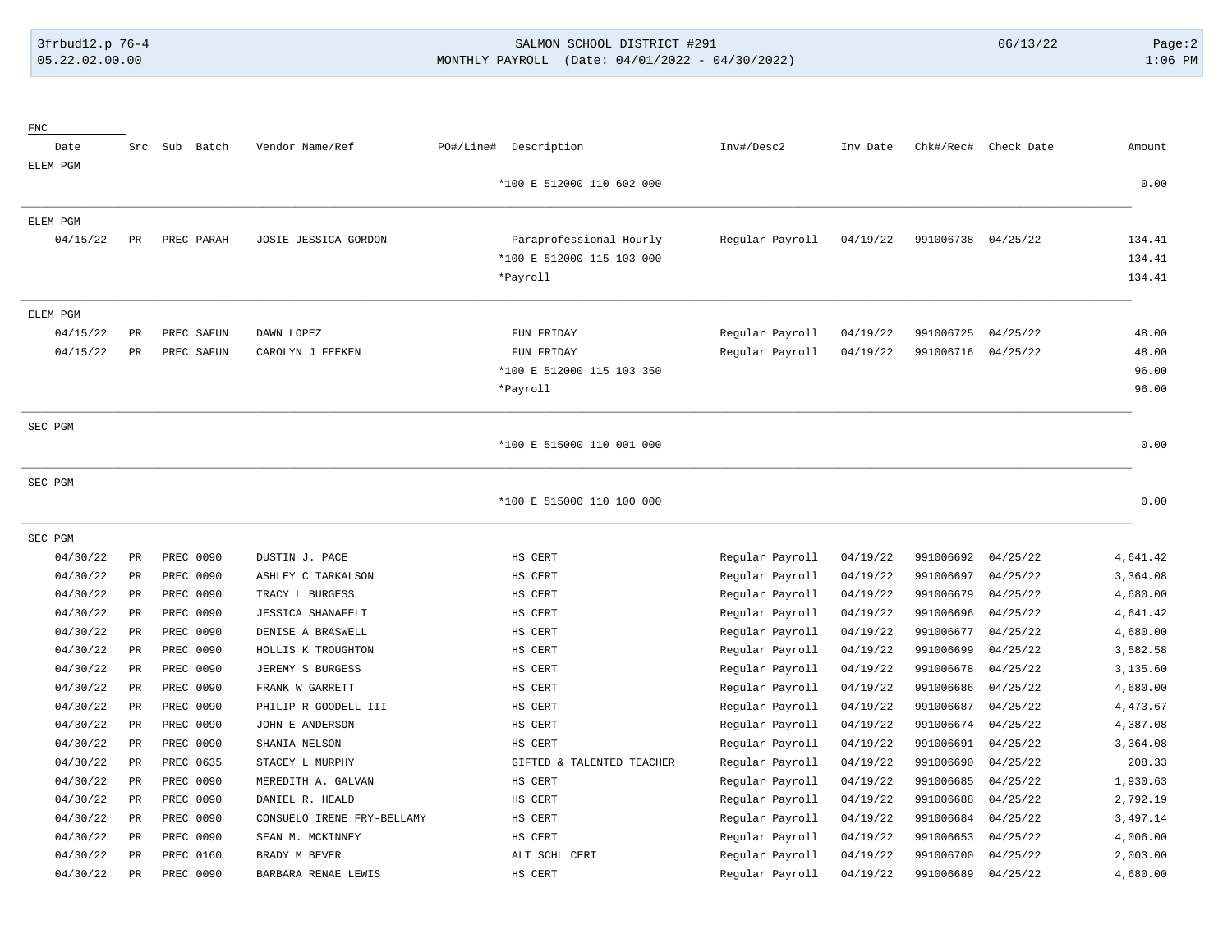FNC

# 3frbud12.p 76-4 SALMON SCHOOL DISTRICT #291 06/13/22 Page:2 05.22.02.00.00 MONTHLY PAYROLL (Date: 04/01/2022 - 04/30/2022) 1:06 PM

| Date     |             | Src Sub Batch | Vendor Name/Ref            | PO#/Line# Description     | Inv#/Desc2      | Inv Date | Chk#/Rec#          | Check Date | Amount   |
|----------|-------------|---------------|----------------------------|---------------------------|-----------------|----------|--------------------|------------|----------|
| ELEM PGM |             |               |                            |                           |                 |          |                    |            |          |
|          |             |               |                            | *100 E 512000 110 602 000 |                 |          |                    |            | 0.00     |
| ELEM PGM |             |               |                            |                           |                 |          |                    |            |          |
| 04/15/22 | PR          | PREC PARAH    | JOSIE JESSICA GORDON       | Paraprofessional Hourly   | Regular Payroll | 04/19/22 | 991006738 04/25/22 |            | 134.41   |
|          |             |               |                            | *100 E 512000 115 103 000 |                 |          |                    |            | 134.41   |
|          |             |               |                            | *Payroll                  |                 |          |                    |            | 134.41   |
| ELEM PGM |             |               |                            |                           |                 |          |                    |            |          |
| 04/15/22 | $_{\rm PR}$ | PREC SAFUN    | DAWN LOPEZ                 | FUN FRIDAY                | Regular Payroll | 04/19/22 | 991006725          | 04/25/22   | 48.00    |
| 04/15/22 | $_{\rm PR}$ | PREC SAFUN    | CAROLYN J FEEKEN           | FUN FRIDAY                | Regular Payroll | 04/19/22 | 991006716          | 04/25/22   | 48.00    |
|          |             |               |                            | *100 E 512000 115 103 350 |                 |          |                    |            | 96.00    |
|          |             |               |                            | *Payroll                  |                 |          |                    |            | 96.00    |
| SEC PGM  |             |               |                            |                           |                 |          |                    |            |          |
|          |             |               |                            | *100 E 515000 110 001 000 |                 |          |                    |            | 0.00     |
| SEC PGM  |             |               |                            |                           |                 |          |                    |            |          |
|          |             |               |                            | *100 E 515000 110 100 000 |                 |          |                    |            | 0.00     |
| SEC PGM  |             |               |                            |                           |                 |          |                    |            |          |
| 04/30/22 | $_{\rm PR}$ | PREC 0090     | DUSTIN J. PACE             | HS CERT                   | Regular Payroll | 04/19/22 | 991006692          | 04/25/22   | 4,641.42 |
| 04/30/22 | $_{\rm PR}$ | PREC 0090     | ASHLEY C TARKALSON         | HS CERT                   | Regular Payroll | 04/19/22 | 991006697          | 04/25/22   | 3,364.08 |
| 04/30/22 | PR          | PREC 0090     | TRACY L BURGESS            | HS CERT                   | Regular Payroll | 04/19/22 | 991006679          | 04/25/22   | 4,680.00 |
| 04/30/22 | PR          | PREC 0090     | <b>JESSICA SHANAFELT</b>   | HS CERT                   | Regular Payroll | 04/19/22 | 991006696          | 04/25/22   | 4,641.42 |
| 04/30/22 | PR          | PREC 0090     | DENISE A BRASWELL          | HS CERT                   | Regular Payroll | 04/19/22 | 991006677          | 04/25/22   | 4,680.00 |
| 04/30/22 | PR          | PREC 0090     | HOLLIS K TROUGHTON         | HS CERT                   | Regular Payroll | 04/19/22 | 991006699          | 04/25/22   | 3,582.58 |
| 04/30/22 | PR          | PREC 0090     | JEREMY S BURGESS           | HS CERT                   | Regular Payroll | 04/19/22 | 991006678          | 04/25/22   | 3,135.60 |
| 04/30/22 | PR          | PREC 0090     | FRANK W GARRETT            | HS CERT                   | Regular Payroll | 04/19/22 | 991006686          | 04/25/22   | 4,680.00 |
| 04/30/22 | PR          | PREC 0090     | PHILIP R GOODELL III       | HS CERT                   | Regular Payroll | 04/19/22 | 991006687          | 04/25/22   | 4,473.67 |
| 04/30/22 | PR          | PREC 0090     | JOHN E ANDERSON            | HS CERT                   | Regular Payroll | 04/19/22 | 991006674          | 04/25/22   | 4,387.08 |
| 04/30/22 | PR          | PREC 0090     | SHANIA NELSON              | HS CERT                   | Regular Payroll | 04/19/22 | 991006691          | 04/25/22   | 3,364.08 |
| 04/30/22 | PR          | PREC 0635     | STACEY L MURPHY            | GIFTED & TALENTED TEACHER | Regular Payroll | 04/19/22 | 991006690          | 04/25/22   | 208.33   |
| 04/30/22 | PR          | PREC 0090     | MEREDITH A. GALVAN         | HS CERT                   | Regular Payroll | 04/19/22 | 991006685          | 04/25/22   | 1,930.63 |
| 04/30/22 | PR          | PREC 0090     | DANIEL R. HEALD            | HS CERT                   | Regular Payroll | 04/19/22 | 991006688          | 04/25/22   | 2,792.19 |
| 04/30/22 | PR          | PREC 0090     | CONSUELO IRENE FRY-BELLAMY | HS CERT                   | Regular Payroll | 04/19/22 | 991006684          | 04/25/22   | 3,497.14 |
| 04/30/22 | PR          | PREC 0090     | SEAN M. MCKINNEY           | HS CERT                   | Regular Payroll | 04/19/22 | 991006653          | 04/25/22   | 4,006.00 |
| 04/30/22 | PR          | PREC 0160     | BRADY M BEVER              | ALT SCHL CERT             | Regular Payroll | 04/19/22 | 991006700          | 04/25/22   | 2,003.00 |
| 04/30/22 | PR          | PREC 0090     | BARBARA RENAE LEWIS        | HS CERT                   | Regular Payroll | 04/19/22 | 991006689          | 04/25/22   | 4,680.00 |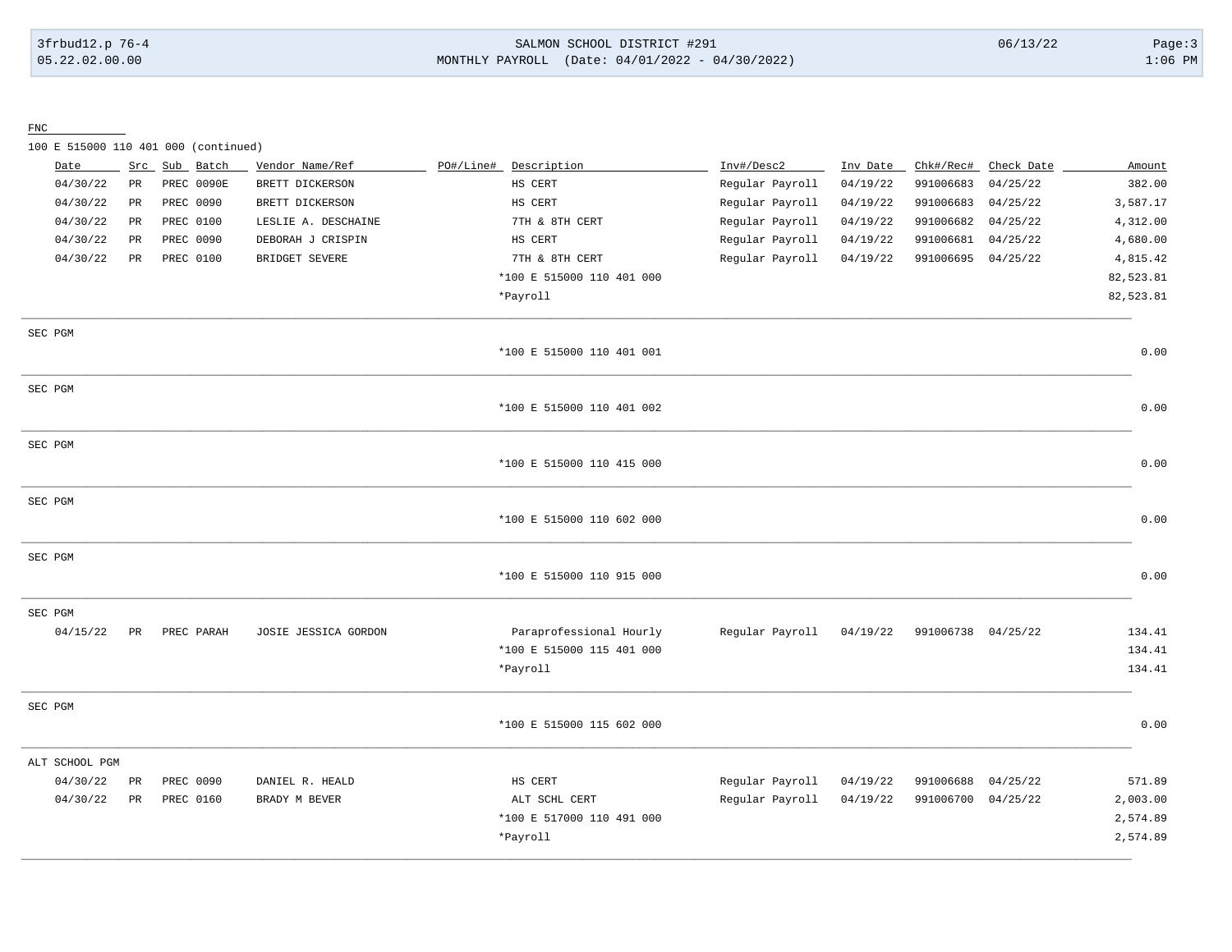#### 3frbud12.p 76-4 SALMON SCHOOL DISTRICT #291 06/13/22 Page:3 05.22.02.00.00 MONTHLY PAYROLL (Date: 04/01/2022 - 04/30/2022) 1:06 PM

FNC

100 E 515000 110 401 000 (continued)

|         | Date           | Src         |           | Sub Batch  | Vendor Name/Ref      | PO#/Line# | Description               | Inv#/Desc2      | Inv Date | Chk#/Rec#          | Check Date | Amount    |
|---------|----------------|-------------|-----------|------------|----------------------|-----------|---------------------------|-----------------|----------|--------------------|------------|-----------|
|         | 04/30/22       | $_{\rm PR}$ |           | PREC 0090E | BRETT DICKERSON      |           | HS CERT                   | Regular Payroll | 04/19/22 | 991006683          | 04/25/22   | 382.00    |
|         | 04/30/22       | $_{\rm PR}$ | PREC 0090 |            | BRETT DICKERSON      |           | HS CERT                   | Regular Payroll | 04/19/22 | 991006683          | 04/25/22   | 3,587.17  |
|         | 04/30/22       | PR          |           | PREC 0100  | LESLIE A. DESCHAINE  |           | 7TH & 8TH CERT            | Regular Payroll | 04/19/22 | 991006682          | 04/25/22   | 4,312.00  |
|         | 04/30/22       | PR          | PREC 0090 |            | DEBORAH J CRISPIN    |           | HS CERT                   | Regular Payroll | 04/19/22 | 991006681          | 04/25/22   | 4,680.00  |
|         | 04/30/22       | PR          | PREC 0100 |            | BRIDGET SEVERE       |           | 7TH & 8TH CERT            | Regular Payroll | 04/19/22 | 991006695          | 04/25/22   | 4,815.42  |
|         |                |             |           |            |                      |           | *100 E 515000 110 401 000 |                 |          |                    |            | 82,523.81 |
|         |                |             |           |            |                      |           | *Payroll                  |                 |          |                    |            | 82,523.81 |
| SEC PGM |                |             |           |            |                      |           |                           |                 |          |                    |            |           |
|         |                |             |           |            |                      |           | *100 E 515000 110 401 001 |                 |          |                    |            | 0.00      |
| SEC PGM |                |             |           |            |                      |           |                           |                 |          |                    |            |           |
|         |                |             |           |            |                      |           | *100 E 515000 110 401 002 |                 |          |                    |            | 0.00      |
| SEC PGM |                |             |           |            |                      |           |                           |                 |          |                    |            |           |
|         |                |             |           |            |                      |           | *100 E 515000 110 415 000 |                 |          |                    |            | 0.00      |
| SEC PGM |                |             |           |            |                      |           |                           |                 |          |                    |            |           |
|         |                |             |           |            |                      |           | *100 E 515000 110 602 000 |                 |          |                    |            | 0.00      |
| SEC PGM |                |             |           |            |                      |           |                           |                 |          |                    |            |           |
|         |                |             |           |            |                      |           | *100 E 515000 110 915 000 |                 |          |                    |            | 0.00      |
| SEC PGM |                |             |           |            |                      |           |                           |                 |          |                    |            |           |
|         | 04/15/22       | PR          |           | PREC PARAH | JOSIE JESSICA GORDON |           | Paraprofessional Hourly   | Regular Payroll | 04/19/22 | 991006738 04/25/22 |            | 134.41    |
|         |                |             |           |            |                      |           | *100 E 515000 115 401 000 |                 |          |                    |            | 134.41    |
|         |                |             |           |            |                      |           | *Payroll                  |                 |          |                    |            | 134.41    |
| SEC PGM |                |             |           |            |                      |           |                           |                 |          |                    |            |           |
|         |                |             |           |            |                      |           | *100 E 515000 115 602 000 |                 |          |                    |            | 0.00      |
|         | ALT SCHOOL PGM |             |           |            |                      |           |                           |                 |          |                    |            |           |
|         | 04/30/22       | PR          | PREC 0090 |            | DANIEL R. HEALD      |           | HS CERT                   | Regular Payroll | 04/19/22 | 991006688          | 04/25/22   | 571.89    |
|         | 04/30/22       | PR          |           | PREC 0160  | BRADY M BEVER        |           | ALT SCHL CERT             | Regular Payroll | 04/19/22 | 991006700 04/25/22 |            | 2,003.00  |
|         |                |             |           |            |                      |           | *100 E 517000 110 491 000 |                 |          |                    |            | 2,574.89  |
|         |                |             |           |            |                      |           | *Payroll                  |                 |          |                    |            | 2,574.89  |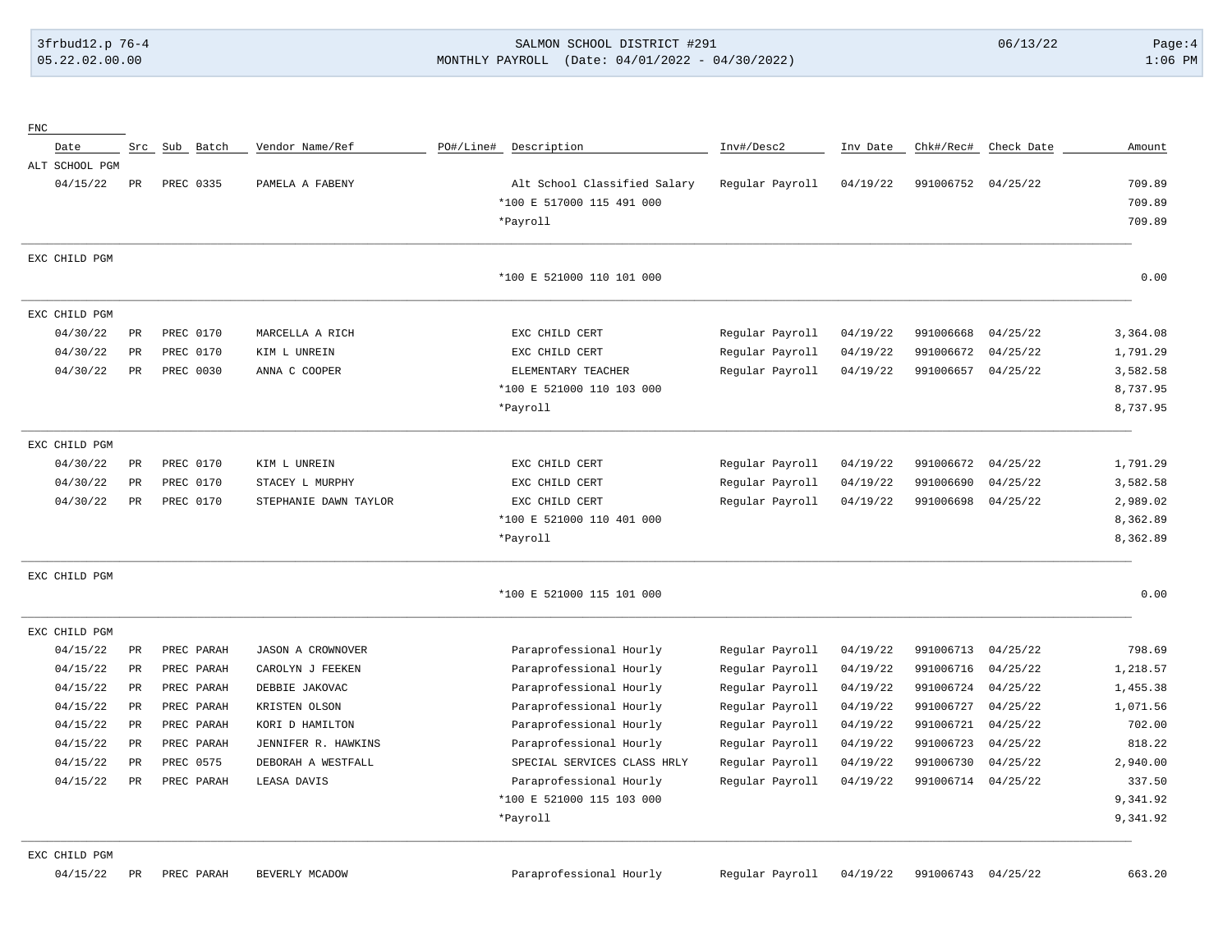#### 3frbud12.p 76-4 SALMON SCHOOL DISTRICT #291 06/13/22 Page:4 05.22.02.00.00 MONTHLY PAYROLL (Date: 04/01/2022 - 04/30/2022) 1:06 PM

| ${\rm FNC}$    |           |               |                          |           |                              |                 |          |                    |            |          |
|----------------|-----------|---------------|--------------------------|-----------|------------------------------|-----------------|----------|--------------------|------------|----------|
| Date           |           | Src Sub Batch | Vendor Name/Ref          | PO#/Line# | Description                  | Inv#/Desc2      | Inv Date | Chk#/Rec#          | Check Date | Amount   |
| ALT SCHOOL PGM |           |               |                          |           |                              |                 |          |                    |            |          |
| 04/15/22       | PR        | PREC 0335     | PAMELA A FABENY          |           | Alt School Classified Salary | Regular Payroll | 04/19/22 | 991006752 04/25/22 |            | 709.89   |
|                |           |               |                          |           | *100 E 517000 115 491 000    |                 |          |                    |            | 709.89   |
|                |           |               |                          | *Payroll  |                              |                 |          |                    |            | 709.89   |
| EXC CHILD PGM  |           |               |                          |           |                              |                 |          |                    |            |          |
|                |           |               |                          |           | *100 E 521000 110 101 000    |                 |          |                    |            | 0.00     |
| EXC CHILD PGM  |           |               |                          |           |                              |                 |          |                    |            |          |
| 04/30/22       | PR        | PREC 0170     | MARCELLA A RICH          |           | EXC CHILD CERT               | Regular Payroll | 04/19/22 | 991006668          | 04/25/22   | 3,364.08 |
| 04/30/22       | PR        | PREC 0170     | KIM L UNREIN             |           | EXC CHILD CERT               | Regular Payroll | 04/19/22 | 991006672          | 04/25/22   | 1,791.29 |
| 04/30/22       | PR        | PREC 0030     | ANNA C COOPER            |           | ELEMENTARY TEACHER           | Regular Payroll | 04/19/22 | 991006657          | 04/25/22   | 3,582.58 |
|                |           |               |                          |           | *100 E 521000 110 103 000    |                 |          |                    |            | 8,737.95 |
|                |           |               |                          | *Payroll  |                              |                 |          |                    |            | 8,737.95 |
| EXC CHILD PGM  |           |               |                          |           |                              |                 |          |                    |            |          |
| 04/30/22       | PR        | PREC 0170     | KIM L UNREIN             |           | EXC CHILD CERT               | Regular Payroll | 04/19/22 | 991006672          | 04/25/22   | 1,791.29 |
| 04/30/22       | PR        | PREC 0170     | STACEY L MURPHY          |           | EXC CHILD CERT               | Regular Payroll | 04/19/22 | 991006690          | 04/25/22   | 3,582.58 |
| 04/30/22       | PR        | PREC 0170     | STEPHANIE DAWN TAYLOR    |           | EXC CHILD CERT               | Regular Payroll | 04/19/22 | 991006698          | 04/25/22   | 2,989.02 |
|                |           |               |                          |           | *100 E 521000 110 401 000    |                 |          |                    |            | 8,362.89 |
|                |           |               |                          | *Payroll  |                              |                 |          |                    |            | 8,362.89 |
| EXC CHILD PGM  |           |               |                          |           |                              |                 |          |                    |            |          |
|                |           |               |                          |           | *100 E 521000 115 101 000    |                 |          |                    |            | 0.00     |
| EXC CHILD PGM  |           |               |                          |           |                              |                 |          |                    |            |          |
| 04/15/22       | PR        | PREC PARAH    | <b>JASON A CROWNOVER</b> |           | Paraprofessional Hourly      | Regular Payroll | 04/19/22 | 991006713          | 04/25/22   | 798.69   |
| 04/15/22       | <b>PR</b> | PREC PARAH    | CAROLYN J FEEKEN         |           | Paraprofessional Hourly      | Regular Payroll | 04/19/22 | 991006716          | 04/25/22   | 1,218.57 |
| 04/15/22       | PR        | PREC PARAH    | DEBBIE JAKOVAC           |           | Paraprofessional Hourly      | Regular Payroll | 04/19/22 | 991006724          | 04/25/22   | 1,455.38 |
| 04/15/22       | PR        | PREC PARAH    | KRISTEN OLSON            |           | Paraprofessional Hourly      | Regular Payroll | 04/19/22 | 991006727          | 04/25/22   | 1,071.56 |
| 04/15/22       | PR        | PREC PARAH    | KORI D HAMILTON          |           | Paraprofessional Hourly      | Regular Payroll | 04/19/22 | 991006721          | 04/25/22   | 702.00   |
| 04/15/22       | PR        | PREC PARAH    | JENNIFER R. HAWKINS      |           | Paraprofessional Hourly      | Regular Payroll | 04/19/22 | 991006723          | 04/25/22   | 818.22   |
| 04/15/22       | <b>PR</b> | PREC 0575     | DEBORAH A WESTFALL       |           | SPECIAL SERVICES CLASS HRLY  | Regular Payroll | 04/19/22 | 991006730          | 04/25/22   | 2,940.00 |
| 04/15/22       | PR        | PREC PARAH    | LEASA DAVIS              |           | Paraprofessional Hourly      | Regular Payroll | 04/19/22 | 991006714          | 04/25/22   | 337.50   |
|                |           |               |                          |           | *100 E 521000 115 103 000    |                 |          |                    |            | 9,341.92 |
|                |           |               |                          | *Payroll  |                              |                 |          |                    |            | 9,341.92 |

04/15/22 PR PREC PARAH BEVERLY MCADOW Paraprofessional Hourly Regular Payroll 04/19/22 991006743 04/25/22 663.20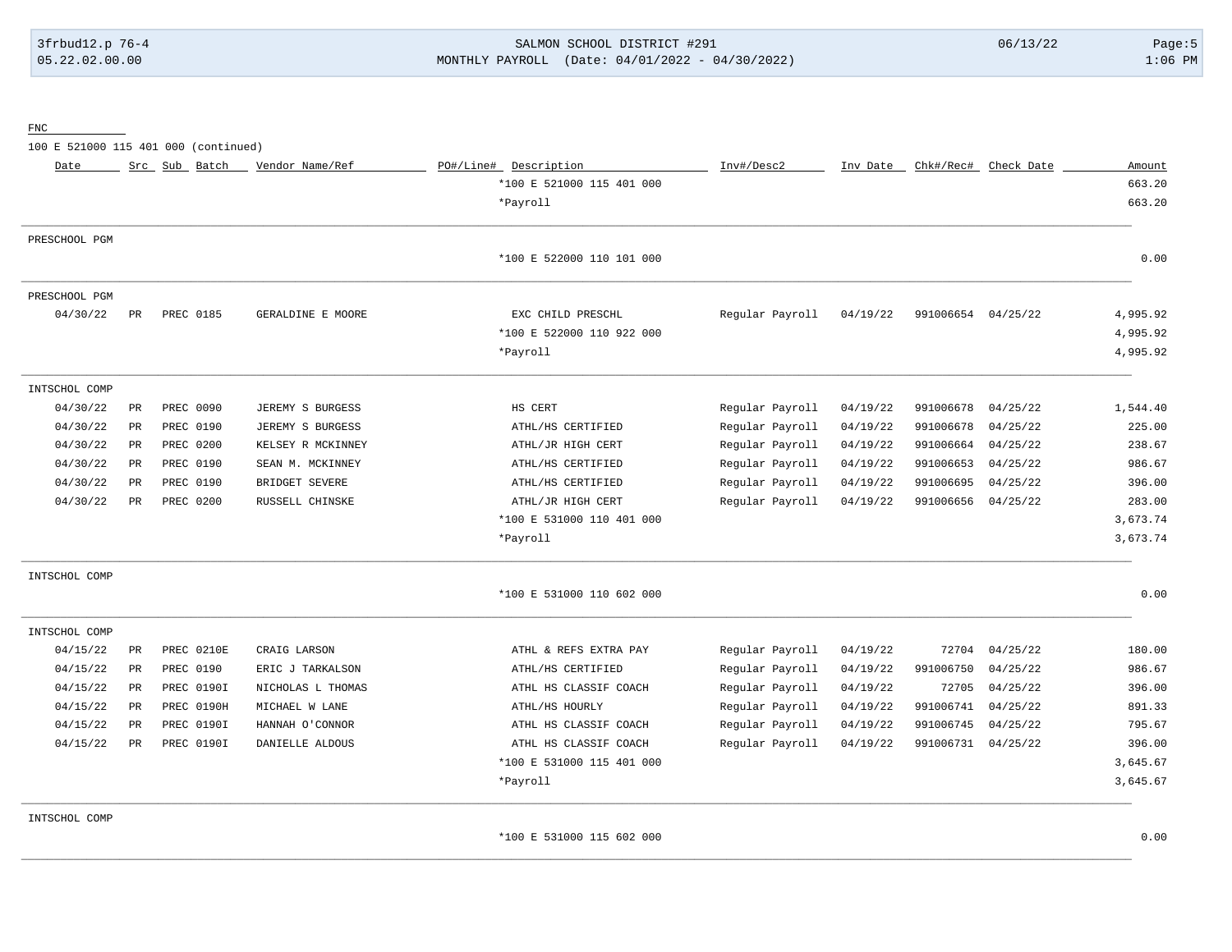# 3frbud12.p 76-4 SALMON SCHOOL DISTRICT #291 06/13/22 Page:5 05.22.02.00.00 MONTHLY PAYROLL (Date: 04/01/2022 - 04/30/2022) 1:06 PM

FNC

100 E 521000 115 401 000 (continued)

| Date          |               | Src Sub Batch     | Vendor Name/Ref   | PO#/Line# Description     | Inv#/Desc2      | Inv Date | Chk#/Rec# | Check Date | Amount   |
|---------------|---------------|-------------------|-------------------|---------------------------|-----------------|----------|-----------|------------|----------|
|               |               |                   |                   | *100 E 521000 115 401 000 |                 |          |           |            | 663.20   |
|               |               |                   |                   | *Payroll                  |                 |          |           |            | 663.20   |
| PRESCHOOL PGM |               |                   |                   |                           |                 |          |           |            |          |
|               |               |                   |                   | *100 E 522000 110 101 000 |                 |          |           |            | 0.00     |
| PRESCHOOL PGM |               |                   |                   |                           |                 |          |           |            |          |
| 04/30/22      | PR            | PREC 0185         | GERALDINE E MOORE | EXC CHILD PRESCHL         | Regular Payroll | 04/19/22 | 991006654 | 04/25/22   | 4,995.92 |
|               |               |                   |                   | *100 E 522000 110 922 000 |                 |          |           |            | 4,995.92 |
|               |               |                   |                   | *Payroll                  |                 |          |           |            | 4,995.92 |
| INTSCHOL COMP |               |                   |                   |                           |                 |          |           |            |          |
| 04/30/22      | PR            | PREC 0090         | JEREMY S BURGESS  | HS CERT                   | Regular Payroll | 04/19/22 | 991006678 | 04/25/22   | 1,544.40 |
| 04/30/22      | PR            | PREC 0190         | JEREMY S BURGESS  | ATHL/HS CERTIFIED         | Regular Payroll | 04/19/22 | 991006678 | 04/25/22   | 225.00   |
| 04/30/22      | PR            | PREC 0200         | KELSEY R MCKINNEY | ATHL/JR HIGH CERT         | Regular Payroll | 04/19/22 | 991006664 | 04/25/22   | 238.67   |
| 04/30/22      | PR            | PREC 0190         | SEAN M. MCKINNEY  | ATHL/HS CERTIFIED         | Regular Payroll | 04/19/22 | 991006653 | 04/25/22   | 986.67   |
| 04/30/22      | $\mathtt{PR}$ | PREC 0190         | BRIDGET SEVERE    | ATHL/HS CERTIFIED         | Regular Payroll | 04/19/22 | 991006695 | 04/25/22   | 396.00   |
| 04/30/22      | PR            | PREC 0200         | RUSSELL CHINSKE   | ATHL/JR HIGH CERT         | Regular Payroll | 04/19/22 | 991006656 | 04/25/22   | 283.00   |
|               |               |                   |                   | *100 E 531000 110 401 000 |                 |          |           |            | 3,673.74 |
|               |               |                   |                   | *Payroll                  |                 |          |           |            | 3,673.74 |
| INTSCHOL COMP |               |                   |                   |                           |                 |          |           |            |          |
|               |               |                   |                   | *100 E 531000 110 602 000 |                 |          |           |            | 0.00     |
| INTSCHOL COMP |               |                   |                   |                           |                 |          |           |            |          |
| 04/15/22      | $\mathtt{PR}$ | PREC 0210E        | CRAIG LARSON      | ATHL & REFS EXTRA PAY     | Regular Payroll | 04/19/22 | 72704     | 04/25/22   | 180.00   |
| 04/15/22      | PR            | PREC 0190         | ERIC J TARKALSON  | ATHL/HS CERTIFIED         | Regular Payroll | 04/19/22 | 991006750 | 04/25/22   | 986.67   |
| 04/15/22      | PR            | PREC 0190I        | NICHOLAS L THOMAS | ATHL HS CLASSIF COACH     | Regular Payroll | 04/19/22 | 72705     | 04/25/22   | 396.00   |
| 04/15/22      | PR            | <b>PREC 0190H</b> | MICHAEL W LANE    | ATHL/HS HOURLY            | Regular Payroll | 04/19/22 | 991006741 | 04/25/22   | 891.33   |
| 04/15/22      | PR            | PREC 0190I        | HANNAH O'CONNOR   | ATHL HS CLASSIF COACH     | Regular Payroll | 04/19/22 | 991006745 | 04/25/22   | 795.67   |
| 04/15/22      | PR            | PREC 0190I        | DANIELLE ALDOUS   | ATHL HS CLASSIF COACH     | Regular Payroll | 04/19/22 | 991006731 | 04/25/22   | 396.00   |
|               |               |                   |                   | *100 E 531000 115 401 000 |                 |          |           |            | 3,645.67 |
|               |               |                   |                   | *Payroll                  |                 |          |           |            | 3,645.67 |
| INTSCHOL COMP |               |                   |                   |                           |                 |          |           |            |          |
|               |               |                   |                   | *100 E 531000 115 602 000 |                 |          |           |            | 0.00     |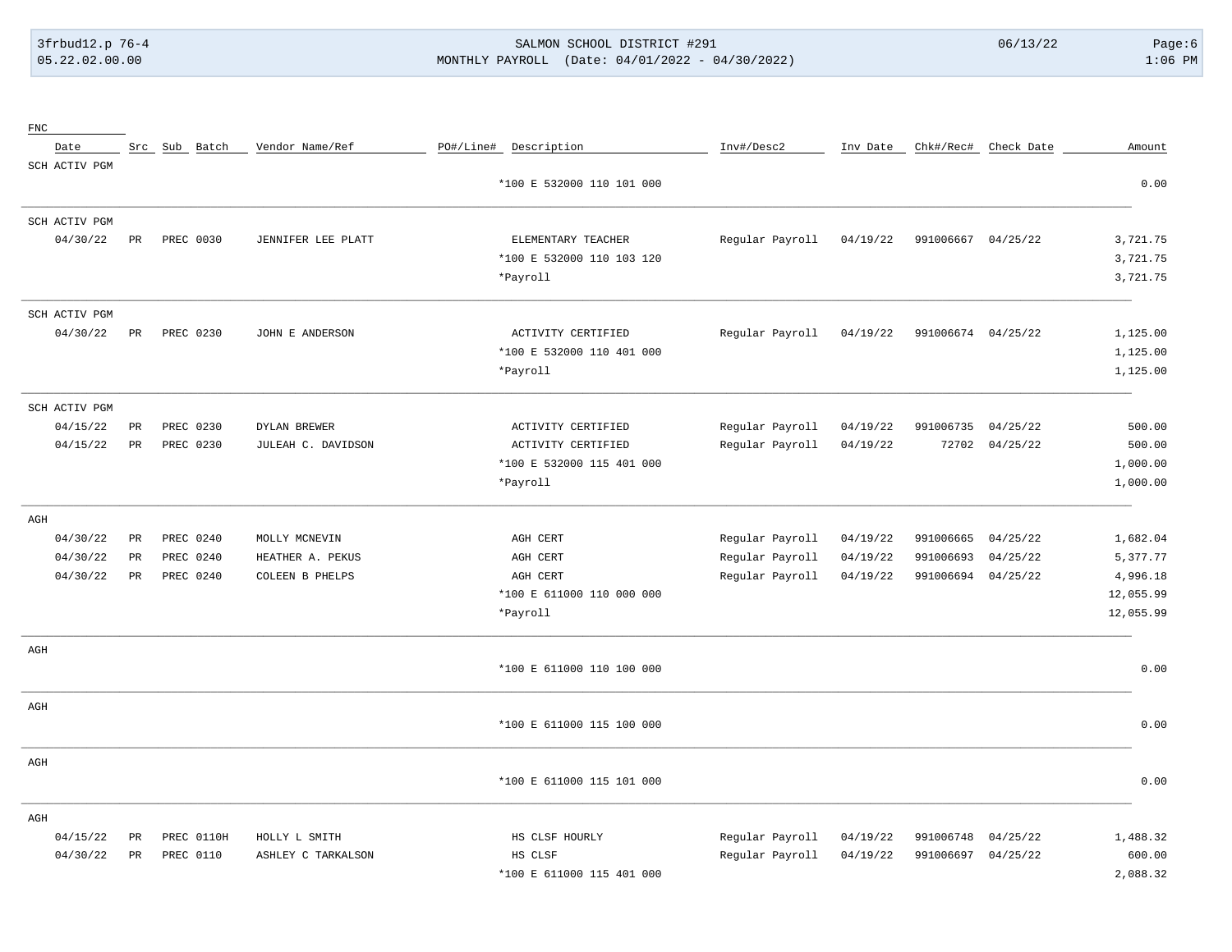# 3frbud12.p 76-4 SALMON SCHOOL DISTRICT #291 06/13/22 Page:6 05.22.02.00.00 MONTHLY PAYROLL (Date: 04/01/2022 - 04/30/2022) 1:06 PM

| ${\rm FNC}$ |               |                 |               |                    |                           |                 |          |                    |                      |           |
|-------------|---------------|-----------------|---------------|--------------------|---------------------------|-----------------|----------|--------------------|----------------------|-----------|
|             | Date          |                 | Src Sub Batch | Vendor Name/Ref    | PO#/Line# Description     | Inv#/Desc2      | Inv Date |                    | Chk#/Rec# Check Date | Amount    |
|             | SCH ACTIV PGM |                 |               |                    |                           |                 |          |                    |                      |           |
|             |               |                 |               |                    | *100 E 532000 110 101 000 |                 |          |                    |                      | 0.00      |
|             | SCH ACTIV PGM |                 |               |                    |                           |                 |          |                    |                      |           |
|             | 04/30/22      | PR              | PREC 0030     | JENNIFER LEE PLATT | ELEMENTARY TEACHER        | Regular Payroll | 04/19/22 | 991006667 04/25/22 |                      | 3,721.75  |
|             |               |                 |               |                    | *100 E 532000 110 103 120 |                 |          |                    |                      | 3,721.75  |
|             |               |                 |               |                    | *Payroll                  |                 |          |                    |                      | 3,721.75  |
|             | SCH ACTIV PGM |                 |               |                    |                           |                 |          |                    |                      |           |
|             | 04/30/22      | $_{\rm PR}$     | PREC 0230     | JOHN E ANDERSON    | ACTIVITY CERTIFIED        | Regular Payroll | 04/19/22 | 991006674 04/25/22 |                      | 1,125.00  |
|             |               |                 |               |                    | *100 E 532000 110 401 000 |                 |          |                    |                      | 1,125.00  |
|             |               |                 |               |                    | *Payroll                  |                 |          |                    |                      | 1,125.00  |
|             | SCH ACTIV PGM |                 |               |                    |                           |                 |          |                    |                      |           |
|             | 04/15/22      | PR              | PREC 0230     | DYLAN BREWER       | ACTIVITY CERTIFIED        | Regular Payroll | 04/19/22 | 991006735          | 04/25/22             | 500.00    |
|             | 04/15/22      | $\mbox{\sf PR}$ | PREC 0230     | JULEAH C. DAVIDSON | ACTIVITY CERTIFIED        | Regular Payroll | 04/19/22 | 72702              | 04/25/22             | 500.00    |
|             |               |                 |               |                    | *100 E 532000 115 401 000 |                 |          |                    |                      | 1,000.00  |
|             |               |                 |               |                    | *Payroll                  |                 |          |                    |                      | 1,000.00  |
| AGH         |               |                 |               |                    |                           |                 |          |                    |                      |           |
|             | 04/30/22      | $\mbox{\sf PR}$ | PREC 0240     | MOLLY MCNEVIN      | AGH CERT                  | Regular Payroll | 04/19/22 | 991006665          | 04/25/22             | 1,682.04  |
|             | 04/30/22      | $_{\rm PR}$     | PREC 0240     | HEATHER A. PEKUS   | AGH CERT                  | Regular Payroll | 04/19/22 | 991006693          | 04/25/22             | 5,377.77  |
|             | 04/30/22      | PR              | PREC 0240     | COLEEN B PHELPS    | AGH CERT                  | Regular Payroll | 04/19/22 | 991006694          | 04/25/22             | 4,996.18  |
|             |               |                 |               |                    | *100 E 611000 110 000 000 |                 |          |                    |                      | 12,055.99 |
|             |               |                 |               |                    | *Payroll                  |                 |          |                    |                      | 12,055.99 |
| AGH         |               |                 |               |                    |                           |                 |          |                    |                      |           |
|             |               |                 |               |                    | *100 E 611000 110 100 000 |                 |          |                    |                      | 0.00      |
| AGH         |               |                 |               |                    |                           |                 |          |                    |                      |           |
|             |               |                 |               |                    | *100 E 611000 115 100 000 |                 |          |                    |                      | 0.00      |
| AGH         |               |                 |               |                    |                           |                 |          |                    |                      |           |
|             |               |                 |               |                    | *100 E 611000 115 101 000 |                 |          |                    |                      | 0.00      |
| AGH         |               |                 |               |                    |                           |                 |          |                    |                      |           |
|             | 04/15/22      | $_{\rm PR}$     | PREC 0110H    | HOLLY L SMITH      | HS CLSF HOURLY            | Regular Payroll | 04/19/22 | 991006748          | 04/25/22             | 1,488.32  |
|             | 04/30/22      | PR              | PREC 0110     | ASHLEY C TARKALSON | HS CLSF                   | Regular Payroll | 04/19/22 | 991006697          | 04/25/22             | 600.00    |
|             |               |                 |               |                    | *100 E 611000 115 401 000 |                 |          |                    |                      | 2,088.32  |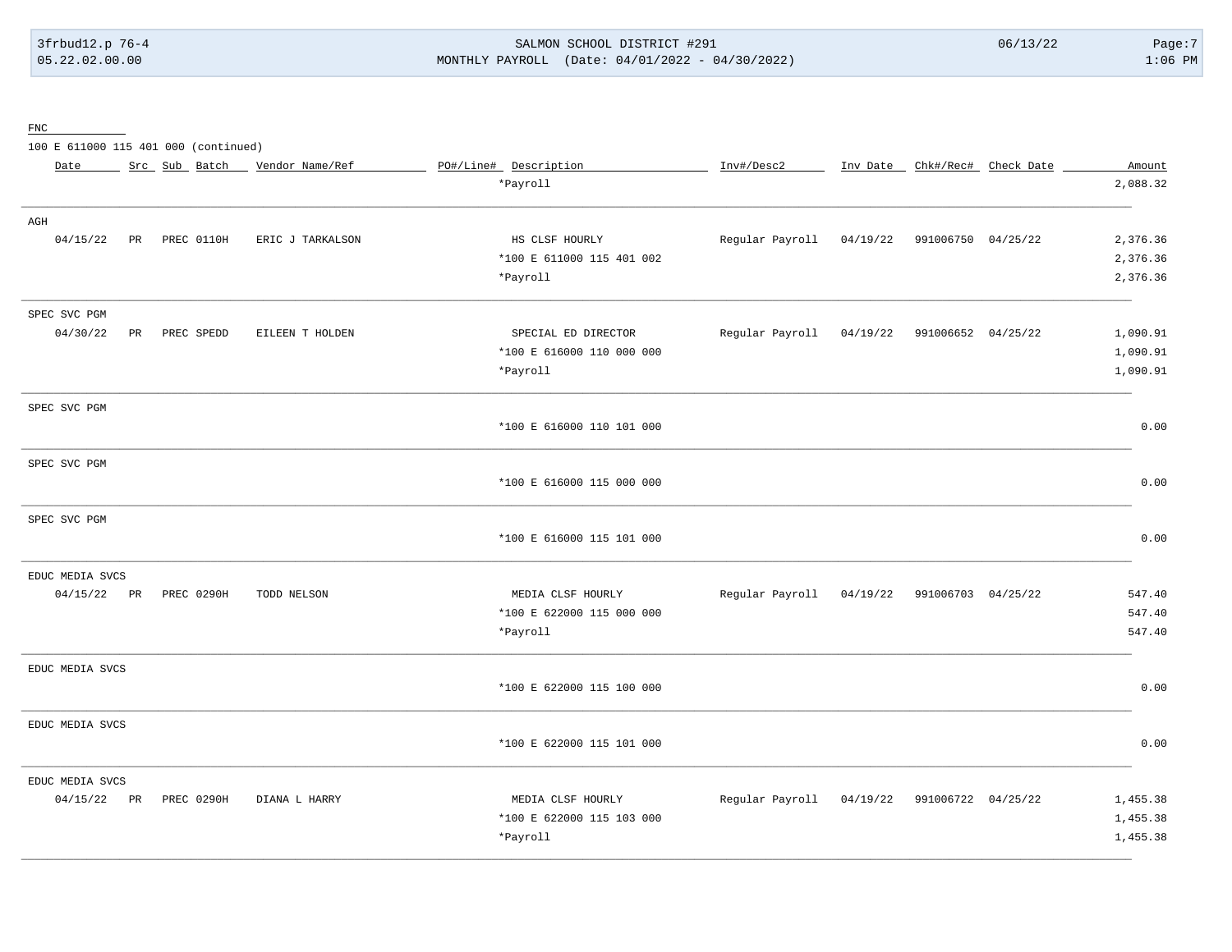# 3frbud12.p 76-4 SALMON SCHOOL DISTRICT #291 06/13/22 Page:7 05.22.02.00.00 MONTHLY PAYROLL (Date: 04/01/2022 - 04/30/2022) 1:06 PM

FNC

100 E 611000 115 401 000 (continued)

| Date            |    | Src Sub Batch | Vendor Name/Ref  | PO#/Line# Description     | Inv#/Desc2                                  |          |                             | Inv Date _ Chk#/Rec# Check Date | Amount   |
|-----------------|----|---------------|------------------|---------------------------|---------------------------------------------|----------|-----------------------------|---------------------------------|----------|
|                 |    |               |                  | *Payroll                  |                                             |          |                             |                                 | 2,088.32 |
| AGH             |    |               |                  |                           |                                             |          |                             |                                 |          |
| 04/15/22        | PR | PREC 0110H    | ERIC J TARKALSON | HS CLSF HOURLY            | Regular Payroll                             | 04/19/22 | 991006750 04/25/22          |                                 | 2,376.36 |
|                 |    |               |                  | *100 E 611000 115 401 002 |                                             |          |                             |                                 | 2,376.36 |
|                 |    |               |                  | *Payroll                  |                                             |          |                             |                                 | 2,376.36 |
| SPEC SVC PGM    |    |               |                  |                           |                                             |          |                             |                                 |          |
| 04/30/22        | PR | PREC SPEDD    | EILEEN T HOLDEN  | SPECIAL ED DIRECTOR       | Regular Payroll                             | 04/19/22 | 991006652 04/25/22          |                                 | 1,090.91 |
|                 |    |               |                  | *100 E 616000 110 000 000 |                                             |          |                             |                                 | 1,090.91 |
|                 |    |               |                  | *Payroll                  |                                             |          |                             |                                 | 1,090.91 |
| SPEC SVC PGM    |    |               |                  |                           |                                             |          |                             |                                 |          |
|                 |    |               |                  | *100 E 616000 110 101 000 |                                             |          |                             |                                 | 0.00     |
| SPEC SVC PGM    |    |               |                  |                           |                                             |          |                             |                                 |          |
|                 |    |               |                  | *100 E 616000 115 000 000 |                                             |          |                             |                                 | 0.00     |
| SPEC SVC PGM    |    |               |                  |                           |                                             |          |                             |                                 |          |
|                 |    |               |                  | *100 E 616000 115 101 000 |                                             |          |                             |                                 | 0.00     |
| EDUC MEDIA SVCS |    |               |                  |                           |                                             |          |                             |                                 |          |
| 04/15/22 PR     |    | PREC 0290H    | TODD NELSON      | MEDIA CLSF HOURLY         | Regular Payroll 04/19/22 991006703 04/25/22 |          |                             |                                 | 547.40   |
|                 |    |               |                  | *100 E 622000 115 000 000 |                                             |          |                             |                                 | 547.40   |
|                 |    |               |                  | *Payroll                  |                                             |          |                             |                                 | 547.40   |
| EDUC MEDIA SVCS |    |               |                  |                           |                                             |          |                             |                                 |          |
|                 |    |               |                  | *100 E 622000 115 100 000 |                                             |          |                             |                                 | 0.00     |
| EDUC MEDIA SVCS |    |               |                  |                           |                                             |          |                             |                                 |          |
|                 |    |               |                  | *100 E 622000 115 101 000 |                                             |          |                             |                                 | 0.00     |
| EDUC MEDIA SVCS |    |               |                  |                           |                                             |          |                             |                                 |          |
| 04/15/22 PR     |    | PREC 0290H    | DIANA L HARRY    | MEDIA CLSF HOURLY         | Regular Payroll                             |          | 04/19/22 991006722 04/25/22 |                                 | 1,455.38 |
|                 |    |               |                  | *100 E 622000 115 103 000 |                                             |          |                             |                                 | 1,455.38 |
|                 |    |               |                  | *Payroll                  |                                             |          |                             |                                 | 1,455.38 |
|                 |    |               |                  |                           |                                             |          |                             |                                 |          |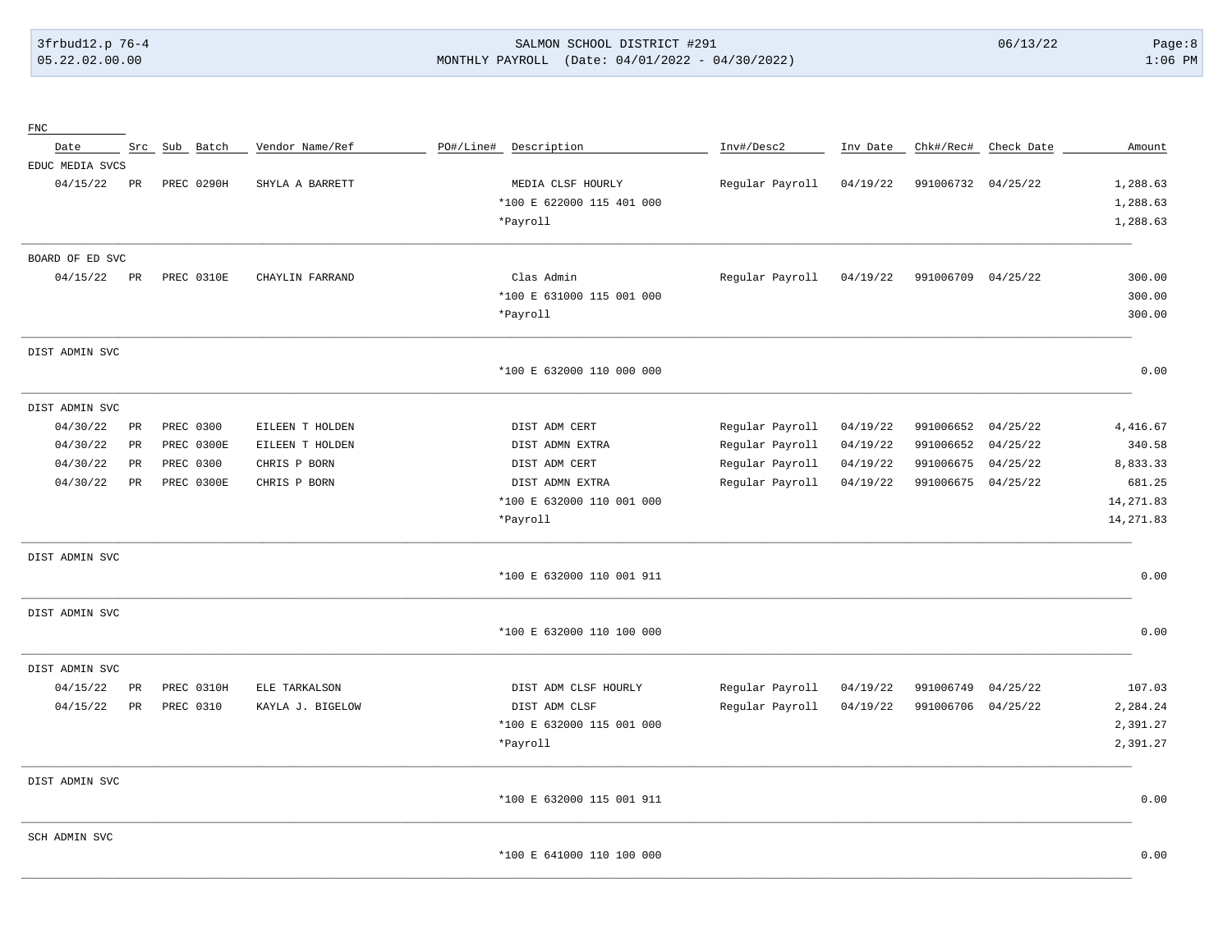# 3frbud12.p 76-4 SALMON SCHOOL DISTRICT #291 06/13/22 Page:8 05.22.02.00.00 MONTHLY PAYROLL (Date: 04/01/2022 - 04/30/2022) 1:06 PM

| ${\rm FNC}$     |             |                   |                  |                           |                 |          |                    |            |            |
|-----------------|-------------|-------------------|------------------|---------------------------|-----------------|----------|--------------------|------------|------------|
| Date            |             | Src Sub Batch     | Vendor Name/Ref  | PO#/Line# Description     | Inv#/Desc2      | Inv Date | Chk#/Rec#          | Check Date | Amount     |
| EDUC MEDIA SVCS |             |                   |                  |                           |                 |          |                    |            |            |
| 04/15/22        | PR          | <b>PREC 0290H</b> | SHYLA A BARRETT  | MEDIA CLSF HOURLY         | Regular Payroll | 04/19/22 | 991006732 04/25/22 |            | 1,288.63   |
|                 |             |                   |                  | *100 E 622000 115 401 000 |                 |          |                    |            | 1,288.63   |
|                 |             |                   |                  | *Payroll                  |                 |          |                    |            | 1,288.63   |
| BOARD OF ED SVC |             |                   |                  |                           |                 |          |                    |            |            |
| 04/15/22        | PR          | PREC 0310E        | CHAYLIN FARRAND  | Clas Admin                | Regular Payroll | 04/19/22 | 991006709 04/25/22 |            | 300.00     |
|                 |             |                   |                  | *100 E 631000 115 001 000 |                 |          |                    |            | 300.00     |
|                 |             |                   |                  | *Payroll                  |                 |          |                    |            | 300.00     |
| DIST ADMIN SVC  |             |                   |                  |                           |                 |          |                    |            |            |
|                 |             |                   |                  | *100 E 632000 110 000 000 |                 |          |                    |            | 0.00       |
| DIST ADMIN SVC  |             |                   |                  |                           |                 |          |                    |            |            |
| 04/30/22        | PR          | PREC 0300         | EILEEN T HOLDEN  | DIST ADM CERT             | Regular Payroll | 04/19/22 | 991006652          | 04/25/22   | 4, 416.67  |
| 04/30/22        | $_{\rm PR}$ | PREC 0300E        | EILEEN T HOLDEN  | DIST ADMN EXTRA           | Regular Payroll | 04/19/22 | 991006652          | 04/25/22   | 340.58     |
| 04/30/22        | $_{\rm PR}$ | PREC 0300         | CHRIS P BORN     | DIST ADM CERT             | Regular Payroll | 04/19/22 | 991006675          | 04/25/22   | 8,833.33   |
| 04/30/22        | PR          | PREC 0300E        | CHRIS P BORN     | DIST ADMN EXTRA           | Regular Payroll | 04/19/22 | 991006675          | 04/25/22   | 681.25     |
|                 |             |                   |                  | *100 E 632000 110 001 000 |                 |          |                    |            | 14, 271.83 |
|                 |             |                   |                  | *Payroll                  |                 |          |                    |            | 14, 271.83 |
| DIST ADMIN SVC  |             |                   |                  |                           |                 |          |                    |            |            |
|                 |             |                   |                  | *100 E 632000 110 001 911 |                 |          |                    |            | 0.00       |
| DIST ADMIN SVC  |             |                   |                  |                           |                 |          |                    |            |            |
|                 |             |                   |                  | *100 E 632000 110 100 000 |                 |          |                    |            | 0.00       |
| DIST ADMIN SVC  |             |                   |                  |                           |                 |          |                    |            |            |
| 04/15/22        | <b>PR</b>   | PREC 0310H        | ELE TARKALSON    | DIST ADM CLSF HOURLY      | Regular Payroll | 04/19/22 | 991006749          | 04/25/22   | 107.03     |
| 04/15/22        | PR          | PREC 0310         | KAYLA J. BIGELOW | DIST ADM CLSF             | Regular Payroll | 04/19/22 | 991006706          | 04/25/22   | 2,284.24   |
|                 |             |                   |                  | *100 E 632000 115 001 000 |                 |          |                    |            | 2,391.27   |
|                 |             |                   |                  | *Payroll                  |                 |          |                    |            | 2,391.27   |
| DIST ADMIN SVC  |             |                   |                  |                           |                 |          |                    |            |            |
|                 |             |                   |                  | *100 E 632000 115 001 911 |                 |          |                    |            | 0.00       |
| SCH ADMIN SVC   |             |                   |                  |                           |                 |          |                    |            |            |
|                 |             |                   |                  | *100 E 641000 110 100 000 |                 |          |                    |            | 0.00       |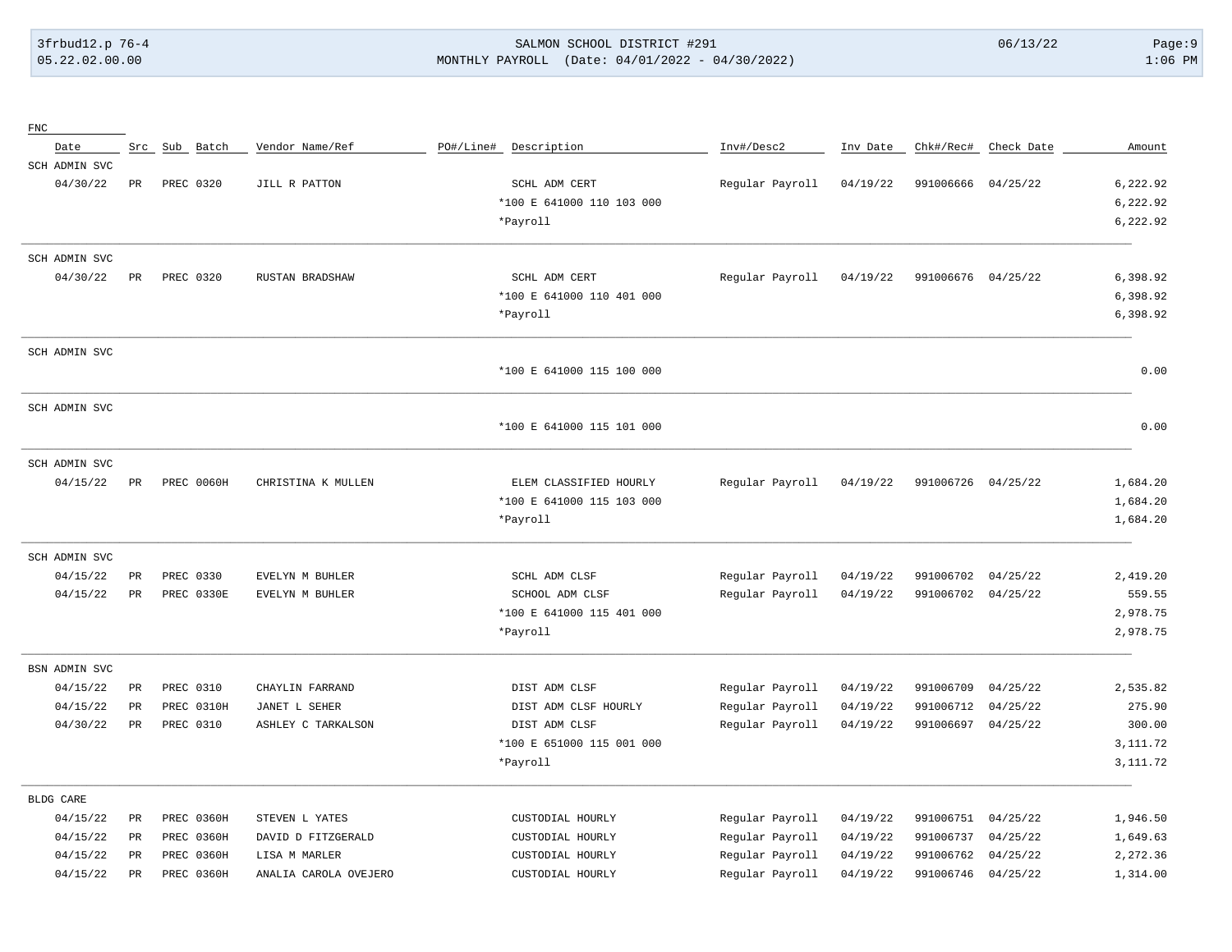# 3frbud12.p 76-4 SALMON SCHOOL DISTRICT #291 06/13/22 Page:9 05.22.02.00.00 MONTHLY PAYROLL (Date: 04/01/2022 - 04/30/2022) 1:06 PM

| ${\rm FNC}$   |             |               |                       |                           |                 |          |           |                      |           |
|---------------|-------------|---------------|-----------------------|---------------------------|-----------------|----------|-----------|----------------------|-----------|
| Date          |             | Src Sub Batch | Vendor Name/Ref       | PO#/Line#<br>Description  | Inv#/Desc2      | Inv Date |           | Chk#/Rec# Check Date | Amount    |
| SCH ADMIN SVC |             |               |                       |                           |                 |          |           |                      |           |
| 04/30/22      | $_{\rm PR}$ | PREC 0320     | JILL R PATTON         | SCHL ADM CERT             | Regular Payroll | 04/19/22 | 991006666 | 04/25/22             | 6,222.92  |
|               |             |               |                       | *100 E 641000 110 103 000 |                 |          |           |                      | 6,222.92  |
|               |             |               |                       | *Payroll                  |                 |          |           |                      | 6,222.92  |
| SCH ADMIN SVC |             |               |                       |                           |                 |          |           |                      |           |
| 04/30/22      | PR          | PREC 0320     | RUSTAN BRADSHAW       | SCHL ADM CERT             | Regular Payroll | 04/19/22 | 991006676 | 04/25/22             | 6,398.92  |
|               |             |               |                       | *100 E 641000 110 401 000 |                 |          |           |                      | 6,398.92  |
|               |             |               |                       | *Payroll                  |                 |          |           |                      | 6,398.92  |
| SCH ADMIN SVC |             |               |                       |                           |                 |          |           |                      |           |
|               |             |               |                       | *100 E 641000 115 100 000 |                 |          |           |                      | 0.00      |
| SCH ADMIN SVC |             |               |                       |                           |                 |          |           |                      |           |
|               |             |               |                       | *100 E 641000 115 101 000 |                 |          |           |                      | 0.00      |
| SCH ADMIN SVC |             |               |                       |                           |                 |          |           |                      |           |
| 04/15/22      | PR          | PREC 0060H    | CHRISTINA K MULLEN    | ELEM CLASSIFIED HOURLY    | Regular Payroll | 04/19/22 | 991006726 | 04/25/22             | 1,684.20  |
|               |             |               |                       | *100 E 641000 115 103 000 |                 |          |           |                      | 1,684.20  |
|               |             |               |                       | *Payroll                  |                 |          |           |                      | 1,684.20  |
| SCH ADMIN SVC |             |               |                       |                           |                 |          |           |                      |           |
| 04/15/22      | $_{\rm PR}$ | PREC 0330     | EVELYN M BUHLER       | SCHL ADM CLSF             | Regular Payroll | 04/19/22 | 991006702 | 04/25/22             | 2,419.20  |
| 04/15/22      | $_{\rm PR}$ | PREC 0330E    | EVELYN M BUHLER       | SCHOOL ADM CLSF           | Regular Payroll | 04/19/22 | 991006702 | 04/25/22             | 559.55    |
|               |             |               |                       | *100 E 641000 115 401 000 |                 |          |           |                      | 2,978.75  |
|               |             |               |                       | *Payroll                  |                 |          |           |                      | 2,978.75  |
| BSN ADMIN SVC |             |               |                       |                           |                 |          |           |                      |           |
| 04/15/22      | PR          | PREC 0310     | CHAYLIN FARRAND       | DIST ADM CLSF             | Regular Payroll | 04/19/22 | 991006709 | 04/25/22             | 2,535.82  |
| 04/15/22      | PR          | PREC 0310H    | JANET L SEHER         | DIST ADM CLSF HOURLY      | Regular Payroll | 04/19/22 | 991006712 | 04/25/22             | 275.90    |
| 04/30/22      | PR          | PREC 0310     | ASHLEY C TARKALSON    | DIST ADM CLSF             | Regular Payroll | 04/19/22 | 991006697 | 04/25/22             | 300.00    |
|               |             |               |                       | *100 E 651000 115 001 000 |                 |          |           |                      | 3,111.72  |
|               |             |               |                       | *Payroll                  |                 |          |           |                      | 3, 111.72 |
| BLDG CARE     |             |               |                       |                           |                 |          |           |                      |           |
| 04/15/22      | $_{\rm PR}$ | PREC 0360H    | STEVEN L YATES        | CUSTODIAL HOURLY          | Regular Payroll | 04/19/22 | 991006751 | 04/25/22             | 1,946.50  |
| 04/15/22      | PR          | PREC 0360H    | DAVID D FITZGERALD    | CUSTODIAL HOURLY          | Regular Payroll | 04/19/22 | 991006737 | 04/25/22             | 1,649.63  |
| 04/15/22      | <b>PR</b>   | PREC 0360H    | LISA M MARLER         | CUSTODIAL HOURLY          | Regular Payroll | 04/19/22 | 991006762 | 04/25/22             | 2,272.36  |
| 04/15/22      | $_{\rm PR}$ | PREC 0360H    | ANALIA CAROLA OVEJERO | CUSTODIAL HOURLY          | Regular Payroll | 04/19/22 | 991006746 | 04/25/22             | 1,314.00  |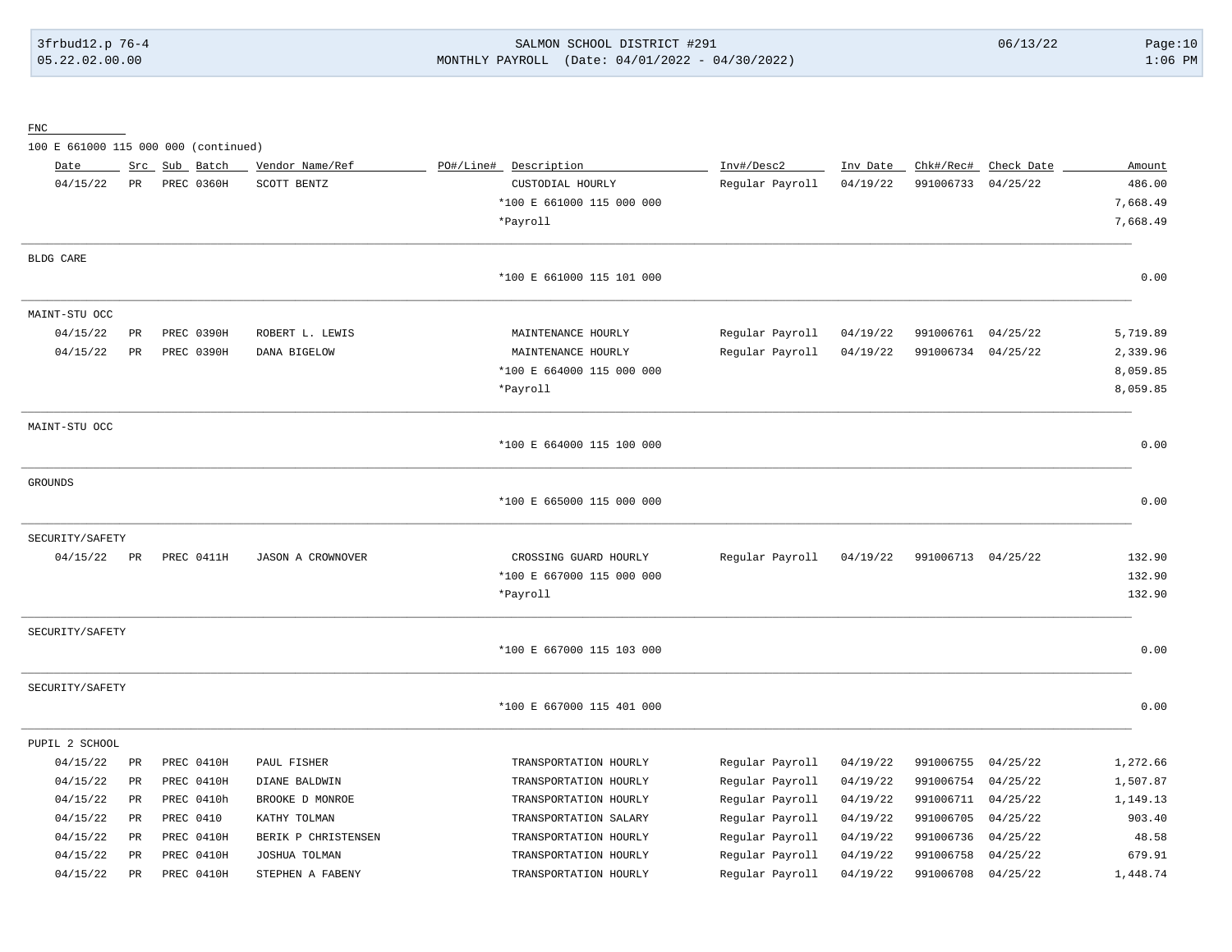3frbud12.p 76-4 SALMON SCHOOL DISTRICT #291 06/13/22 Page:10 05.22.02.00.00 MONTHLY PAYROLL (Date: 04/01/2022 - 04/30/2022) 1:06 PM

FNC

100 E 661000 115 000 000 (continued)

| Date            | Src         |           | Sub Batch  | Vendor Name/Ref          | PO#/Line# Description     | Inv#/Desc2      | Inv Date | Chk#/Rec#          | Check Date | Amount   |
|-----------------|-------------|-----------|------------|--------------------------|---------------------------|-----------------|----------|--------------------|------------|----------|
| 04/15/22        | $_{\rm PR}$ |           | PREC 0360H | SCOTT BENTZ              | CUSTODIAL HOURLY          | Regular Payroll | 04/19/22 | 991006733          | 04/25/22   | 486.00   |
|                 |             |           |            |                          | *100 E 661000 115 000 000 |                 |          |                    |            | 7,668.49 |
|                 |             |           |            |                          | *Payroll                  |                 |          |                    |            | 7,668.49 |
| BLDG CARE       |             |           |            |                          |                           |                 |          |                    |            |          |
|                 |             |           |            |                          | *100 E 661000 115 101 000 |                 |          |                    |            | 0.00     |
| MAINT-STU OCC   |             |           |            |                          |                           |                 |          |                    |            |          |
| 04/15/22        | PR          |           | PREC 0390H | ROBERT L. LEWIS          | MAINTENANCE HOURLY        | Regular Payroll | 04/19/22 | 991006761 04/25/22 |            | 5,719.89 |
| 04/15/22        | $_{\rm PR}$ |           | PREC 0390H | DANA BIGELOW             | MAINTENANCE HOURLY        | Regular Payroll | 04/19/22 | 991006734 04/25/22 |            | 2,339.96 |
|                 |             |           |            |                          | *100 E 664000 115 000 000 |                 |          |                    |            | 8,059.85 |
|                 |             |           |            |                          | *Payroll                  |                 |          |                    |            | 8,059.85 |
| MAINT-STU OCC   |             |           |            |                          |                           |                 |          |                    |            |          |
|                 |             |           |            |                          | *100 E 664000 115 100 000 |                 |          |                    |            | 0.00     |
| <b>GROUNDS</b>  |             |           |            |                          |                           |                 |          |                    |            |          |
|                 |             |           |            |                          | *100 E 665000 115 000 000 |                 |          |                    |            | 0.00     |
| SECURITY/SAFETY |             |           |            |                          |                           |                 |          |                    |            |          |
| 04/15/22        | PR          |           | PREC 0411H | <b>JASON A CROWNOVER</b> | CROSSING GUARD HOURLY     | Regular Payroll | 04/19/22 | 991006713 04/25/22 |            | 132.90   |
|                 |             |           |            |                          | *100 E 667000 115 000 000 |                 |          |                    |            | 132.90   |
|                 |             |           |            |                          | *Payroll                  |                 |          |                    |            | 132.90   |
| SECURITY/SAFETY |             |           |            |                          |                           |                 |          |                    |            |          |
|                 |             |           |            |                          | *100 E 667000 115 103 000 |                 |          |                    |            | 0.00     |
| SECURITY/SAFETY |             |           |            |                          |                           |                 |          |                    |            |          |
|                 |             |           |            |                          | *100 E 667000 115 401 000 |                 |          |                    |            | 0.00     |
| PUPIL 2 SCHOOL  |             |           |            |                          |                           |                 |          |                    |            |          |
| 04/15/22        | $_{\rm PR}$ |           | PREC 0410H | PAUL FISHER              | TRANSPORTATION HOURLY     | Regular Payroll | 04/19/22 | 991006755          | 04/25/22   | 1,272.66 |
| 04/15/22        | PR          |           | PREC 0410H | DIANE BALDWIN            | TRANSPORTATION HOURLY     | Regular Payroll | 04/19/22 | 991006754          | 04/25/22   | 1,507.87 |
| 04/15/22        | $_{\rm PR}$ |           | PREC 0410h | BROOKE D MONROE          | TRANSPORTATION HOURLY     | Regular Payroll | 04/19/22 | 991006711          | 04/25/22   | 1,149.13 |
| 04/15/22        | PR          | PREC 0410 |            | KATHY TOLMAN             | TRANSPORTATION SALARY     | Regular Payroll | 04/19/22 | 991006705          | 04/25/22   | 903.40   |
| 04/15/22        | PR          |           | PREC 0410H | BERIK P CHRISTENSEN      | TRANSPORTATION HOURLY     | Regular Payroll | 04/19/22 | 991006736          | 04/25/22   | 48.58    |
| 04/15/22        | PR          |           | PREC 0410H | JOSHUA TOLMAN            | TRANSPORTATION HOURLY     | Regular Payroll | 04/19/22 | 991006758          | 04/25/22   | 679.91   |
| 04/15/22        | $_{\rm PR}$ |           | PREC 0410H | STEPHEN A FABENY         | TRANSPORTATION HOURLY     | Regular Payroll | 04/19/22 | 991006708          | 04/25/22   | 1,448.74 |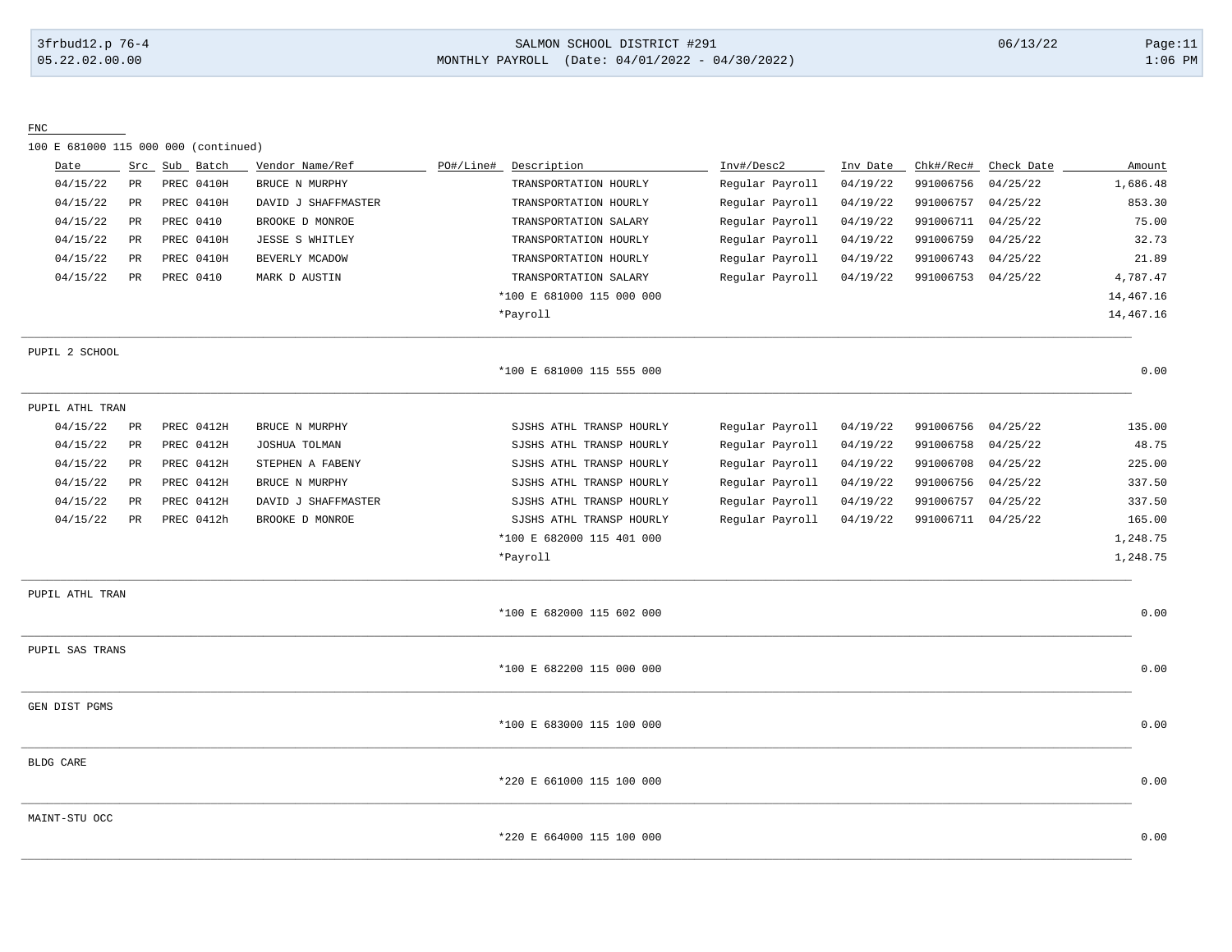#### 3frbud12.p 76-4 SALMON SCHOOL DISTRICT #291 06/13/22 Page:11 05.22.02.00.00 MONTHLY PAYROLL (Date: 04/01/2022 - 04/30/2022) 1:06 PM

FNC

100 E 681000 115 000 000 (continued)

| Date             | Src             | Sub Batch  | Vendor Name/Ref        | PO#/Line# | Description               | Inv#/Desc2      | Inv Date | Chk#/Rec# | Check Date | Amount    |
|------------------|-----------------|------------|------------------------|-----------|---------------------------|-----------------|----------|-----------|------------|-----------|
| 04/15/22         | PR              | PREC 0410H | BRUCE N MURPHY         |           | TRANSPORTATION HOURLY     | Regular Payroll | 04/19/22 | 991006756 | 04/25/22   | 1,686.48  |
| 04/15/22         | PR              | PREC 0410H | DAVID J SHAFFMASTER    |           | TRANSPORTATION HOURLY     | Regular Payroll | 04/19/22 | 991006757 | 04/25/22   | 853.30    |
| 04/15/22         | $\mbox{\sf PR}$ | PREC 0410  | BROOKE D MONROE        |           | TRANSPORTATION SALARY     | Regular Payroll | 04/19/22 | 991006711 | 04/25/22   | 75.00     |
| 04/15/22         | $_{\rm PR}$     | PREC 0410H | <b>JESSE S WHITLEY</b> |           | TRANSPORTATION HOURLY     | Regular Payroll | 04/19/22 | 991006759 | 04/25/22   | 32.73     |
| 04/15/22         | PR              | PREC 0410H | BEVERLY MCADOW         |           | TRANSPORTATION HOURLY     | Regular Payroll | 04/19/22 | 991006743 | 04/25/22   | 21.89     |
| 04/15/22         | PR              | PREC 0410  | MARK D AUSTIN          |           | TRANSPORTATION SALARY     | Regular Payroll | 04/19/22 | 991006753 | 04/25/22   | 4,787.47  |
|                  |                 |            |                        |           | *100 E 681000 115 000 000 |                 |          |           |            | 14,467.16 |
|                  |                 |            |                        |           | *Payroll                  |                 |          |           |            | 14,467.16 |
| PUPIL 2 SCHOOL   |                 |            |                        |           |                           |                 |          |           |            |           |
|                  |                 |            |                        |           | *100 E 681000 115 555 000 |                 |          |           |            | 0.00      |
| PUPIL ATHL TRAN  |                 |            |                        |           |                           |                 |          |           |            |           |
| 04/15/22         | PR              | PREC 0412H | BRUCE N MURPHY         |           | SJSHS ATHL TRANSP HOURLY  | Regular Payroll | 04/19/22 | 991006756 | 04/25/22   | 135.00    |
| 04/15/22         | PR              | PREC 0412H | JOSHUA TOLMAN          |           | SJSHS ATHL TRANSP HOURLY  | Regular Payroll | 04/19/22 | 991006758 | 04/25/22   | 48.75     |
| 04/15/22         | $_{\rm PR}$     | PREC 0412H | STEPHEN A FABENY       |           | SJSHS ATHL TRANSP HOURLY  | Regular Payroll | 04/19/22 | 991006708 | 04/25/22   | 225.00    |
| 04/15/22         | PR              | PREC 0412H | BRUCE N MURPHY         |           | SJSHS ATHL TRANSP HOURLY  | Regular Payroll | 04/19/22 | 991006756 | 04/25/22   | 337.50    |
| 04/15/22         | PR              | PREC 0412H | DAVID J SHAFFMASTER    |           | SJSHS ATHL TRANSP HOURLY  | Regular Payroll | 04/19/22 | 991006757 | 04/25/22   | 337.50    |
| 04/15/22         | $_{\rm PR}$     | PREC 0412h | BROOKE D MONROE        |           | SJSHS ATHL TRANSP HOURLY  | Regular Payroll | 04/19/22 | 991006711 | 04/25/22   | 165.00    |
|                  |                 |            |                        |           | *100 E 682000 115 401 000 |                 |          |           |            | 1,248.75  |
|                  |                 |            |                        |           | *Payroll                  |                 |          |           |            | 1,248.75  |
| PUPIL ATHL TRAN  |                 |            |                        |           |                           |                 |          |           |            |           |
|                  |                 |            |                        |           | *100 E 682000 115 602 000 |                 |          |           |            | 0.00      |
| PUPIL SAS TRANS  |                 |            |                        |           |                           |                 |          |           |            |           |
|                  |                 |            |                        |           | *100 E 682200 115 000 000 |                 |          |           |            | 0.00      |
| GEN DIST PGMS    |                 |            |                        |           |                           |                 |          |           |            |           |
|                  |                 |            |                        |           | *100 E 683000 115 100 000 |                 |          |           |            | 0.00      |
| <b>BLDG CARE</b> |                 |            |                        |           |                           |                 |          |           |            |           |
|                  |                 |            |                        |           | *220 E 661000 115 100 000 |                 |          |           |            | 0.00      |
| MAINT-STU OCC    |                 |            |                        |           |                           |                 |          |           |            |           |
|                  |                 |            |                        |           | *220 E 664000 115 100 000 |                 |          |           |            | 0.00      |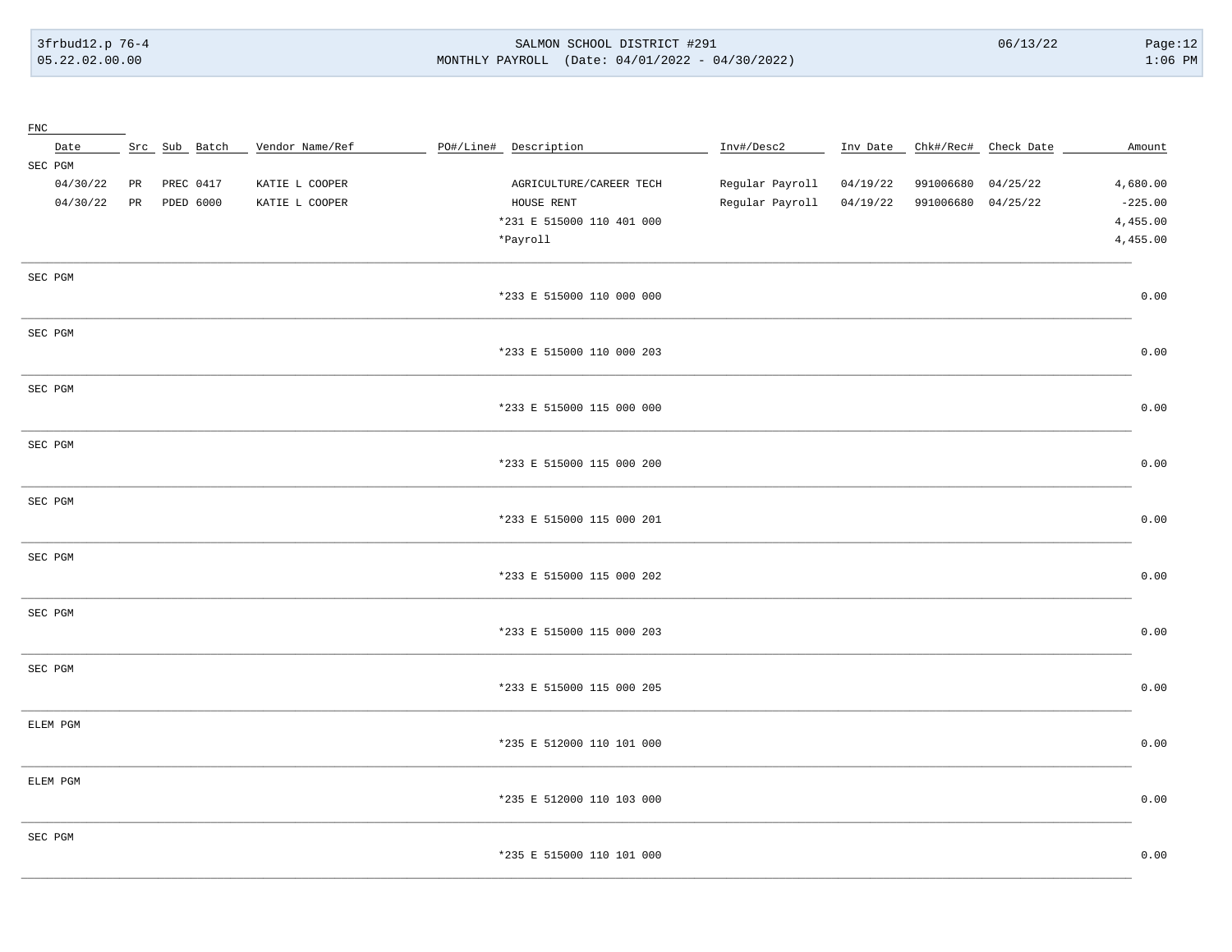3frbud12.p 76-4 05.22.02.00.00

#### SALMON SCHOOL DISTRICT #291 MONTHLY PAYROLL (Date: 04/01/2022 - 04/30/2022)

 $06/13/22$ 

| ${\rm FNC}$ |    |               |                 |                           |                 |          |           |                      |           |
|-------------|----|---------------|-----------------|---------------------------|-----------------|----------|-----------|----------------------|-----------|
| Date        |    | Src Sub Batch | Vendor Name/Ref | PO#/Line# Description     | Inv#/Desc2      | Inv Date |           | Chk#/Rec# Check Date | Amount    |
| SEC PGM     |    |               |                 |                           |                 |          |           |                      |           |
| 04/30/22    | PR | PREC 0417     | KATIE L COOPER  | AGRICULTURE/CAREER TECH   | Regular Payroll | 04/19/22 | 991006680 | 04/25/22             | 4,680.00  |
| 04/30/22    | PR | PDED 6000     | KATIE L COOPER  | HOUSE RENT                | Regular Payroll | 04/19/22 | 991006680 | 04/25/22             | $-225.00$ |
|             |    |               |                 | *231 E 515000 110 401 000 |                 |          |           |                      | 4,455.00  |
|             |    |               |                 | *Payroll                  |                 |          |           |                      | 4,455.00  |
|             |    |               |                 |                           |                 |          |           |                      |           |
| SEC PGM     |    |               |                 |                           |                 |          |           |                      |           |
|             |    |               |                 | *233 E 515000 110 000 000 |                 |          |           |                      | 0.00      |
|             |    |               |                 |                           |                 |          |           |                      |           |
| SEC PGM     |    |               |                 |                           |                 |          |           |                      |           |
|             |    |               |                 | *233 E 515000 110 000 203 |                 |          |           |                      | 0.00      |
| SEC PGM     |    |               |                 |                           |                 |          |           |                      |           |
|             |    |               |                 | *233 E 515000 115 000 000 |                 |          |           |                      | 0.00      |
|             |    |               |                 |                           |                 |          |           |                      |           |
| SEC PGM     |    |               |                 |                           |                 |          |           |                      |           |
|             |    |               |                 | *233 E 515000 115 000 200 |                 |          |           |                      | 0.00      |
|             |    |               |                 |                           |                 |          |           |                      |           |
| SEC PGM     |    |               |                 |                           |                 |          |           |                      |           |
|             |    |               |                 | *233 E 515000 115 000 201 |                 |          |           |                      | 0.00      |
|             |    |               |                 |                           |                 |          |           |                      |           |
| SEC PGM     |    |               |                 |                           |                 |          |           |                      |           |
|             |    |               |                 | *233 E 515000 115 000 202 |                 |          |           |                      | 0.00      |
|             |    |               |                 |                           |                 |          |           |                      |           |
| SEC PGM     |    |               |                 |                           |                 |          |           |                      |           |
|             |    |               |                 | *233 E 515000 115 000 203 |                 |          |           |                      | 0.00      |
|             |    |               |                 |                           |                 |          |           |                      |           |
| SEC PGM     |    |               |                 |                           |                 |          |           |                      |           |
|             |    |               |                 | *233 E 515000 115 000 205 |                 |          |           |                      | 0.00      |
| ELEM PGM    |    |               |                 |                           |                 |          |           |                      |           |
|             |    |               |                 | *235 E 512000 110 101 000 |                 |          |           |                      | 0.00      |
|             |    |               |                 |                           |                 |          |           |                      |           |
| ELEM PGM    |    |               |                 |                           |                 |          |           |                      |           |
|             |    |               |                 | *235 E 512000 110 103 000 |                 |          |           |                      | 0.00      |
|             |    |               |                 |                           |                 |          |           |                      |           |
| SEC PGM     |    |               |                 |                           |                 |          |           |                      |           |
|             |    |               |                 | *235 E 515000 110 101 000 |                 |          |           |                      | 0.00      |
|             |    |               |                 |                           |                 |          |           |                      |           |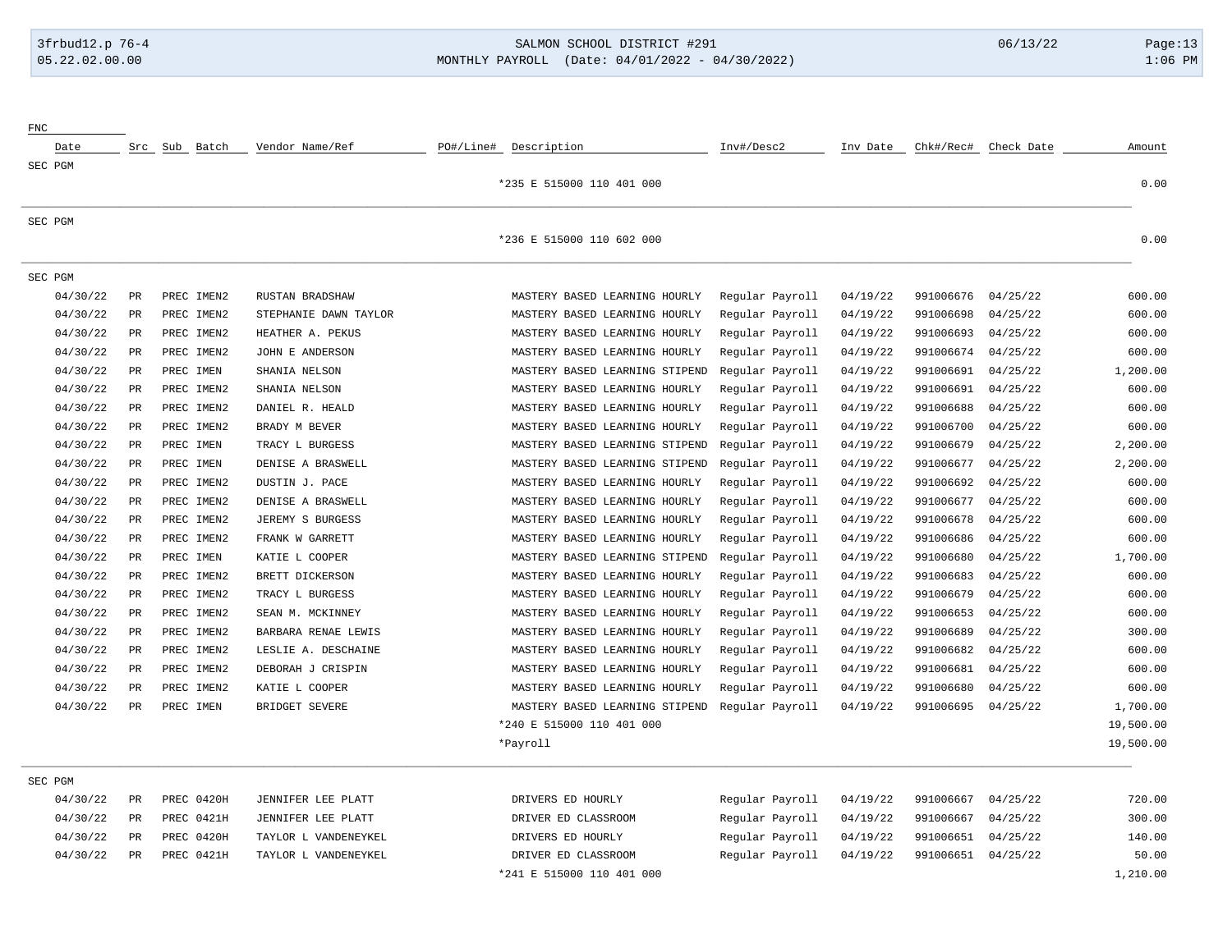# 3frbud12.p 76-4 SALMON SCHOOL DISTRICT #291 06/13/22 Page:13 05.22.02.00.00 MONTHLY PAYROLL (Date: 04/01/2022 - 04/30/2022) 1:06 PM

| ${\rm FNC}$ |             |               |            |                       |                                |                 |          |           |            |           |
|-------------|-------------|---------------|------------|-----------------------|--------------------------------|-----------------|----------|-----------|------------|-----------|
| Date        |             | Src Sub Batch |            | Vendor Name/Ref       | PO#/Line#<br>Description       | Inv#/Desc2      | Inv Date | Chk#/Rec# | Check Date | Amount    |
| SEC PGM     |             |               |            |                       |                                |                 |          |           |            |           |
|             |             |               |            |                       | *235 E 515000 110 401 000      |                 |          |           |            | 0.00      |
| SEC PGM     |             |               |            |                       |                                |                 |          |           |            |           |
|             |             |               |            |                       | *236 E 515000 110 602 000      |                 |          |           |            | 0.00      |
| SEC PGM     |             |               |            |                       |                                |                 |          |           |            |           |
| 04/30/22    | PR          |               | PREC IMEN2 | RUSTAN BRADSHAW       | MASTERY BASED LEARNING HOURLY  | Regular Payroll | 04/19/22 | 991006676 | 04/25/22   | 600.00    |
| 04/30/22    | $_{\rm PR}$ |               | PREC IMEN2 | STEPHANIE DAWN TAYLOR | MASTERY BASED LEARNING HOURLY  | Regular Payroll | 04/19/22 | 991006698 | 04/25/22   | 600.00    |
| 04/30/22    | PR          |               | PREC IMEN2 | HEATHER A. PEKUS      | MASTERY BASED LEARNING HOURLY  | Regular Payroll | 04/19/22 | 991006693 | 04/25/22   | 600.00    |
| 04/30/22    | PR          |               | PREC IMEN2 | JOHN E ANDERSON       | MASTERY BASED LEARNING HOURLY  | Regular Payroll | 04/19/22 | 991006674 | 04/25/22   | 600.00    |
| 04/30/22    | PR          |               | PREC IMEN  | SHANIA NELSON         | MASTERY BASED LEARNING STIPEND | Regular Payroll | 04/19/22 | 991006691 | 04/25/22   | 1,200.00  |
| 04/30/22    | PR          |               | PREC IMEN2 | SHANIA NELSON         | MASTERY BASED LEARNING HOURLY  | Regular Payroll | 04/19/22 | 991006691 | 04/25/22   | 600.00    |
| 04/30/22    | PR          |               | PREC IMEN2 | DANIEL R. HEALD       | MASTERY BASED LEARNING HOURLY  | Regular Payroll | 04/19/22 | 991006688 | 04/25/22   | 600.00    |
| 04/30/22    | <b>PR</b>   |               | PREC IMEN2 | BRADY M BEVER         | MASTERY BASED LEARNING HOURLY  | Regular Payroll | 04/19/22 | 991006700 | 04/25/22   | 600.00    |
| 04/30/22    | PR          |               | PREC IMEN  | TRACY L BURGESS       | MASTERY BASED LEARNING STIPEND | Regular Payroll | 04/19/22 | 991006679 | 04/25/22   | 2,200.00  |
| 04/30/22    | PR          |               | PREC IMEN  | DENISE A BRASWELL     | MASTERY BASED LEARNING STIPEND | Regular Payroll | 04/19/22 | 991006677 | 04/25/22   | 2,200.00  |
| 04/30/22    | PR          |               | PREC IMEN2 | DUSTIN J. PACE        | MASTERY BASED LEARNING HOURLY  | Regular Payroll | 04/19/22 | 991006692 | 04/25/22   | 600.00    |
| 04/30/22    | PR          |               | PREC IMEN2 | DENISE A BRASWELL     | MASTERY BASED LEARNING HOURLY  | Regular Payroll | 04/19/22 | 991006677 | 04/25/22   | 600.00    |
| 04/30/22    | PR          |               | PREC IMEN2 | JEREMY S BURGESS      | MASTERY BASED LEARNING HOURLY  | Regular Payroll | 04/19/22 | 991006678 | 04/25/22   | 600.00    |
| 04/30/22    | PR          |               | PREC IMEN2 | FRANK W GARRETT       | MASTERY BASED LEARNING HOURLY  | Regular Payroll | 04/19/22 | 991006686 | 04/25/22   | 600.00    |
| 04/30/22    | PR          |               | PREC IMEN  | KATIE L COOPER        | MASTERY BASED LEARNING STIPEND | Regular Payroll | 04/19/22 | 991006680 | 04/25/22   | 1,700.00  |
| 04/30/22    | PR          |               | PREC IMEN2 | BRETT DICKERSON       | MASTERY BASED LEARNING HOURLY  | Regular Payroll | 04/19/22 | 991006683 | 04/25/22   | 600.00    |
| 04/30/22    | PR          |               | PREC IMEN2 | TRACY L BURGESS       | MASTERY BASED LEARNING HOURLY  | Regular Payroll | 04/19/22 | 991006679 | 04/25/22   | 600.00    |
| 04/30/22    | PR          |               | PREC IMEN2 | SEAN M. MCKINNEY      | MASTERY BASED LEARNING HOURLY  | Regular Payroll | 04/19/22 | 991006653 | 04/25/22   | 600.00    |
| 04/30/22    | PR          |               | PREC IMEN2 | BARBARA RENAE LEWIS   | MASTERY BASED LEARNING HOURLY  | Regular Payroll | 04/19/22 | 991006689 | 04/25/22   | 300.00    |
| 04/30/22    | <b>PR</b>   |               | PREC IMEN2 | LESLIE A. DESCHAINE   | MASTERY BASED LEARNING HOURLY  | Regular Payroll | 04/19/22 | 991006682 | 04/25/22   | 600.00    |
| 04/30/22    | PR          |               | PREC IMEN2 | DEBORAH J CRISPIN     | MASTERY BASED LEARNING HOURLY  | Regular Payroll | 04/19/22 | 991006681 | 04/25/22   | 600.00    |
| 04/30/22    | PR          |               | PREC IMEN2 | KATIE L COOPER        | MASTERY BASED LEARNING HOURLY  | Regular Payroll | 04/19/22 | 991006680 | 04/25/22   | 600.00    |
| 04/30/22    | PR          |               | PREC IMEN  | BRIDGET SEVERE        | MASTERY BASED LEARNING STIPEND | Regular Payroll | 04/19/22 | 991006695 | 04/25/22   | 1,700.00  |
|             |             |               |            |                       | *240 E 515000 110 401 000      |                 |          |           |            | 19,500.00 |
|             |             |               |            |                       | *Payroll                       |                 |          |           |            | 19,500.00 |
| SEC PGM     |             |               |            |                       |                                |                 |          |           |            |           |
| 04/30/22    | PR          |               | PREC 0420H | JENNIFER LEE PLATT    | DRIVERS ED HOURLY              | Regular Payroll | 04/19/22 | 991006667 | 04/25/22   | 720.00    |
| 04/30/22    | PR          |               | PREC 0421H | JENNIFER LEE PLATT    | DRIVER ED CLASSROOM            | Regular Payroll | 04/19/22 | 991006667 | 04/25/22   | 300.00    |
| 04/30/22    | PR          |               | PREC 0420H | TAYLOR L VANDENEYKEL  | DRIVERS ED HOURLY              | Regular Payroll | 04/19/22 | 991006651 | 04/25/22   | 140.00    |
| 04/30/22    | <b>PR</b>   |               | PREC 0421H | TAYLOR L VANDENEYKEL  | DRIVER ED CLASSROOM            | Regular Payroll | 04/19/22 | 991006651 | 04/25/22   | 50.00     |
|             |             |               |            |                       | *241 E 515000 110 401 000      |                 |          |           |            | 1,210.00  |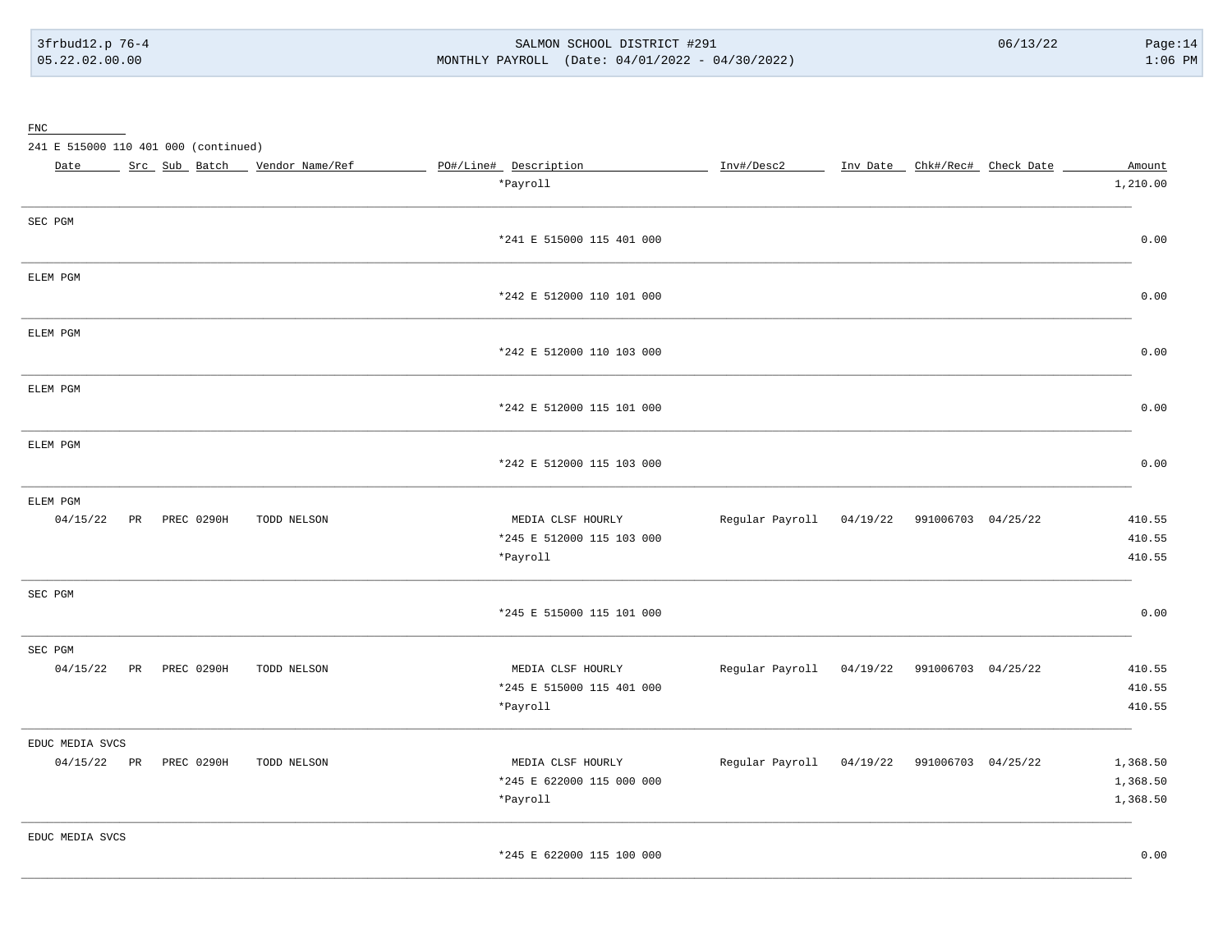#### SALMON SCHOOL DISTRICT #291 MONTHLY PAYROLL (Date: 04/01/2022 - 04/30/2022)

#### ${\underline{\mathrm{FNC}}}$

241 E 515000 110 401 000 (continued)

| Date            |                        | Src Sub Batch _ Vendor Name/Ref | PO#/Line# Description     | Inv#/Desc2                                  | Inv Date _ Chk#/Rec# Check Date | Amount   |
|-----------------|------------------------|---------------------------------|---------------------------|---------------------------------------------|---------------------------------|----------|
|                 |                        |                                 | *Payroll                  |                                             |                                 | 1,210.00 |
| SEC PGM         |                        |                                 |                           |                                             |                                 |          |
|                 |                        |                                 | *241 E 515000 115 401 000 |                                             |                                 | 0.00     |
| ELEM PGM        |                        |                                 |                           |                                             |                                 |          |
|                 |                        |                                 | *242 E 512000 110 101 000 |                                             |                                 | 0.00     |
| ELEM PGM        |                        |                                 |                           |                                             |                                 |          |
|                 |                        |                                 | *242 E 512000 110 103 000 |                                             |                                 | 0.00     |
| ELEM PGM        |                        |                                 |                           |                                             |                                 |          |
|                 |                        |                                 | *242 E 512000 115 101 000 |                                             |                                 | 0.00     |
| ELEM PGM        |                        |                                 |                           |                                             |                                 |          |
|                 |                        |                                 | *242 E 512000 115 103 000 |                                             |                                 | 0.00     |
| ELEM PGM        |                        |                                 |                           |                                             |                                 |          |
| 04/15/22        | PREC 0290H<br>PR       | TODD NELSON                     | MEDIA CLSF HOURLY         | Regular Payroll 04/19/22 991006703 04/25/22 |                                 | 410.55   |
|                 |                        |                                 | *245 E 512000 115 103 000 |                                             |                                 | 410.55   |
|                 |                        |                                 | *Payroll                  |                                             |                                 | 410.55   |
| SEC PGM         |                        |                                 |                           |                                             |                                 |          |
|                 |                        |                                 | *245 E 515000 115 101 000 |                                             |                                 | 0.00     |
| SEC PGM         |                        |                                 |                           |                                             |                                 |          |
| 04/15/22        | PR<br>PREC 0290H       | TODD NELSON                     | MEDIA CLSF HOURLY         | Regular Payroll                             | 04/19/22 991006703 04/25/22     | 410.55   |
|                 |                        |                                 | *245 E 515000 115 401 000 |                                             |                                 | 410.55   |
|                 |                        |                                 | *Payroll                  |                                             |                                 | 410.55   |
| EDUC MEDIA SVCS |                        |                                 |                           |                                             |                                 |          |
|                 | 04/15/22 PR PREC 0290H | TODD NELSON                     | MEDIA CLSF HOURLY         | Regular Payroll 04/19/22 991006703 04/25/22 |                                 | 1,368.50 |
|                 |                        |                                 | *245 E 622000 115 000 000 |                                             |                                 | 1,368.50 |
|                 |                        |                                 | *Payroll                  |                                             |                                 | 1,368.50 |
| EDUC MEDIA SVCS |                        |                                 |                           |                                             |                                 |          |
|                 |                        |                                 | *245 E 622000 115 100 000 |                                             |                                 | 0.00     |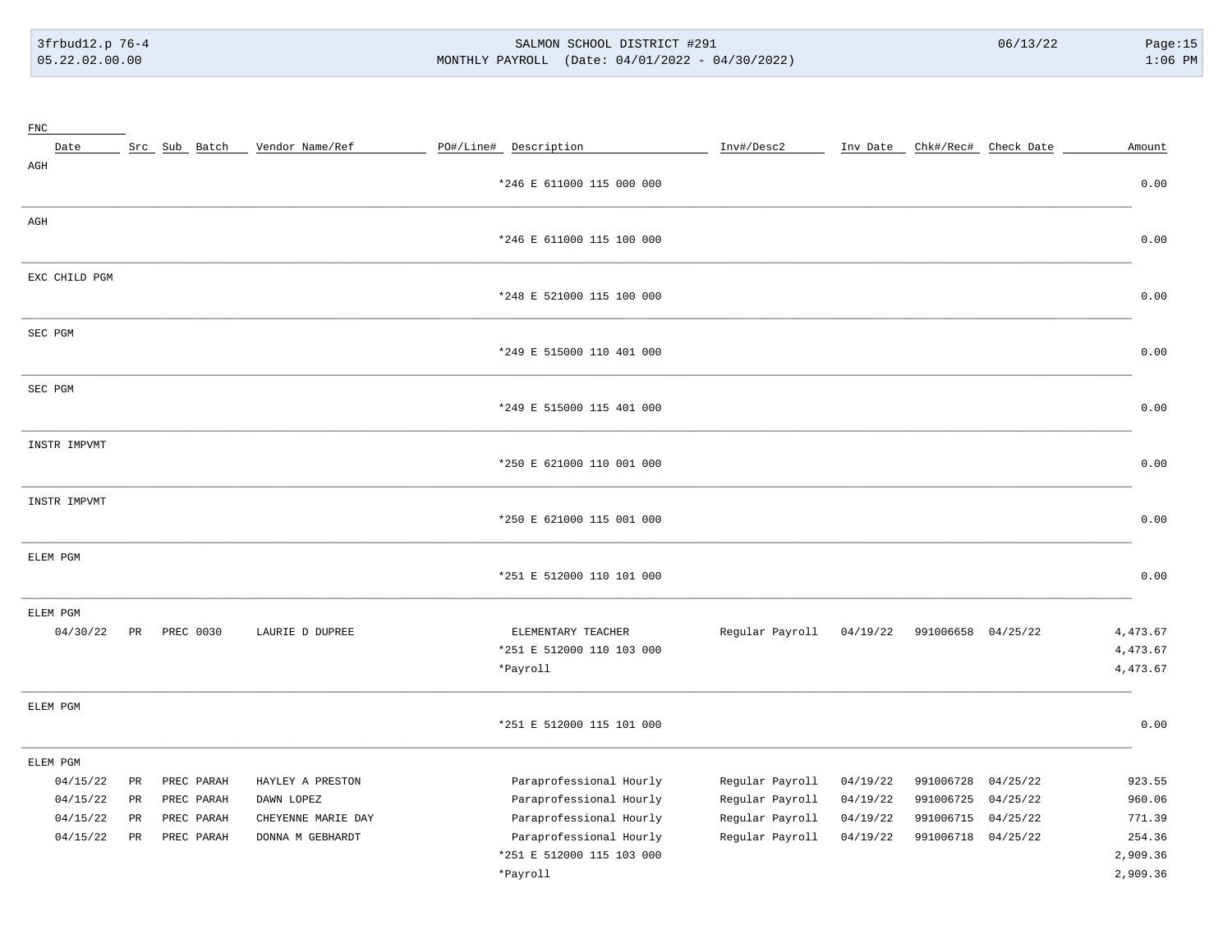# 3frbud12.p 76-4 SALMON SCHOOL DISTRICT #291 06/13/22 Page:15 05.22.02.00.00 MONTHLY PAYROLL (Date: 04/01/2022 - 04/30/2022) 1:06 PM

| ${\rm FNC}$   |                 |               |                    |                           |                 |          |                    |                      |          |
|---------------|-----------------|---------------|--------------------|---------------------------|-----------------|----------|--------------------|----------------------|----------|
| Date          |                 | Src Sub Batch | Vendor Name/Ref    | PO#/Line# Description     | Inv#/Desc2      | Inv Date |                    | Chk#/Rec# Check Date | Amount   |
| $\rm{AGH}$    |                 |               |                    | *246 E 611000 115 000 000 |                 |          |                    |                      | 0.00     |
|               |                 |               |                    |                           |                 |          |                    |                      |          |
| $\rm{AGH}$    |                 |               |                    |                           |                 |          |                    |                      |          |
|               |                 |               |                    | *246 E 611000 115 100 000 |                 |          |                    |                      | 0.00     |
| EXC CHILD PGM |                 |               |                    |                           |                 |          |                    |                      |          |
|               |                 |               |                    | *248 E 521000 115 100 000 |                 |          |                    |                      | 0.00     |
| SEC PGM       |                 |               |                    |                           |                 |          |                    |                      |          |
|               |                 |               |                    | *249 E 515000 110 401 000 |                 |          |                    |                      | 0.00     |
| SEC PGM       |                 |               |                    |                           |                 |          |                    |                      |          |
|               |                 |               |                    | *249 E 515000 115 401 000 |                 |          |                    |                      | 0.00     |
| INSTR IMPVMT  |                 |               |                    |                           |                 |          |                    |                      |          |
|               |                 |               |                    | *250 E 621000 110 001 000 |                 |          |                    |                      | 0.00     |
| INSTR IMPVMT  |                 |               |                    |                           |                 |          |                    |                      |          |
|               |                 |               |                    | *250 E 621000 115 001 000 |                 |          |                    |                      | 0.00     |
| ELEM PGM      |                 |               |                    |                           |                 |          |                    |                      |          |
|               |                 |               |                    | *251 E 512000 110 101 000 |                 |          |                    |                      | 0.00     |
| ELEM PGM      |                 |               |                    |                           |                 |          |                    |                      |          |
| 04/30/22      | PR              | PREC 0030     | LAURIE D DUPREE    | ELEMENTARY TEACHER        | Regular Payroll | 04/19/22 | 991006658 04/25/22 |                      | 4,473.67 |
|               |                 |               |                    | *251 E 512000 110 103 000 |                 |          |                    |                      | 4,473.67 |
|               |                 |               |                    | *Payroll                  |                 |          |                    |                      | 4,473.67 |
| ELEM PGM      |                 |               |                    |                           |                 |          |                    |                      |          |
|               |                 |               |                    | *251 E 512000 115 101 000 |                 |          |                    |                      | 0.00     |
| ELEM PGM      |                 |               |                    |                           |                 |          |                    |                      |          |
| 04/15/22      | PR              | PREC PARAH    | HAYLEY A PRESTON   | Paraprofessional Hourly   | Regular Payroll | 04/19/22 | 991006728          | 04/25/22             | 923.55   |
| 04/15/22      | $\mbox{\sf PR}$ | PREC PARAH    | DAWN LOPEZ         | Paraprofessional Hourly   | Regular Payroll | 04/19/22 | 991006725          | 04/25/22             | 960.06   |
| 04/15/22      | $\mbox{\sf PR}$ | PREC PARAH    | CHEYENNE MARIE DAY | Paraprofessional Hourly   | Regular Payroll | 04/19/22 | 991006715          | 04/25/22             | 771.39   |
| 04/15/22      | $_{\rm PR}$     | PREC PARAH    | DONNA M GEBHARDT   | Paraprofessional Hourly   | Regular Payroll | 04/19/22 | 991006718          | 04/25/22             | 254.36   |
|               |                 |               |                    | *251 E 512000 115 103 000 |                 |          |                    |                      | 2,909.36 |
|               |                 |               |                    | *Payroll                  |                 |          |                    |                      | 2,909.36 |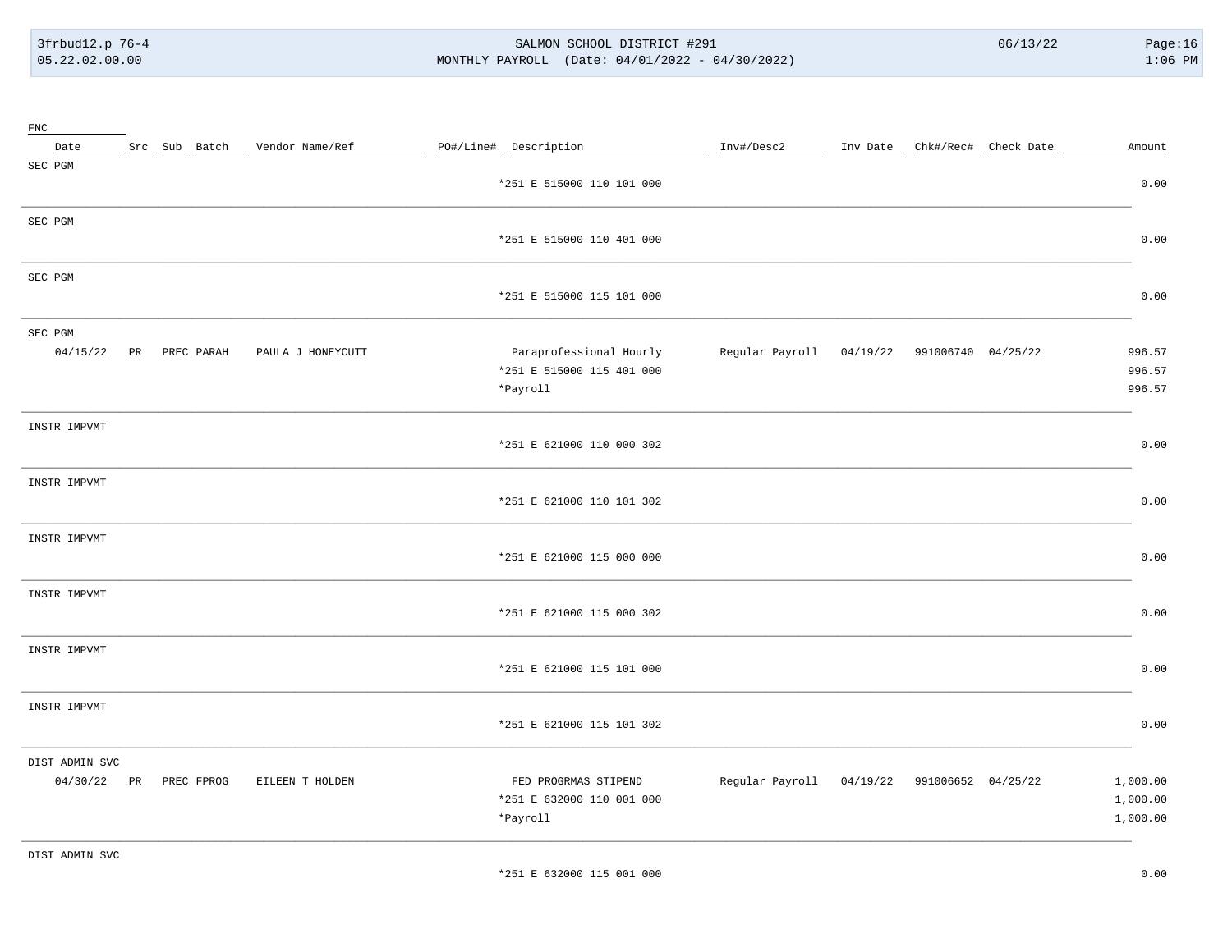3frbud12.p 76-4 05.22.02.00.00

#### SALMON SCHOOL DISTRICT #291 MONTHLY PAYROLL (Date: 04/01/2022 - 04/30/2022)

| ${\rm FNC}$    |    |                        |                                 |                           |                                             |  |                               |          |
|----------------|----|------------------------|---------------------------------|---------------------------|---------------------------------------------|--|-------------------------------|----------|
| Date           |    |                        | Src Sub Batch _ Vendor Name/Ref | PO#/Line# Description     | Inv#/Desc2                                  |  | Inv Date Chk#/Rec# Check Date | Amount   |
| SEC PGM        |    |                        |                                 |                           |                                             |  |                               |          |
|                |    |                        |                                 | *251 E 515000 110 101 000 |                                             |  |                               | 0.00     |
| SEC PGM        |    |                        |                                 |                           |                                             |  |                               |          |
|                |    |                        |                                 | *251 E 515000 110 401 000 |                                             |  |                               | 0.00     |
| SEC PGM        |    |                        |                                 |                           |                                             |  |                               |          |
|                |    |                        |                                 | *251 E 515000 115 101 000 |                                             |  |                               | 0.00     |
| SEC PGM        |    |                        |                                 |                           |                                             |  |                               |          |
| 04/15/22       | PR | PREC PARAH             | PAULA J HONEYCUTT               | Paraprofessional Hourly   | Regular Payroll 04/19/22 991006740 04/25/22 |  |                               | 996.57   |
|                |    |                        |                                 | *251 E 515000 115 401 000 |                                             |  |                               | 996.57   |
|                |    |                        |                                 | *Payroll                  |                                             |  |                               | 996.57   |
| INSTR IMPVMT   |    |                        |                                 |                           |                                             |  |                               |          |
|                |    |                        |                                 | *251 E 621000 110 000 302 |                                             |  |                               | 0.00     |
| INSTR IMPVMT   |    |                        |                                 |                           |                                             |  |                               |          |
|                |    |                        |                                 | *251 E 621000 110 101 302 |                                             |  |                               | 0.00     |
| INSTR IMPVMT   |    |                        |                                 |                           |                                             |  |                               |          |
|                |    |                        |                                 | *251 E 621000 115 000 000 |                                             |  |                               | 0.00     |
| INSTR IMPVMT   |    |                        |                                 |                           |                                             |  |                               |          |
|                |    |                        |                                 | *251 E 621000 115 000 302 |                                             |  |                               | 0.00     |
| INSTR IMPVMT   |    |                        |                                 |                           |                                             |  |                               |          |
|                |    |                        |                                 | *251 E 621000 115 101 000 |                                             |  |                               | 0.00     |
| INSTR IMPVMT   |    |                        |                                 |                           |                                             |  |                               |          |
|                |    |                        |                                 | *251 E 621000 115 101 302 |                                             |  |                               | 0.00     |
| DIST ADMIN SVC |    |                        |                                 |                           |                                             |  |                               |          |
|                |    | 04/30/22 PR PREC FPROG | EILEEN T HOLDEN                 | FED PROGRMAS STIPEND      | Regular Payroll 04/19/22 991006652 04/25/22 |  |                               | 1,000.00 |
|                |    |                        |                                 | *251 E 632000 110 001 000 |                                             |  |                               | 1,000.00 |
|                |    |                        |                                 | *Payroll                  |                                             |  |                               | 1,000.00 |
|                |    |                        |                                 |                           |                                             |  |                               |          |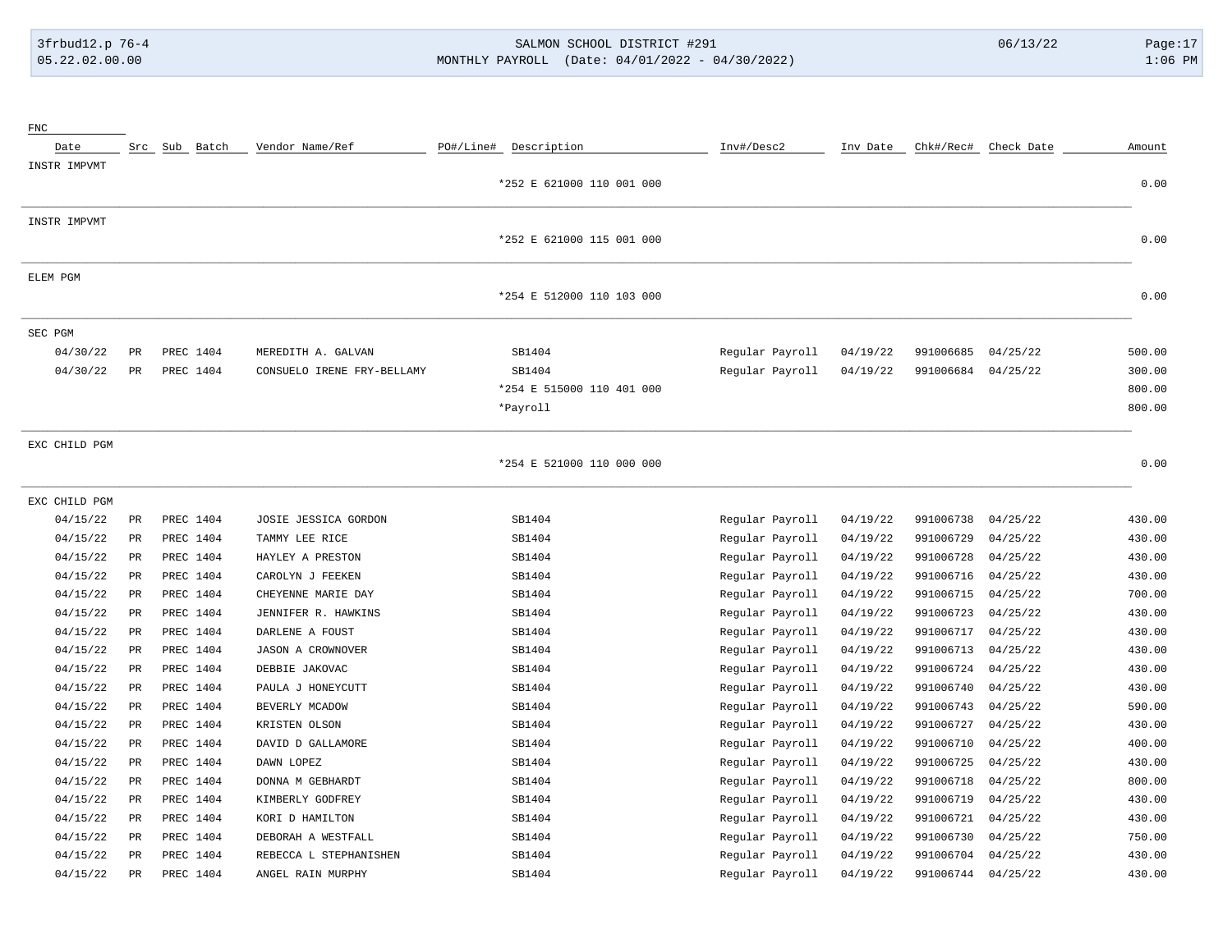# 3frbud12.p 76-4 SALMON SCHOOL DISTRICT #291 06/13/22 Page:17 05.22.02.00.00 MONTHLY PAYROLL (Date: 04/01/2022 - 04/30/2022) 1:06 PM

| ${\rm FNC}$   |                 |               |           |                            |           |                           |                 |          |           |            |        |
|---------------|-----------------|---------------|-----------|----------------------------|-----------|---------------------------|-----------------|----------|-----------|------------|--------|
| Date          |                 | Src Sub Batch |           | Vendor Name/Ref            | PO#/Line# | Description               | Inv#/Desc2      | Inv Date | Chk#/Rec# | Check Date | Amount |
| INSTR IMPVMT  |                 |               |           |                            |           |                           |                 |          |           |            |        |
|               |                 |               |           |                            |           | *252 E 621000 110 001 000 |                 |          |           |            | 0.00   |
| INSTR IMPVMT  |                 |               |           |                            |           |                           |                 |          |           |            |        |
|               |                 |               |           |                            |           | *252 E 621000 115 001 000 |                 |          |           |            | 0.00   |
| ELEM PGM      |                 |               |           |                            |           |                           |                 |          |           |            |        |
|               |                 |               |           |                            |           | *254 E 512000 110 103 000 |                 |          |           |            | 0.00   |
| SEC PGM       |                 |               |           |                            |           |                           |                 |          |           |            |        |
| 04/30/22      | PR              | PREC 1404     |           | MEREDITH A. GALVAN         |           | SB1404                    | Regular Payroll | 04/19/22 | 991006685 | 04/25/22   | 500.00 |
| 04/30/22      | PR              | PREC 1404     |           | CONSUELO IRENE FRY-BELLAMY |           | SB1404                    | Regular Payroll | 04/19/22 | 991006684 | 04/25/22   | 300.00 |
|               |                 |               |           |                            |           | *254 E 515000 110 401 000 |                 |          |           |            | 800.00 |
|               |                 |               |           |                            |           | *Payroll                  |                 |          |           |            | 800.00 |
| EXC CHILD PGM |                 |               |           |                            |           |                           |                 |          |           |            |        |
|               |                 |               |           |                            |           | *254 E 521000 110 000 000 |                 |          |           |            | 0.00   |
| EXC CHILD PGM |                 |               |           |                            |           |                           |                 |          |           |            |        |
| 04/15/22      | PR              | PREC 1404     |           | JOSIE JESSICA GORDON       |           | SB1404                    | Regular Payroll | 04/19/22 | 991006738 | 04/25/22   | 430.00 |
| 04/15/22      | PR              |               | PREC 1404 | TAMMY LEE RICE             |           | SB1404                    | Regular Payroll | 04/19/22 | 991006729 | 04/25/22   | 430.00 |
| 04/15/22      | $\mbox{\sf PR}$ | PREC 1404     |           | HAYLEY A PRESTON           |           | SB1404                    | Regular Payroll | 04/19/22 | 991006728 | 04/25/22   | 430.00 |
| 04/15/22      | PR              | PREC 1404     |           | CAROLYN J FEEKEN           |           | SB1404                    | Regular Payroll | 04/19/22 | 991006716 | 04/25/22   | 430.00 |
| 04/15/22      | PR              | PREC 1404     |           | CHEYENNE MARIE DAY         |           | SB1404                    | Regular Payroll | 04/19/22 | 991006715 | 04/25/22   | 700.00 |
| 04/15/22      | $_{\rm PR}$     | PREC 1404     |           | JENNIFER R. HAWKINS        |           | SB1404                    | Regular Payroll | 04/19/22 | 991006723 | 04/25/22   | 430.00 |
| 04/15/22      | PR              | PREC 1404     |           | DARLENE A FOUST            |           | SB1404                    | Regular Payroll | 04/19/22 | 991006717 | 04/25/22   | 430.00 |
| 04/15/22      | $_{\rm PR}$     | PREC 1404     |           | JASON A CROWNOVER          |           | SB1404                    | Regular Payroll | 04/19/22 | 991006713 | 04/25/22   | 430.00 |
| 04/15/22      | PR              | PREC 1404     |           | DEBBIE JAKOVAC             |           | SB1404                    | Regular Payroll | 04/19/22 | 991006724 | 04/25/22   | 430.00 |
| 04/15/22      | PR              | PREC 1404     |           | PAULA J HONEYCUTT          |           | SB1404                    | Regular Payroll | 04/19/22 | 991006740 | 04/25/22   | 430.00 |
| 04/15/22      | PR              | PREC 1404     |           | BEVERLY MCADOW             |           | SB1404                    | Regular Payroll | 04/19/22 | 991006743 | 04/25/22   | 590.00 |
| 04/15/22      | $_{\rm PR}$     | PREC 1404     |           | KRISTEN OLSON              |           | SB1404                    | Regular Payroll | 04/19/22 | 991006727 | 04/25/22   | 430.00 |
| 04/15/22      | PR              | PREC 1404     |           | DAVID D GALLAMORE          |           | SB1404                    | Regular Payroll | 04/19/22 | 991006710 | 04/25/22   | 400.00 |
| 04/15/22      | PR              |               | PREC 1404 | DAWN LOPEZ                 |           | SB1404                    | Regular Payroll | 04/19/22 | 991006725 | 04/25/22   | 430.00 |
| 04/15/22      | $_{\rm PR}$     | PREC 1404     |           | DONNA M GEBHARDT           |           | SB1404                    | Regular Payroll | 04/19/22 | 991006718 | 04/25/22   | 800.00 |
| 04/15/22      | $_{\rm PR}$     | PREC 1404     |           | KIMBERLY GODFREY           |           | SB1404                    | Regular Payroll | 04/19/22 | 991006719 | 04/25/22   | 430.00 |
| 04/15/22      | PR              | PREC 1404     |           | KORI D HAMILTON            |           | SB1404                    | Regular Payroll | 04/19/22 | 991006721 | 04/25/22   | 430.00 |
| 04/15/22      | PR              | PREC 1404     |           | DEBORAH A WESTFALL         |           | SB1404                    | Regular Payroll | 04/19/22 | 991006730 | 04/25/22   | 750.00 |
| 04/15/22      | PR              | PREC 1404     |           | REBECCA L STEPHANISHEN     |           | SB1404                    | Regular Payroll | 04/19/22 | 991006704 | 04/25/22   | 430.00 |
| 04/15/22      | $_{\rm PR}$     | PREC 1404     |           | ANGEL RAIN MURPHY          |           | SB1404                    | Regular Payroll | 04/19/22 | 991006744 | 04/25/22   | 430.00 |
|               |                 |               |           |                            |           |                           |                 |          |           |            |        |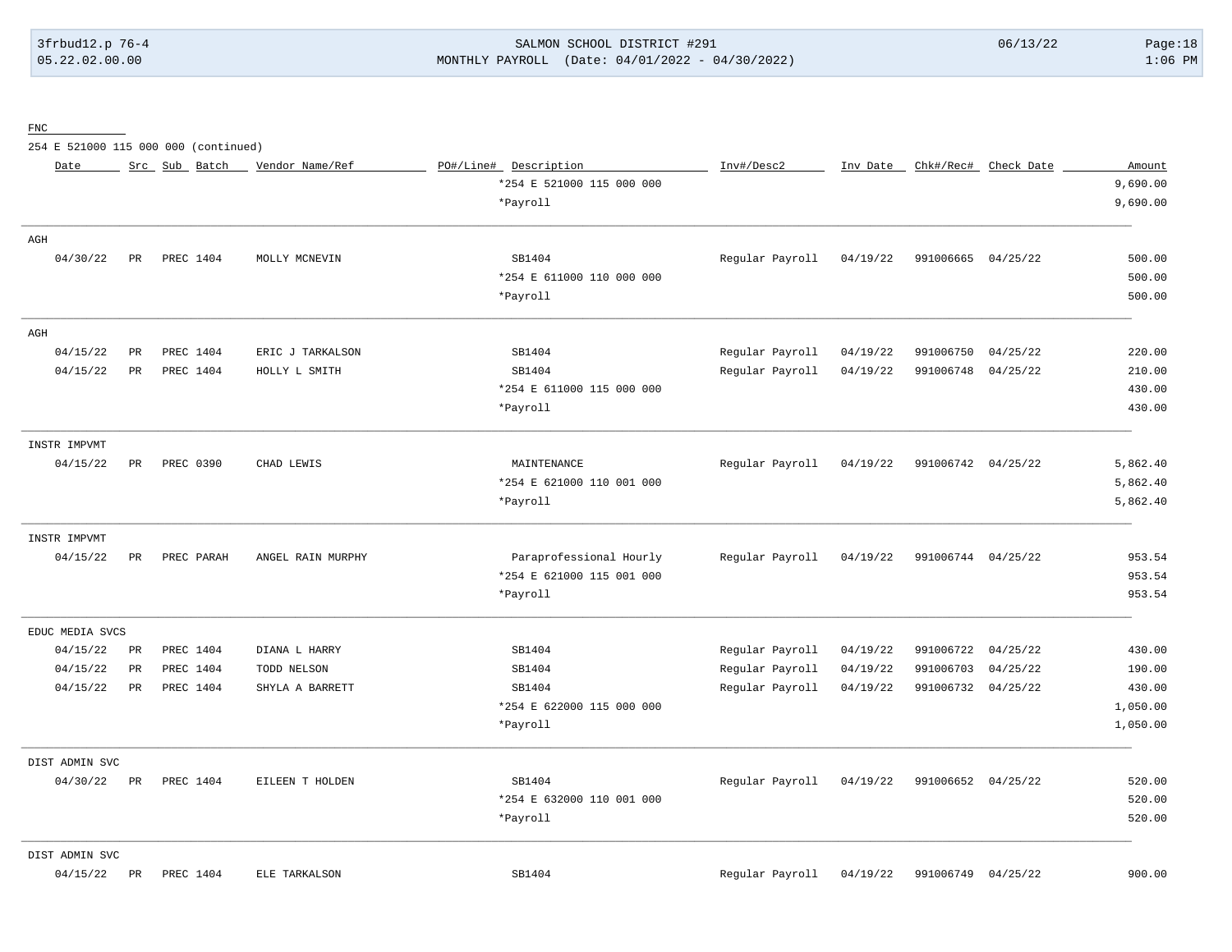# 3frbud12.p 76-4 SALMON SCHOOL DISTRICT #291 06/13/22 Page:18 05.22.02.00.00 MONTHLY PAYROLL (Date: 04/01/2022 - 04/30/2022) 1:06 PM

FNC

254 E 521000 115 000 000 (continued)

| Date            |             | Src Sub Batch | Vendor Name/Ref   | PO#/Line# Description     | Inv#/Desc2      | Inv Date | Chk#/Rec#          | Check Date | Amount   |
|-----------------|-------------|---------------|-------------------|---------------------------|-----------------|----------|--------------------|------------|----------|
|                 |             |               |                   | *254 E 521000 115 000 000 |                 |          |                    |            | 9,690.00 |
|                 |             |               |                   | *Payroll                  |                 |          |                    |            | 9,690.00 |
| AGH             |             |               |                   |                           |                 |          |                    |            |          |
| 04/30/22        | PR          | PREC 1404     | MOLLY MCNEVIN     | SB1404                    | Regular Payroll | 04/19/22 | 991006665          | 04/25/22   | 500.00   |
|                 |             |               |                   | *254 E 611000 110 000 000 |                 |          |                    |            | 500.00   |
|                 |             |               |                   | *Payroll                  |                 |          |                    |            | 500.00   |
| AGH             |             |               |                   |                           |                 |          |                    |            |          |
| 04/15/22        | $_{\rm PR}$ | PREC 1404     | ERIC J TARKALSON  | SB1404                    | Regular Payroll | 04/19/22 | 991006750          | 04/25/22   | 220.00   |
| 04/15/22        | PR          | PREC 1404     | HOLLY L SMITH     | SB1404                    | Regular Payroll | 04/19/22 | 991006748          | 04/25/22   | 210.00   |
|                 |             |               |                   | *254 E 611000 115 000 000 |                 |          |                    |            | 430.00   |
|                 |             |               |                   | *Payroll                  |                 |          |                    |            | 430.00   |
| INSTR IMPVMT    |             |               |                   |                           |                 |          |                    |            |          |
| 04/15/22        | $_{\rm PR}$ | PREC 0390     | CHAD LEWIS        | MAINTENANCE               | Regular Payroll | 04/19/22 | 991006742 04/25/22 |            | 5,862.40 |
|                 |             |               |                   | *254 E 621000 110 001 000 |                 |          |                    |            | 5,862.40 |
|                 |             |               |                   | *Payroll                  |                 |          |                    |            | 5,862.40 |
| INSTR IMPVMT    |             |               |                   |                           |                 |          |                    |            |          |
| 04/15/22        | PR          | PREC PARAH    | ANGEL RAIN MURPHY | Paraprofessional Hourly   | Regular Payroll | 04/19/22 | 991006744 04/25/22 |            | 953.54   |
|                 |             |               |                   | *254 E 621000 115 001 000 |                 |          |                    |            | 953.54   |
|                 |             |               |                   | *Payroll                  |                 |          |                    |            | 953.54   |
| EDUC MEDIA SVCS |             |               |                   |                           |                 |          |                    |            |          |
| 04/15/22        | $_{\rm PR}$ | PREC 1404     | DIANA L HARRY     | SB1404                    | Regular Payroll | 04/19/22 | 991006722          | 04/25/22   | 430.00   |
| 04/15/22        | PR          | PREC 1404     | TODD NELSON       | SB1404                    | Regular Payroll | 04/19/22 | 991006703          | 04/25/22   | 190.00   |
| 04/15/22        | PR          | PREC 1404     | SHYLA A BARRETT   | SB1404                    | Regular Payroll | 04/19/22 | 991006732          | 04/25/22   | 430.00   |
|                 |             |               |                   | *254 E 622000 115 000 000 |                 |          |                    |            | 1,050.00 |
|                 |             |               |                   | *Payroll                  |                 |          |                    |            | 1,050.00 |
| DIST ADMIN SVC  |             |               |                   |                           |                 |          |                    |            |          |
| 04/30/22        | PR          | PREC 1404     | EILEEN T HOLDEN   | SB1404                    | Regular Payroll | 04/19/22 | 991006652          | 04/25/22   | 520.00   |
|                 |             |               |                   | *254 E 632000 110 001 000 |                 |          |                    |            | 520.00   |
|                 |             |               |                   | *Payroll                  |                 |          |                    |            | 520.00   |
| DIST ADMIN SVC  |             |               |                   |                           |                 |          |                    |            |          |
| 04/15/22        | PR          | PREC 1404     | ELE TARKALSON     | SB1404                    | Reqular Payroll | 04/19/22 | 991006749          | 04/25/22   | 900.00   |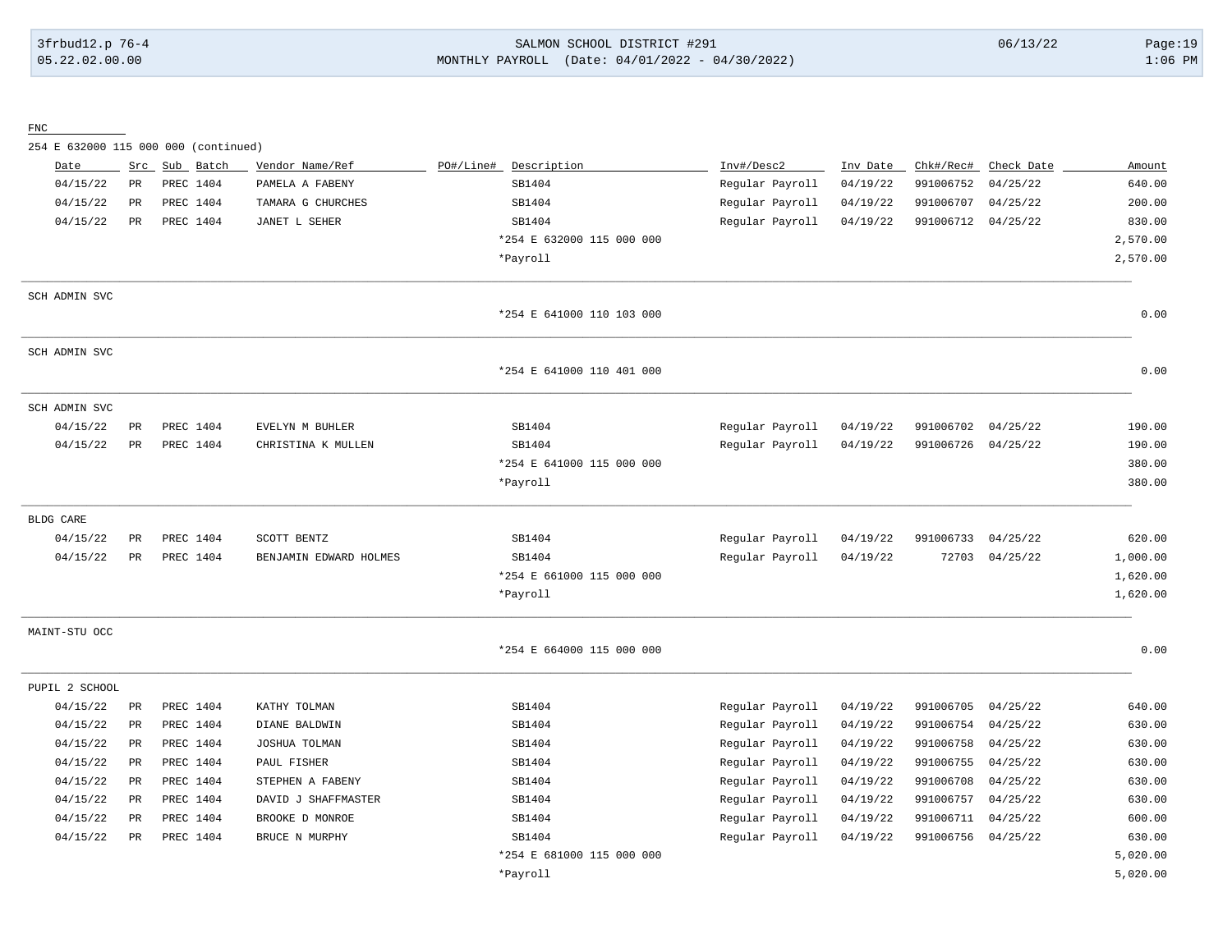# 3frbud12.p 76-4 SALMON SCHOOL DISTRICT #291 06/13/22 Page:19 05.22.02.00.00 MONTHLY PAYROLL (Date: 04/01/2022 - 04/30/2022) 1:06 PM

#### FNC

254 E 632000 115 000 000 (continued)

| Date           | Src         | Sub Batch | Vendor Name/Ref        | PO#/Line#<br>Description  | Inv#/Desc2      | Inv Date | Chk#/Rec# | Check Date | Amount   |
|----------------|-------------|-----------|------------------------|---------------------------|-----------------|----------|-----------|------------|----------|
| 04/15/22       | $_{\rm PR}$ | PREC 1404 | PAMELA A FABENY        | SB1404                    | Regular Payroll | 04/19/22 | 991006752 | 04/25/22   | 640.00   |
| 04/15/22       | PR          | PREC 1404 | TAMARA G CHURCHES      | SB1404                    | Regular Payroll | 04/19/22 | 991006707 | 04/25/22   | 200.00   |
| 04/15/22       | PR          | PREC 1404 | JANET L SEHER          | SB1404                    | Regular Payroll | 04/19/22 | 991006712 | 04/25/22   | 830.00   |
|                |             |           |                        | *254 E 632000 115 000 000 |                 |          |           |            | 2,570.00 |
|                |             |           |                        | *Payroll                  |                 |          |           |            | 2,570.00 |
| SCH ADMIN SVC  |             |           |                        |                           |                 |          |           |            |          |
|                |             |           |                        | *254 E 641000 110 103 000 |                 |          |           |            | 0.00     |
| SCH ADMIN SVC  |             |           |                        |                           |                 |          |           |            |          |
|                |             |           |                        | *254 E 641000 110 401 000 |                 |          |           |            | 0.00     |
| SCH ADMIN SVC  |             |           |                        |                           |                 |          |           |            |          |
| 04/15/22       | $_{\rm PR}$ | PREC 1404 | EVELYN M BUHLER        | SB1404                    | Regular Payroll | 04/19/22 | 991006702 | 04/25/22   | 190.00   |
| 04/15/22       | PR          | PREC 1404 | CHRISTINA K MULLEN     | SB1404                    | Regular Payroll | 04/19/22 | 991006726 | 04/25/22   | 190.00   |
|                |             |           |                        | *254 E 641000 115 000 000 |                 |          |           |            | 380.00   |
|                |             |           |                        | *Payroll                  |                 |          |           |            | 380.00   |
| BLDG CARE      |             |           |                        |                           |                 |          |           |            |          |
| 04/15/22       | PR          | PREC 1404 | SCOTT BENTZ            | SB1404                    | Regular Payroll | 04/19/22 | 991006733 | 04/25/22   | 620.00   |
| 04/15/22       | PR          | PREC 1404 | BENJAMIN EDWARD HOLMES | SB1404                    | Regular Payroll | 04/19/22 | 72703     | 04/25/22   | 1,000.00 |
|                |             |           |                        | *254 E 661000 115 000 000 |                 |          |           |            | 1,620.00 |
|                |             |           |                        | *Payroll                  |                 |          |           |            | 1,620.00 |
| MAINT-STU OCC  |             |           |                        |                           |                 |          |           |            |          |
|                |             |           |                        | *254 E 664000 115 000 000 |                 |          |           |            | 0.00     |
| PUPIL 2 SCHOOL |             |           |                        |                           |                 |          |           |            |          |
| 04/15/22       | PR          | PREC 1404 | KATHY TOLMAN           | SB1404                    | Regular Payroll | 04/19/22 | 991006705 | 04/25/22   | 640.00   |
| 04/15/22       | PR          | PREC 1404 | DIANE BALDWIN          | SB1404                    | Regular Payroll | 04/19/22 | 991006754 | 04/25/22   | 630.00   |
| 04/15/22       | $_{\rm PR}$ | PREC 1404 | JOSHUA TOLMAN          | SB1404                    | Regular Payroll | 04/19/22 | 991006758 | 04/25/22   | 630.00   |
| 04/15/22       | $_{\rm PR}$ | PREC 1404 | PAUL FISHER            | SB1404                    | Regular Payroll | 04/19/22 | 991006755 | 04/25/22   | 630.00   |
| 04/15/22       | PR          | PREC 1404 | STEPHEN A FABENY       | SB1404                    | Regular Payroll | 04/19/22 | 991006708 | 04/25/22   | 630.00   |
| 04/15/22       | $_{\rm PR}$ | PREC 1404 | DAVID J SHAFFMASTER    | SB1404                    | Regular Payroll | 04/19/22 | 991006757 | 04/25/22   | 630.00   |
| 04/15/22       | $_{\rm PR}$ | PREC 1404 | BROOKE D MONROE        | SB1404                    | Regular Payroll | 04/19/22 | 991006711 | 04/25/22   | 600.00   |
| 04/15/22       | $_{\rm PR}$ | PREC 1404 | BRUCE N MURPHY         | SB1404                    | Regular Payroll | 04/19/22 | 991006756 | 04/25/22   | 630.00   |
|                |             |           |                        | *254 E 681000 115 000 000 |                 |          |           |            | 5,020.00 |
|                |             |           |                        | *Payroll                  |                 |          |           |            | 5,020.00 |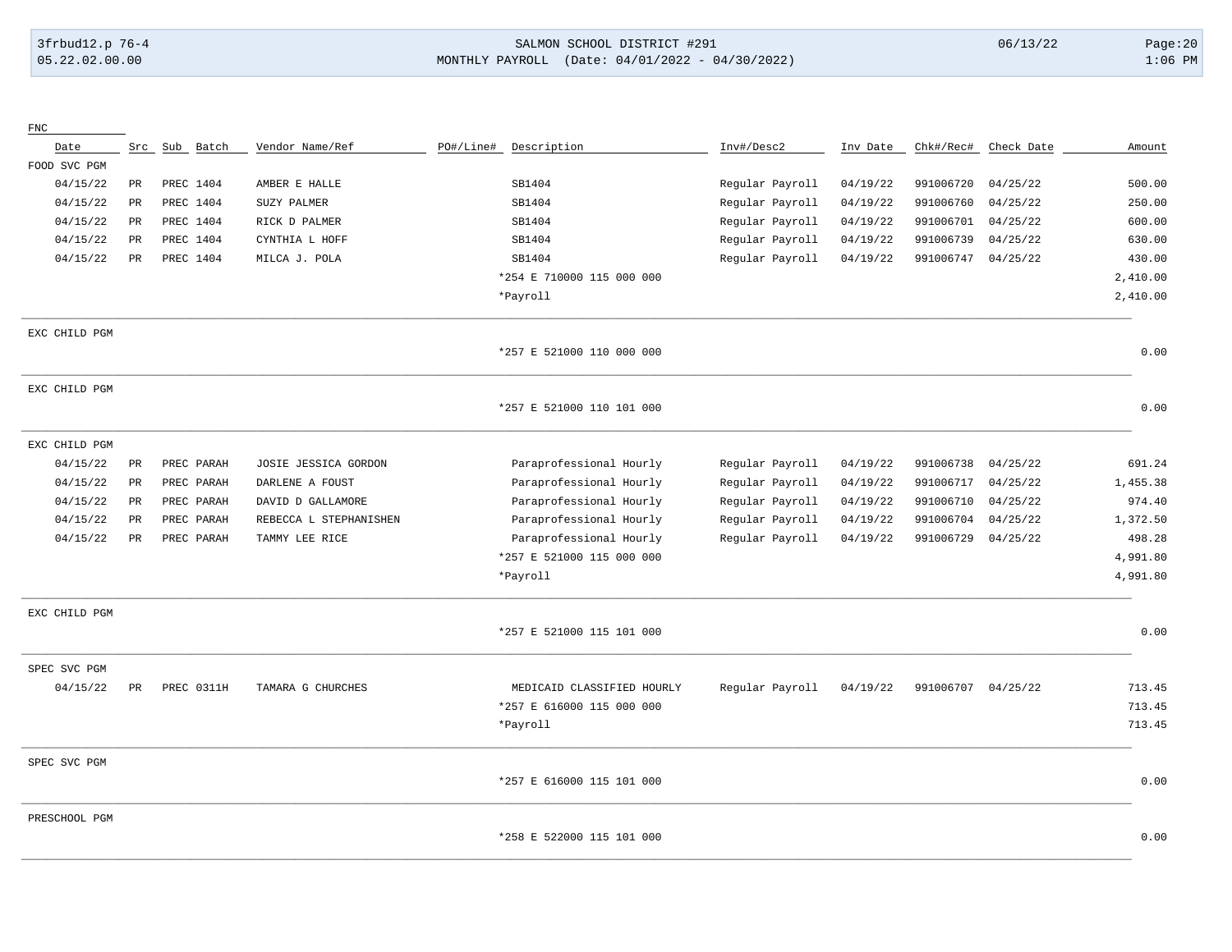# 3frbud12.p 76-4 SALMON SCHOOL DISTRICT #291 06/13/22 Page:20 05.22.02.00.00 MONTHLY PAYROLL (Date: 04/01/2022 - 04/30/2022) 1:06 PM

| ${\rm FNC}$   |                 |            |                        |           |                            |                 |          |                    |            |          |
|---------------|-----------------|------------|------------------------|-----------|----------------------------|-----------------|----------|--------------------|------------|----------|
| Date          | Src             | Sub Batch  | Vendor Name/Ref        | PO#/Line# | Description                | Inv#/Desc2      | Inv Date | Chk#/Rec#          | Check Date | Amount   |
| FOOD SVC PGM  |                 |            |                        |           |                            |                 |          |                    |            |          |
| 04/15/22      | PR              | PREC 1404  | AMBER E HALLE          |           | SB1404                     | Regular Payroll | 04/19/22 | 991006720          | 04/25/22   | 500.00   |
| 04/15/22      | $\mathtt{PR}$   | PREC 1404  | SUZY PALMER            |           | SB1404                     | Regular Payroll | 04/19/22 | 991006760          | 04/25/22   | 250.00   |
| 04/15/22      | $_{\rm PR}$     | PREC 1404  | RICK D PALMER          |           | SB1404                     | Regular Payroll | 04/19/22 | 991006701          | 04/25/22   | 600.00   |
| 04/15/22      | $_{\rm PR}$     | PREC 1404  | CYNTHIA L HOFF         |           | SB1404                     | Regular Payroll | 04/19/22 | 991006739          | 04/25/22   | 630.00   |
| 04/15/22      | PR              | PREC 1404  | MILCA J. POLA          |           | SB1404                     | Regular Payroll | 04/19/22 | 991006747          | 04/25/22   | 430.00   |
|               |                 |            |                        |           | *254 E 710000 115 000 000  |                 |          |                    |            | 2,410.00 |
|               |                 |            |                        |           | *Payroll                   |                 |          |                    |            | 2,410.00 |
| EXC CHILD PGM |                 |            |                        |           |                            |                 |          |                    |            |          |
|               |                 |            |                        |           | *257 E 521000 110 000 000  |                 |          |                    |            | 0.00     |
| EXC CHILD PGM |                 |            |                        |           |                            |                 |          |                    |            |          |
|               |                 |            |                        |           | *257 E 521000 110 101 000  |                 |          |                    |            | 0.00     |
| EXC CHILD PGM |                 |            |                        |           |                            |                 |          |                    |            |          |
| 04/15/22      | $_{\rm PR}$     | PREC PARAH | JOSIE JESSICA GORDON   |           | Paraprofessional Hourly    | Regular Payroll | 04/19/22 | 991006738          | 04/25/22   | 691.24   |
| 04/15/22      | $\mbox{\sf PR}$ | PREC PARAH | DARLENE A FOUST        |           | Paraprofessional Hourly    | Regular Payroll | 04/19/22 | 991006717          | 04/25/22   | 1,455.38 |
| 04/15/22      | <b>PR</b>       | PREC PARAH | DAVID D GALLAMORE      |           | Paraprofessional Hourly    | Regular Payroll | 04/19/22 | 991006710          | 04/25/22   | 974.40   |
| 04/15/22      | <b>PR</b>       | PREC PARAH | REBECCA L STEPHANISHEN |           | Paraprofessional Hourly    | Regular Payroll | 04/19/22 | 991006704          | 04/25/22   | 1,372.50 |
| 04/15/22      | PR              | PREC PARAH | TAMMY LEE RICE         |           | Paraprofessional Hourly    | Regular Payroll | 04/19/22 | 991006729          | 04/25/22   | 498.28   |
|               |                 |            |                        |           | *257 E 521000 115 000 000  |                 |          |                    |            | 4,991.80 |
|               |                 |            |                        |           | *Payroll                   |                 |          |                    |            | 4,991.80 |
| EXC CHILD PGM |                 |            |                        |           |                            |                 |          |                    |            |          |
|               |                 |            |                        |           | *257 E 521000 115 101 000  |                 |          |                    |            | 0.00     |
| SPEC SVC PGM  |                 |            |                        |           |                            |                 |          |                    |            |          |
| 04/15/22      | PR              | PREC 0311H | TAMARA G CHURCHES      |           | MEDICAID CLASSIFIED HOURLY | Regular Payroll | 04/19/22 | 991006707 04/25/22 |            | 713.45   |
|               |                 |            |                        |           | *257 E 616000 115 000 000  |                 |          |                    |            | 713.45   |
|               |                 |            |                        |           | *Payroll                   |                 |          |                    |            | 713.45   |
| SPEC SVC PGM  |                 |            |                        |           |                            |                 |          |                    |            |          |
|               |                 |            |                        |           | *257 E 616000 115 101 000  |                 |          |                    |            | 0.00     |
| PRESCHOOL PGM |                 |            |                        |           |                            |                 |          |                    |            |          |
|               |                 |            |                        |           | *258 E 522000 115 101 000  |                 |          |                    |            | 0.00     |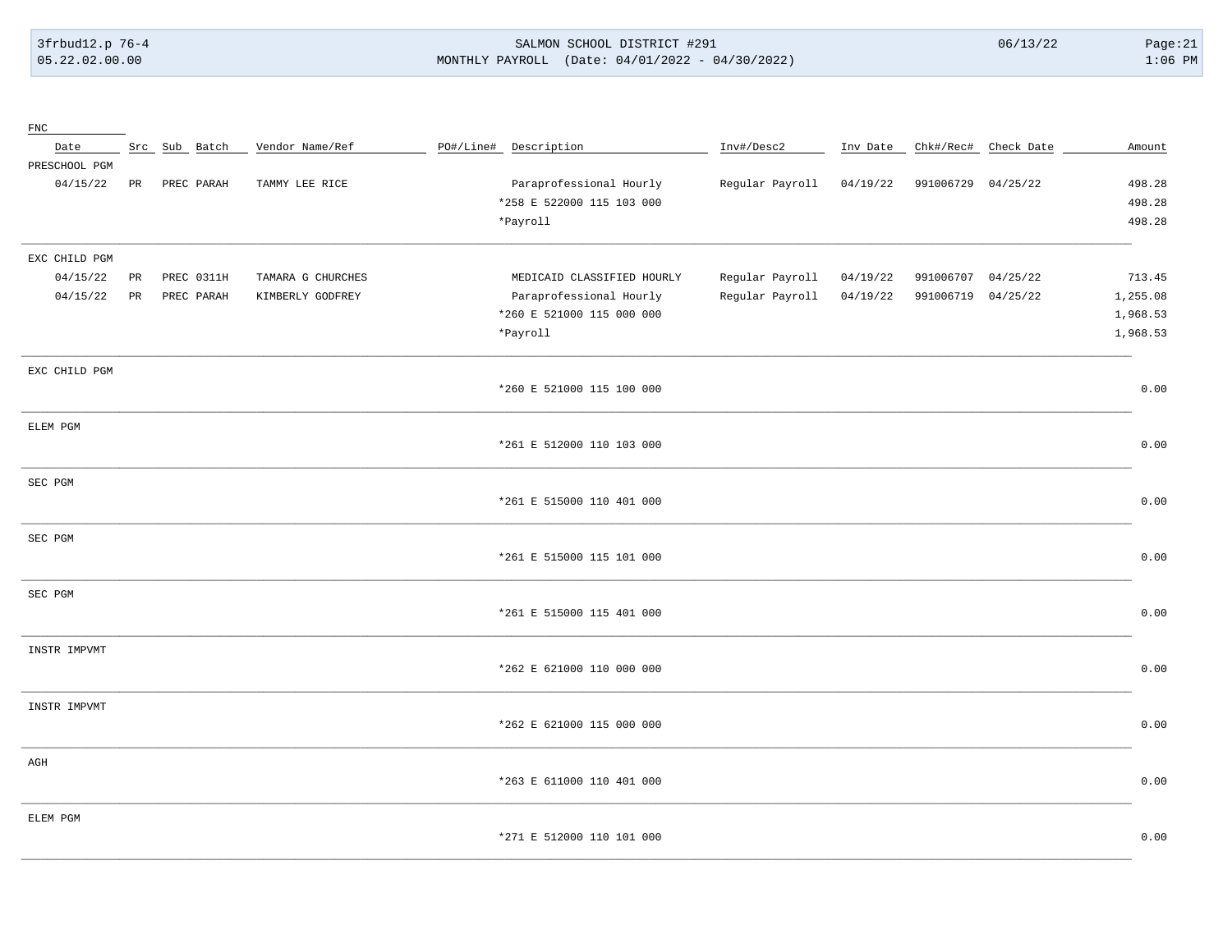3frbud12.p 76-4 05.22.02.00.00

#### SALMON SCHOOL DISTRICT #291 MONTHLY PAYROLL (Date: 04/01/2022 - 04/30/2022)

 $06/13/22$ 

 $Page:21$  $1:06$  PM

| ${\rm FNC}$   |                 |               |                   |                            |                 |          |                    |                      |          |
|---------------|-----------------|---------------|-------------------|----------------------------|-----------------|----------|--------------------|----------------------|----------|
| Date          |                 | Src Sub Batch | Vendor Name/Ref   | PO#/Line# Description      | Inv#/Desc2      | Inv Date |                    | Chk#/Rec# Check Date | Amount   |
| PRESCHOOL PGM |                 |               |                   |                            |                 |          |                    |                      |          |
| 04/15/22      | PR              | PREC PARAH    | TAMMY LEE RICE    | Paraprofessional Hourly    | Regular Payroll | 04/19/22 | 991006729 04/25/22 |                      | 498.28   |
|               |                 |               |                   | *258 E 522000 115 103 000  |                 |          |                    |                      | 498.28   |
|               |                 |               |                   | *Payroll                   |                 |          |                    |                      | 498.28   |
| EXC CHILD PGM |                 |               |                   |                            |                 |          |                    |                      |          |
| 04/15/22      | PR              | PREC 0311H    | TAMARA G CHURCHES | MEDICAID CLASSIFIED HOURLY | Regular Payroll | 04/19/22 | 991006707          | 04/25/22             | 713.45   |
| 04/15/22      | $\mbox{\sf PR}$ | PREC PARAH    | KIMBERLY GODFREY  | Paraprofessional Hourly    | Regular Payroll | 04/19/22 | 991006719          | 04/25/22             | 1,255.08 |
|               |                 |               |                   | *260 E 521000 115 000 000  |                 |          |                    |                      | 1,968.53 |
|               |                 |               |                   | *Payroll                   |                 |          |                    |                      | 1,968.53 |
|               |                 |               |                   |                            |                 |          |                    |                      |          |
| EXC CHILD PGM |                 |               |                   |                            |                 |          |                    |                      |          |
|               |                 |               |                   | *260 E 521000 115 100 000  |                 |          |                    |                      | 0.00     |
| ELEM PGM      |                 |               |                   |                            |                 |          |                    |                      |          |
|               |                 |               |                   | *261 E 512000 110 103 000  |                 |          |                    |                      | 0.00     |
|               |                 |               |                   |                            |                 |          |                    |                      |          |
| SEC PGM       |                 |               |                   |                            |                 |          |                    |                      |          |
|               |                 |               |                   | *261 E 515000 110 401 000  |                 |          |                    |                      | 0.00     |
| SEC PGM       |                 |               |                   |                            |                 |          |                    |                      |          |
|               |                 |               |                   | *261 E 515000 115 101 000  |                 |          |                    |                      | 0.00     |
|               |                 |               |                   |                            |                 |          |                    |                      |          |
| SEC PGM       |                 |               |                   |                            |                 |          |                    |                      |          |
|               |                 |               |                   | *261 E 515000 115 401 000  |                 |          |                    |                      | 0.00     |
| INSTR IMPVMT  |                 |               |                   |                            |                 |          |                    |                      |          |
|               |                 |               |                   | *262 E 621000 110 000 000  |                 |          |                    |                      | 0.00     |
|               |                 |               |                   |                            |                 |          |                    |                      |          |
| INSTR IMPVMT  |                 |               |                   |                            |                 |          |                    |                      |          |
|               |                 |               |                   | *262 E 621000 115 000 000  |                 |          |                    |                      | 0.00     |
| $\rm{AGH}$    |                 |               |                   |                            |                 |          |                    |                      |          |
|               |                 |               |                   | *263 E 611000 110 401 000  |                 |          |                    |                      | 0.00     |
|               |                 |               |                   |                            |                 |          |                    |                      |          |
| ELEM PGM      |                 |               |                   |                            |                 |          |                    |                      |          |
|               |                 |               |                   | *271 E 512000 110 101 000  |                 |          |                    |                      | 0.00     |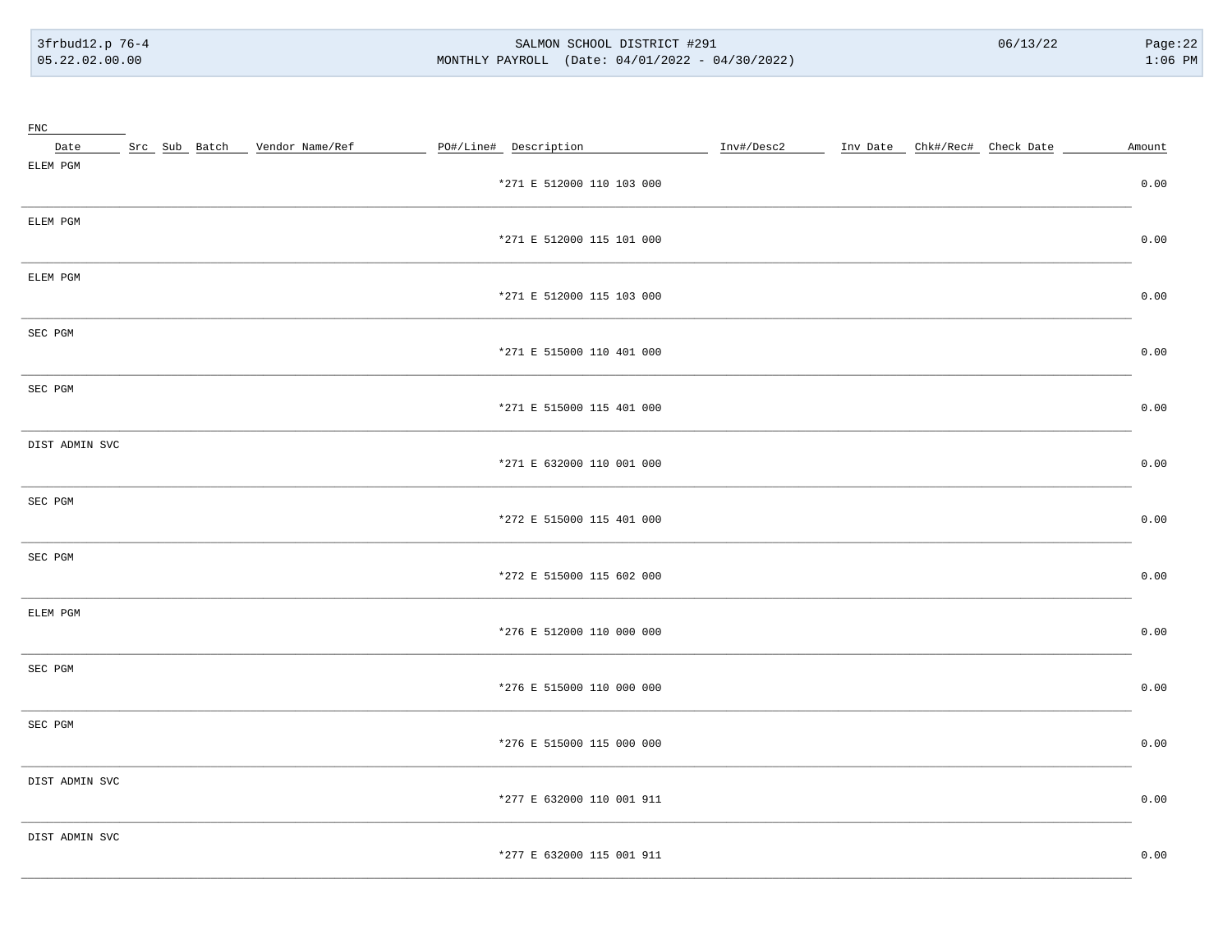3frbud12.p 76-4 05.22.02.00.00

#### SALMON SCHOOL DISTRICT #291 MONTHLY PAYROLL (Date: 04/01/2022 - 04/30/2022)

 $06/13/22$ 

| ${\rm FNC}$    |                               |                           |                                          |        |
|----------------|-------------------------------|---------------------------|------------------------------------------|--------|
| Date           | Src Sub Batch Vendor Name/Ref | PO#/Line# Description     | Inv#/Desc2 Inv Date Chk#/Rec# Check Date | Amount |
| ELEM PGM       |                               | *271 E 512000 110 103 000 |                                          | 0.00   |
| ELEM PGM       |                               | *271 E 512000 115 101 000 |                                          | 0.00   |
| ELEM PGM       |                               | *271 E 512000 115 103 000 |                                          | 0.00   |
| SEC PGM        |                               | *271 E 515000 110 401 000 |                                          | 0.00   |
| SEC PGM        |                               | *271 E 515000 115 401 000 |                                          | 0.00   |
| DIST ADMIN SVC |                               | *271 E 632000 110 001 000 |                                          | 0.00   |
| SEC PGM        |                               | *272 E 515000 115 401 000 |                                          | 0.00   |
| SEC PGM        |                               | *272 E 515000 115 602 000 |                                          | 0.00   |
| ELEM PGM       |                               | *276 E 512000 110 000 000 |                                          | 0.00   |
| SEC PGM        |                               | *276 E 515000 110 000 000 |                                          | 0.00   |
| SEC PGM        |                               | *276 E 515000 115 000 000 |                                          | 0.00   |
| DIST ADMIN SVC |                               | *277 E 632000 110 001 911 |                                          | 0.00   |
| DIST ADMIN SVC |                               | *277 E 632000 115 001 911 |                                          | 0.00   |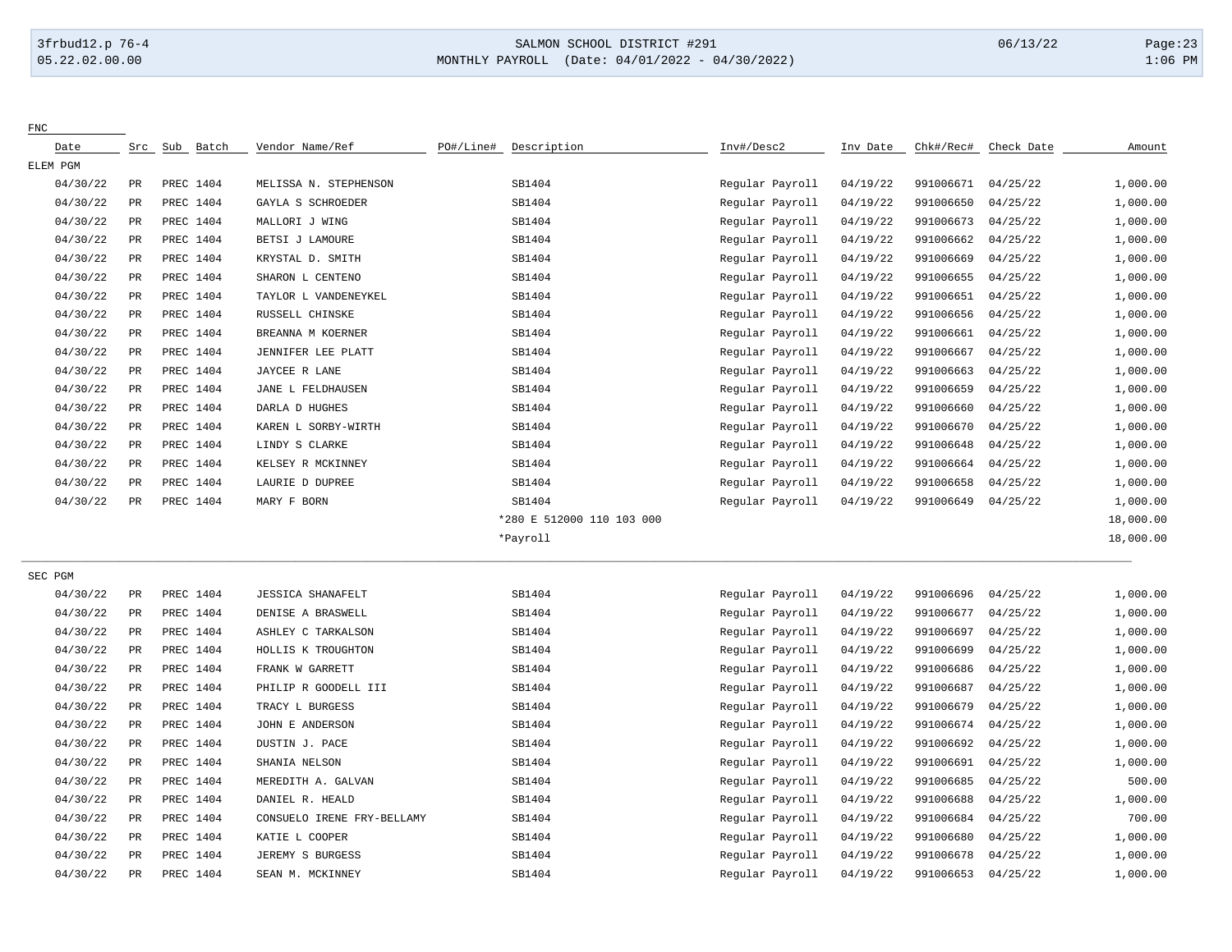FNC

# 3frbud12.p 76-4 SALMON SCHOOL DISTRICT #291 06/13/22 Page:23 05.22.02.00.00 MONTHLY PAYROLL (Date: 04/01/2022 - 04/30/2022) 1:06 PM

| Date     | Src             | Sub<br>Batch | Vendor Name/Ref            | PO#/Line# | Description               | Inv#/Desc2      | Inv Date | Chk#/Rec# | Check Date | Amount    |
|----------|-----------------|--------------|----------------------------|-----------|---------------------------|-----------------|----------|-----------|------------|-----------|
| ELEM PGM |                 |              |                            |           |                           |                 |          |           |            |           |
| 04/30/22 | $_{\rm PR}$     | PREC 1404    | MELISSA N. STEPHENSON      |           | SB1404                    | Regular Payroll | 04/19/22 | 991006671 | 04/25/22   | 1,000.00  |
| 04/30/22 | PR              | PREC 1404    | GAYLA S SCHROEDER          |           | SB1404                    | Regular Payroll | 04/19/22 | 991006650 | 04/25/22   | 1,000.00  |
| 04/30/22 | $\mbox{\sf PR}$ | PREC 1404    | MALLORI J WING             |           | SB1404                    | Regular Payroll | 04/19/22 | 991006673 | 04/25/22   | 1,000.00  |
| 04/30/22 | PR              | PREC 1404    | BETSI J LAMOURE            |           | SB1404                    | Regular Payroll | 04/19/22 | 991006662 | 04/25/22   | 1,000.00  |
| 04/30/22 | $_{\rm PR}$     | PREC 1404    | KRYSTAL D. SMITH           |           | SB1404                    | Regular Payroll | 04/19/22 | 991006669 | 04/25/22   | 1,000.00  |
| 04/30/22 | PR              | PREC 1404    | SHARON L CENTENO           |           | SB1404                    | Regular Payroll | 04/19/22 | 991006655 | 04/25/22   | 1,000.00  |
| 04/30/22 | $_{\rm PR}$     | PREC 1404    | TAYLOR L VANDENEYKEL       |           | SB1404                    | Regular Payroll | 04/19/22 | 991006651 | 04/25/22   | 1,000.00  |
| 04/30/22 | PR              | PREC 1404    | RUSSELL CHINSKE            |           | SB1404                    | Regular Payroll | 04/19/22 | 991006656 | 04/25/22   | 1,000.00  |
| 04/30/22 | PR              | PREC 1404    | BREANNA M KOERNER          |           | SB1404                    | Regular Payroll | 04/19/22 | 991006661 | 04/25/22   | 1,000.00  |
| 04/30/22 | PR              | PREC 1404    | JENNIFER LEE PLATT         |           | SB1404                    | Regular Payroll | 04/19/22 | 991006667 | 04/25/22   | 1,000.00  |
| 04/30/22 | $_{\rm PR}$     | PREC 1404    | JAYCEE R LANE              |           | SB1404                    | Regular Payroll | 04/19/22 | 991006663 | 04/25/22   | 1,000.00  |
| 04/30/22 | $_{\rm PR}$     | PREC 1404    | JANE L FELDHAUSEN          |           | SB1404                    | Regular Payroll | 04/19/22 | 991006659 | 04/25/22   | 1,000.00  |
| 04/30/22 | $_{\rm PR}$     | PREC 1404    | DARLA D HUGHES             |           | SB1404                    | Regular Payroll | 04/19/22 | 991006660 | 04/25/22   | 1,000.00  |
| 04/30/22 | PR              | PREC 1404    | KAREN L SORBY-WIRTH        |           | SB1404                    | Regular Payroll | 04/19/22 | 991006670 | 04/25/22   | 1,000.00  |
| 04/30/22 | $_{\rm PR}$     | PREC 1404    | LINDY S CLARKE             |           | SB1404                    | Regular Payroll | 04/19/22 | 991006648 | 04/25/22   | 1,000.00  |
| 04/30/22 | PR              | PREC 1404    | KELSEY R MCKINNEY          |           | SB1404                    | Regular Payroll | 04/19/22 | 991006664 | 04/25/22   | 1,000.00  |
| 04/30/22 | PR              | PREC 1404    | LAURIE D DUPREE            |           | SB1404                    | Regular Payroll | 04/19/22 | 991006658 | 04/25/22   | 1,000.00  |
| 04/30/22 | PR              | PREC 1404    | MARY F BORN                |           | SB1404                    | Regular Payroll | 04/19/22 | 991006649 | 04/25/22   | 1,000.00  |
|          |                 |              |                            |           | *280 E 512000 110 103 000 |                 |          |           |            | 18,000.00 |
|          |                 |              |                            |           | *Payroll                  |                 |          |           |            | 18,000.00 |
| SEC PGM  |                 |              |                            |           |                           |                 |          |           |            |           |
| 04/30/22 | $\mbox{\sf PR}$ | PREC 1404    | <b>JESSICA SHANAFELT</b>   |           | SB1404                    | Regular Payroll | 04/19/22 | 991006696 | 04/25/22   | 1,000.00  |
| 04/30/22 | PR              | PREC 1404    | DENISE A BRASWELL          |           | SB1404                    | Regular Payroll | 04/19/22 | 991006677 | 04/25/22   | 1,000.00  |
| 04/30/22 | PR              | PREC 1404    | ASHLEY C TARKALSON         |           | SB1404                    | Regular Payroll | 04/19/22 | 991006697 | 04/25/22   | 1,000.00  |
| 04/30/22 | PR              | PREC 1404    | HOLLIS K TROUGHTON         |           | SB1404                    | Regular Payroll | 04/19/22 | 991006699 | 04/25/22   | 1,000.00  |
| 04/30/22 | $_{\rm PR}$     | PREC 1404    | FRANK W GARRETT            |           | SB1404                    | Regular Payroll | 04/19/22 | 991006686 | 04/25/22   | 1,000.00  |
| 04/30/22 | $_{\rm PR}$     | PREC 1404    | PHILIP R GOODELL III       |           | SB1404                    | Regular Payroll | 04/19/22 | 991006687 | 04/25/22   | 1,000.00  |
| 04/30/22 | $_{\rm PR}$     | PREC 1404    | TRACY L BURGESS            |           | SB1404                    | Regular Payroll | 04/19/22 | 991006679 | 04/25/22   | 1,000.00  |
| 04/30/22 | PR              | PREC 1404    | JOHN E ANDERSON            |           | SB1404                    | Regular Payroll | 04/19/22 | 991006674 | 04/25/22   | 1,000.00  |
| 04/30/22 | $_{\rm PR}$     | PREC 1404    | DUSTIN J. PACE             |           | SB1404                    | Regular Payroll | 04/19/22 | 991006692 | 04/25/22   | 1,000.00  |
| 04/30/22 | $_{\rm PR}$     | PREC 1404    | SHANIA NELSON              |           | SB1404                    | Regular Payroll | 04/19/22 | 991006691 | 04/25/22   | 1,000.00  |
| 04/30/22 | PR              | PREC 1404    | MEREDITH A. GALVAN         |           | SB1404                    | Regular Payroll | 04/19/22 | 991006685 | 04/25/22   | 500.00    |
| 04/30/22 | PR              | PREC 1404    | DANIEL R. HEALD            |           | SB1404                    | Regular Payroll | 04/19/22 | 991006688 | 04/25/22   | 1,000.00  |
| 04/30/22 | $\mbox{\sf PR}$ | PREC 1404    | CONSUELO IRENE FRY-BELLAMY |           | SB1404                    | Regular Payroll | 04/19/22 | 991006684 | 04/25/22   | 700.00    |
| 04/30/22 | $_{\rm PR}$     | PREC 1404    | KATIE L COOPER             |           | SB1404                    | Regular Payroll | 04/19/22 | 991006680 | 04/25/22   | 1,000.00  |
| 04/30/22 | PR              | PREC 1404    | JEREMY S BURGESS           |           | SB1404                    | Regular Payroll | 04/19/22 | 991006678 | 04/25/22   | 1,000.00  |
| 04/30/22 | $_{\rm PR}$     | PREC 1404    | SEAN M. MCKINNEY           |           | SB1404                    | Regular Payroll | 04/19/22 | 991006653 | 04/25/22   | 1,000.00  |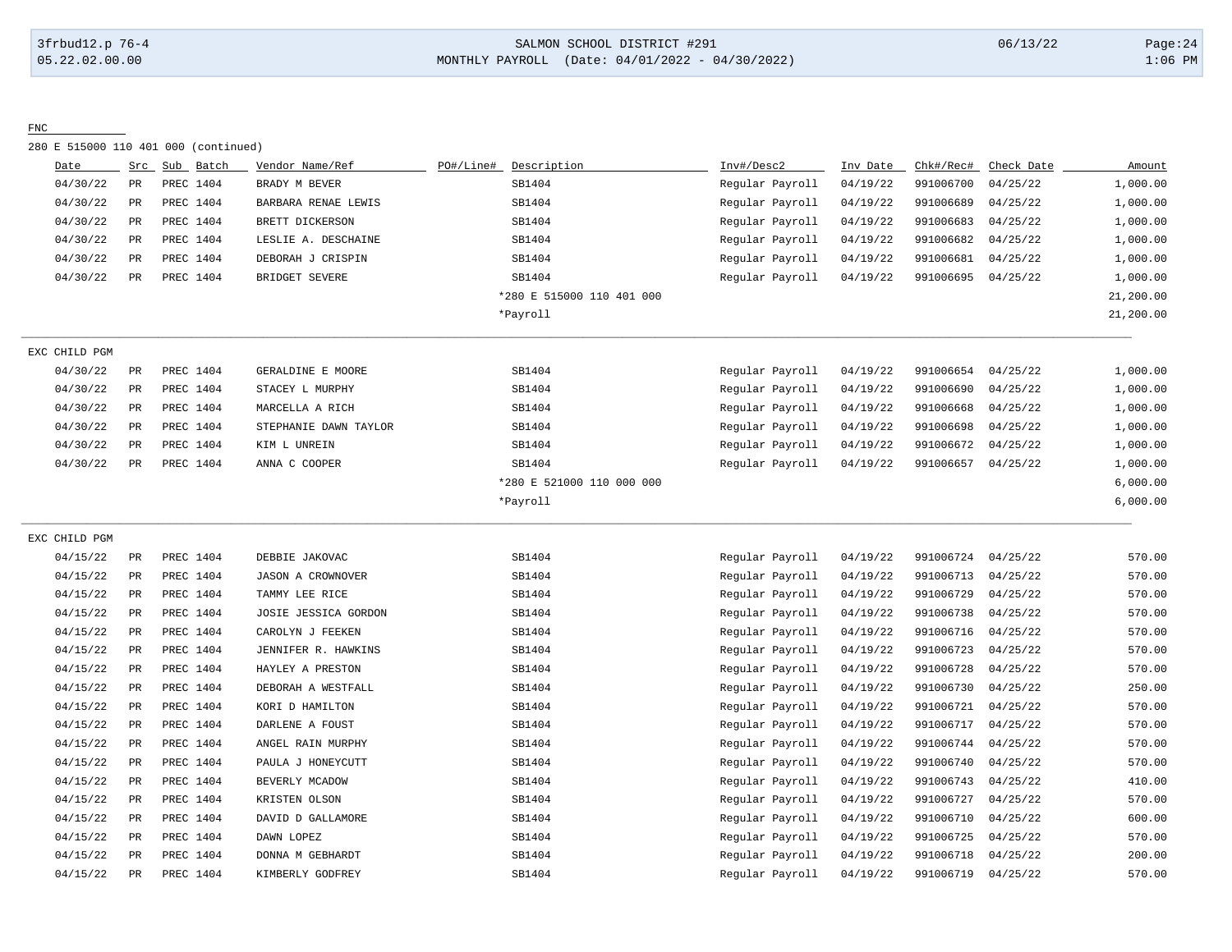# 3frbud12.p 76-4 SALMON SCHOOL DISTRICT #291 06/13/22 Page:24 05.22.02.00.00 MONTHLY PAYROLL (Date: 04/01/2022 - 04/30/2022) 1:06 PM

#### FNC

280 E 515000 110 401 000 (continued)

| Date          | Src         | Sub Batch | Vendor Name/Ref       | PO#/Line#<br>Description  | Inv#/Desc2      | Inv Date | Chk#/Rec# | Check Date | Amount    |
|---------------|-------------|-----------|-----------------------|---------------------------|-----------------|----------|-----------|------------|-----------|
| 04/30/22      | PR          | PREC 1404 | BRADY M BEVER         | SB1404                    | Regular Payroll | 04/19/22 | 991006700 | 04/25/22   | 1,000.00  |
| 04/30/22      | PR          | PREC 1404 | BARBARA RENAE LEWIS   | SB1404                    | Regular Payroll | 04/19/22 | 991006689 | 04/25/22   | 1,000.00  |
| 04/30/22      | PR          | PREC 1404 | BRETT DICKERSON       | SB1404                    | Regular Payroll | 04/19/22 | 991006683 | 04/25/22   | 1,000.00  |
| 04/30/22      | $_{\rm PR}$ | PREC 1404 | LESLIE A. DESCHAINE   | SB1404                    | Regular Payroll | 04/19/22 | 991006682 | 04/25/22   | 1,000.00  |
| 04/30/22      | PR          | PREC 1404 | DEBORAH J CRISPIN     | SB1404                    | Regular Payroll | 04/19/22 | 991006681 | 04/25/22   | 1,000.00  |
| 04/30/22      | PR          | PREC 1404 | BRIDGET SEVERE        | SB1404                    | Regular Payroll | 04/19/22 | 991006695 | 04/25/22   | 1,000.00  |
|               |             |           |                       | *280 E 515000 110 401 000 |                 |          |           |            | 21,200.00 |
|               |             |           |                       | *Payroll                  |                 |          |           |            | 21,200.00 |
| EXC CHILD PGM |             |           |                       |                           |                 |          |           |            |           |
| 04/30/22      | $_{\rm PR}$ | PREC 1404 | GERALDINE E MOORE     | SB1404                    | Regular Payroll | 04/19/22 | 991006654 | 04/25/22   | 1,000.00  |
| 04/30/22      | PR          | PREC 1404 | STACEY L MURPHY       | SB1404                    | Regular Payroll | 04/19/22 | 991006690 | 04/25/22   | 1,000.00  |
| 04/30/22      | PR          | PREC 1404 | MARCELLA A RICH       | SB1404                    | Regular Payroll | 04/19/22 | 991006668 | 04/25/22   | 1,000.00  |
| 04/30/22      | PR          | PREC 1404 | STEPHANIE DAWN TAYLOR | SB1404                    | Regular Payroll | 04/19/22 | 991006698 | 04/25/22   | 1,000.00  |
| 04/30/22      | <b>PR</b>   | PREC 1404 | KIM L UNREIN          | SB1404                    | Regular Payroll | 04/19/22 | 991006672 | 04/25/22   | 1,000.00  |
| 04/30/22      | PR          | PREC 1404 | ANNA C COOPER         | SB1404                    | Regular Payroll | 04/19/22 | 991006657 | 04/25/22   | 1,000.00  |
|               |             |           |                       | *280 E 521000 110 000 000 |                 |          |           |            | 6,000.00  |
|               |             |           |                       | *Payroll                  |                 |          |           |            | 6,000.00  |
| EXC CHILD PGM |             |           |                       |                           |                 |          |           |            |           |
| 04/15/22      | PR          | PREC 1404 | DEBBIE JAKOVAC        | SB1404                    | Regular Payroll | 04/19/22 | 991006724 | 04/25/22   | 570.00    |
| 04/15/22      | $_{\rm PR}$ | PREC 1404 | JASON A CROWNOVER     | SB1404                    | Regular Payroll | 04/19/22 | 991006713 | 04/25/22   | 570.00    |
| 04/15/22      | PR          | PREC 1404 | TAMMY LEE RICE        | SB1404                    | Regular Payroll | 04/19/22 | 991006729 | 04/25/22   | 570.00    |
| 04/15/22      | $_{\rm PR}$ | PREC 1404 | JOSIE JESSICA GORDON  | SB1404                    | Regular Payroll | 04/19/22 | 991006738 | 04/25/22   | 570.00    |
| 04/15/22      | PR          | PREC 1404 | CAROLYN J FEEKEN      | SB1404                    | Regular Payroll | 04/19/22 | 991006716 | 04/25/22   | 570.00    |
| 04/15/22      | PR          | PREC 1404 | JENNIFER R. HAWKINS   | SB1404                    | Regular Payroll | 04/19/22 | 991006723 | 04/25/22   | 570.00    |
| 04/15/22      | PR          | PREC 1404 | HAYLEY A PRESTON      | SB1404                    | Regular Payroll | 04/19/22 | 991006728 | 04/25/22   | 570.00    |
| 04/15/22      | $_{\rm PR}$ | PREC 1404 | DEBORAH A WESTFALL    | SB1404                    | Regular Payroll | 04/19/22 | 991006730 | 04/25/22   | 250.00    |
| 04/15/22      | PR          | PREC 1404 | KORI D HAMILTON       | SB1404                    | Regular Payroll | 04/19/22 | 991006721 | 04/25/22   | 570.00    |
| 04/15/22      | PR          | PREC 1404 | DARLENE A FOUST       | SB1404                    | Regular Payroll | 04/19/22 | 991006717 | 04/25/22   | 570.00    |
| 04/15/22      | $_{\rm PR}$ | PREC 1404 | ANGEL RAIN MURPHY     | SB1404                    | Regular Payroll | 04/19/22 | 991006744 | 04/25/22   | 570.00    |
| 04/15/22      | PR          | PREC 1404 | PAULA J HONEYCUTT     | SB1404                    | Regular Payroll | 04/19/22 | 991006740 | 04/25/22   | 570.00    |
| 04/15/22      | PR          | PREC 1404 | BEVERLY MCADOW        | SB1404                    | Regular Payroll | 04/19/22 | 991006743 | 04/25/22   | 410.00    |
| 04/15/22      | $_{\rm PR}$ | PREC 1404 | KRISTEN OLSON         | SB1404                    | Regular Payroll | 04/19/22 | 991006727 | 04/25/22   | 570.00    |
| 04/15/22      | $_{\rm PR}$ | PREC 1404 | DAVID D GALLAMORE     | SB1404                    | Regular Payroll | 04/19/22 | 991006710 | 04/25/22   | 600.00    |
| 04/15/22      | PR          | PREC 1404 | DAWN LOPEZ            | SB1404                    | Regular Payroll | 04/19/22 | 991006725 | 04/25/22   | 570.00    |
| 04/15/22      | $_{\rm PR}$ | PREC 1404 | DONNA M GEBHARDT      | SB1404                    | Regular Payroll | 04/19/22 | 991006718 | 04/25/22   | 200.00    |
| 04/15/22      | PR          | PREC 1404 | KIMBERLY GODFREY      | SB1404                    | Regular Payroll | 04/19/22 | 991006719 | 04/25/22   | 570.00    |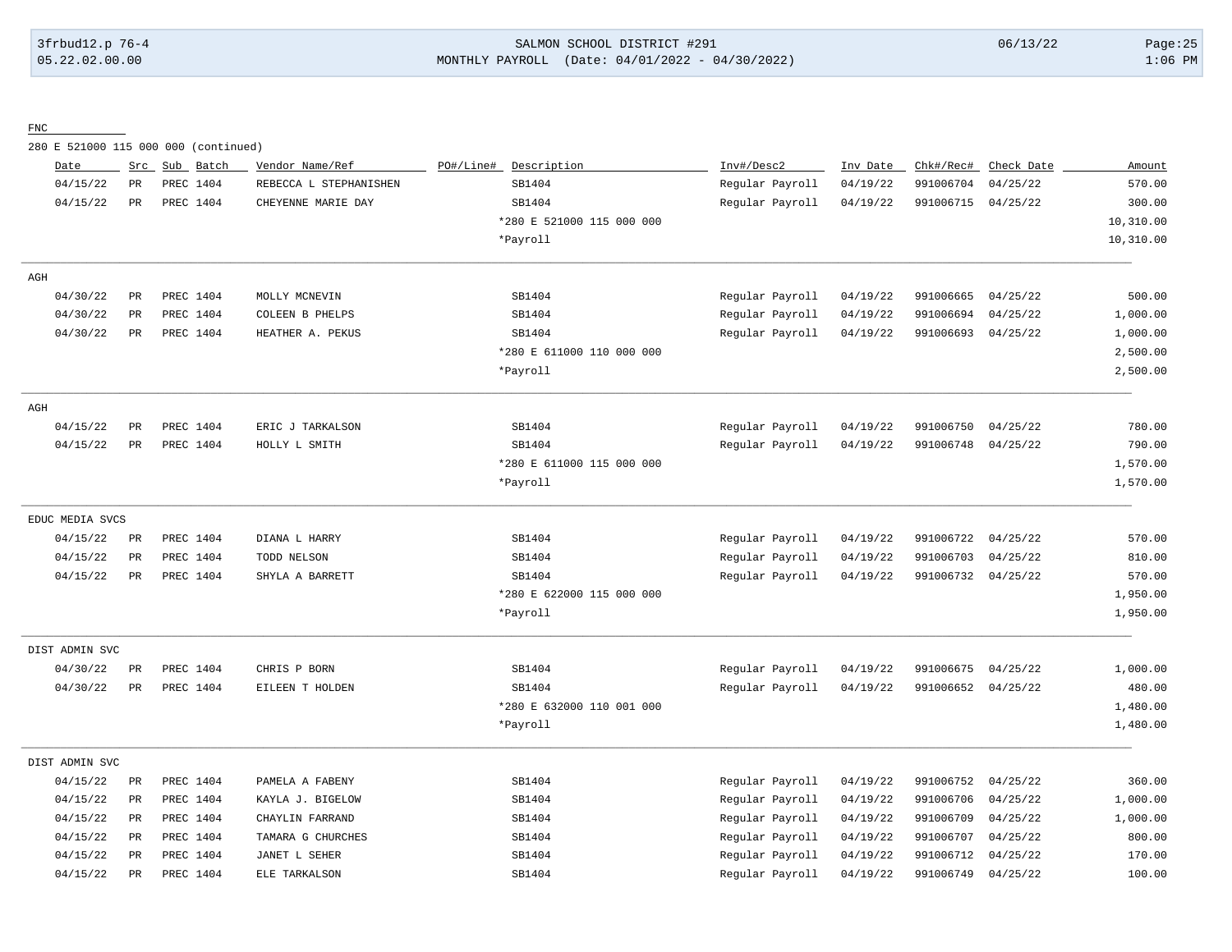# 3frbud12.p 76-4 SALMON SCHOOL DISTRICT #291 06/13/22 Page:25 05.22.02.00.00 MONTHLY PAYROLL (Date: 04/01/2022 - 04/30/2022) 1:06 PM

FNC

280 E 521000 115 000 000 (continued)

| Date            | Src         | Sub<br>Batch | Vendor Name/Ref        | PO#/Line# | Description               | Inv#/Desc2      | Inv Date | Chk#/Rec# | Check Date | Amount    |
|-----------------|-------------|--------------|------------------------|-----------|---------------------------|-----------------|----------|-----------|------------|-----------|
| 04/15/22        | $_{\rm PR}$ | PREC 1404    | REBECCA L STEPHANISHEN |           | SB1404                    | Regular Payroll | 04/19/22 | 991006704 | 04/25/22   | 570.00    |
| 04/15/22        | PR          | PREC 1404    | CHEYENNE MARIE DAY     |           | SB1404                    | Regular Payroll | 04/19/22 | 991006715 | 04/25/22   | 300.00    |
|                 |             |              |                        |           | *280 E 521000 115 000 000 |                 |          |           |            | 10,310.00 |
|                 |             |              |                        |           | *Payroll                  |                 |          |           |            | 10,310.00 |
| AGH             |             |              |                        |           |                           |                 |          |           |            |           |
| 04/30/22        | $_{\rm PR}$ | PREC 1404    | MOLLY MCNEVIN          |           | SB1404                    | Regular Payroll | 04/19/22 | 991006665 | 04/25/22   | 500.00    |
| 04/30/22        | PR          | PREC 1404    | COLEEN B PHELPS        |           | SB1404                    | Regular Payroll | 04/19/22 | 991006694 | 04/25/22   | 1,000.00  |
| 04/30/22        | $_{\rm PR}$ | PREC 1404    | HEATHER A. PEKUS       |           | SB1404                    | Regular Payroll | 04/19/22 | 991006693 | 04/25/22   | 1,000.00  |
|                 |             |              |                        |           | *280 E 611000 110 000 000 |                 |          |           |            | 2,500.00  |
|                 |             |              |                        |           | *Payroll                  |                 |          |           |            | 2,500.00  |
| AGH             |             |              |                        |           |                           |                 |          |           |            |           |
| 04/15/22        | PR          | PREC 1404    | ERIC J TARKALSON       |           | SB1404                    | Regular Payroll | 04/19/22 | 991006750 | 04/25/22   | 780.00    |
| 04/15/22        | $_{\rm PR}$ | PREC 1404    | HOLLY L SMITH          |           | SB1404                    | Regular Payroll | 04/19/22 | 991006748 | 04/25/22   | 790.00    |
|                 |             |              |                        |           | *280 E 611000 115 000 000 |                 |          |           |            | 1,570.00  |
|                 |             |              |                        |           | *Payroll                  |                 |          |           |            | 1,570.00  |
| EDUC MEDIA SVCS |             |              |                        |           |                           |                 |          |           |            |           |
| 04/15/22        | PR          | PREC 1404    | DIANA L HARRY          |           | SB1404                    | Regular Payroll | 04/19/22 | 991006722 | 04/25/22   | 570.00    |
| 04/15/22        | PR          | PREC 1404    | TODD NELSON            |           | SB1404                    | Regular Payroll | 04/19/22 | 991006703 | 04/25/22   | 810.00    |
| 04/15/22        | $_{\rm PR}$ | PREC 1404    | SHYLA A BARRETT        |           | SB1404                    | Regular Payroll | 04/19/22 | 991006732 | 04/25/22   | 570.00    |
|                 |             |              |                        |           | *280 E 622000 115 000 000 |                 |          |           |            | 1,950.00  |
|                 |             |              |                        |           | *Payroll                  |                 |          |           |            | 1,950.00  |
| DIST ADMIN SVC  |             |              |                        |           |                           |                 |          |           |            |           |
| 04/30/22        | PR          | PREC 1404    | CHRIS P BORN           |           | SB1404                    | Regular Payroll | 04/19/22 | 991006675 | 04/25/22   | 1,000.00  |
| 04/30/22        | $_{\rm PR}$ | PREC 1404    | EILEEN T HOLDEN        |           | SB1404                    | Regular Payroll | 04/19/22 | 991006652 | 04/25/22   | 480.00    |
|                 |             |              |                        |           | *280 E 632000 110 001 000 |                 |          |           |            | 1,480.00  |
|                 |             |              |                        |           | *Payroll                  |                 |          |           |            | 1,480.00  |
| DIST ADMIN SVC  |             |              |                        |           |                           |                 |          |           |            |           |
| 04/15/22        | $_{\rm PR}$ | PREC 1404    | PAMELA A FABENY        |           | SB1404                    | Regular Payroll | 04/19/22 | 991006752 | 04/25/22   | 360.00    |
| 04/15/22        | PR          | PREC 1404    | KAYLA J. BIGELOW       |           | SB1404                    | Regular Payroll | 04/19/22 | 991006706 | 04/25/22   | 1,000.00  |
| 04/15/22        | PR          | PREC 1404    | CHAYLIN FARRAND        |           | SB1404                    | Regular Payroll | 04/19/22 | 991006709 | 04/25/22   | 1,000.00  |
| 04/15/22        | $_{\rm PR}$ | PREC 1404    | TAMARA G CHURCHES      |           | SB1404                    | Regular Payroll | 04/19/22 | 991006707 | 04/25/22   | 800.00    |
| 04/15/22        | PR          | PREC 1404    | JANET L SEHER          |           | SB1404                    | Regular Payroll | 04/19/22 | 991006712 | 04/25/22   | 170.00    |
| 04/15/22        | PR          | PREC 1404    | ELE TARKALSON          |           | SB1404                    | Regular Payroll | 04/19/22 | 991006749 | 04/25/22   | 100.00    |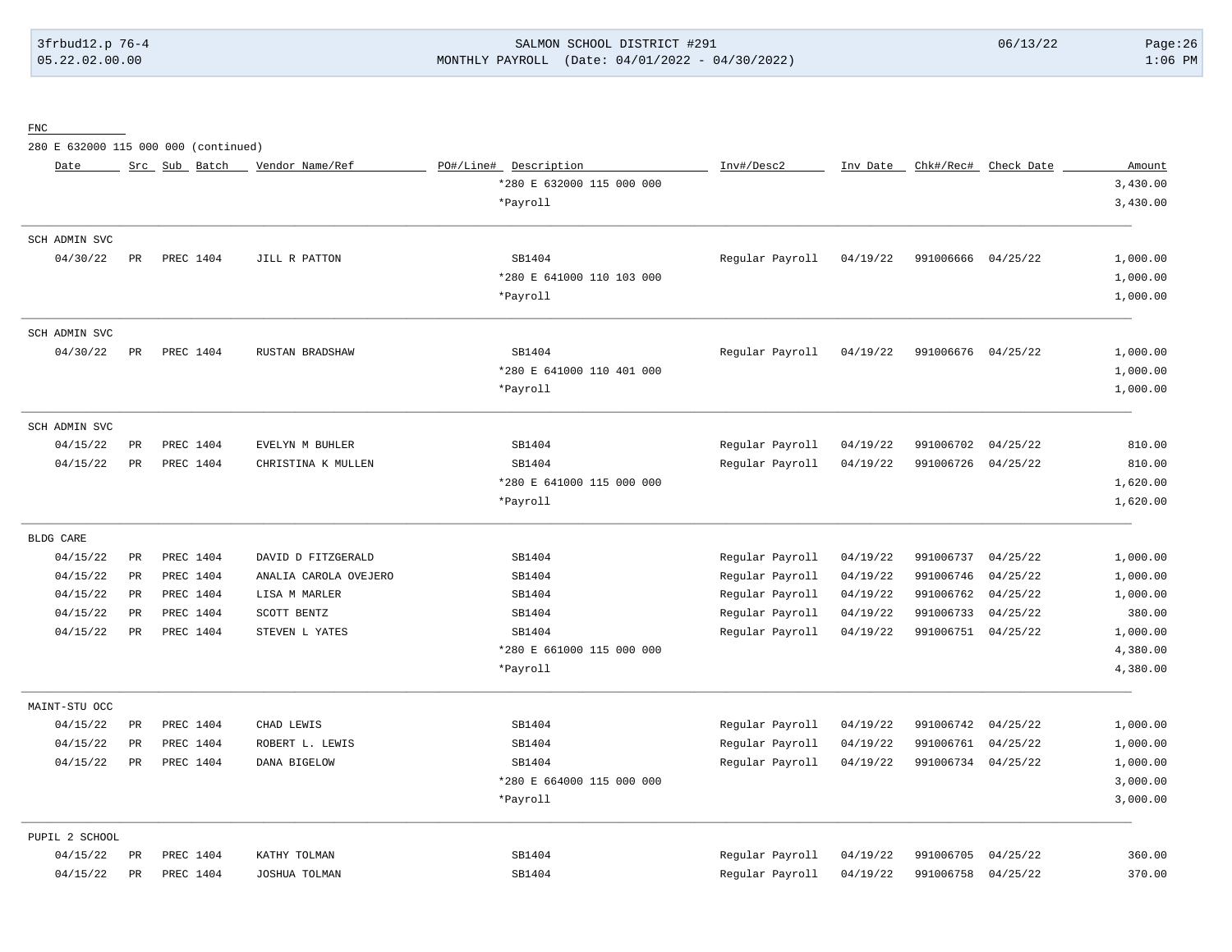# 3frbud12.p 76-4 SALMON SCHOOL DISTRICT #291 06/13/22 Page:26 05.22.02.00.00 MONTHLY PAYROLL (Date: 04/01/2022 - 04/30/2022) 1:06 PM

FNC

280 E 632000 115 000 000 (continued)

| Date           |             | Src Sub Batch | Vendor Name/Ref       | PO#/Line# Description     | Inv#/Desc2      | Inv Date |           | Chk#/Rec# Check Date | Amount   |
|----------------|-------------|---------------|-----------------------|---------------------------|-----------------|----------|-----------|----------------------|----------|
|                |             |               |                       | *280 E 632000 115 000 000 |                 |          |           |                      | 3,430.00 |
|                |             |               |                       | *Payroll                  |                 |          |           |                      | 3,430.00 |
| SCH ADMIN SVC  |             |               |                       |                           |                 |          |           |                      |          |
| 04/30/22       | PR          | PREC 1404     | JILL R PATTON         | SB1404                    | Regular Payroll | 04/19/22 | 991006666 | 04/25/22             | 1,000.00 |
|                |             |               |                       | *280 E 641000 110 103 000 |                 |          |           |                      | 1,000.00 |
|                |             |               |                       | *Payroll                  |                 |          |           |                      | 1,000.00 |
| SCH ADMIN SVC  |             |               |                       |                           |                 |          |           |                      |          |
| 04/30/22       | PR          | PREC 1404     | RUSTAN BRADSHAW       | SB1404                    | Regular Payroll | 04/19/22 | 991006676 | 04/25/22             | 1,000.00 |
|                |             |               |                       | *280 E 641000 110 401 000 |                 |          |           |                      | 1,000.00 |
|                |             |               |                       | *Payroll                  |                 |          |           |                      | 1,000.00 |
| SCH ADMIN SVC  |             |               |                       |                           |                 |          |           |                      |          |
| 04/15/22       | $_{\rm PR}$ | PREC 1404     | EVELYN M BUHLER       | SB1404                    | Regular Payroll | 04/19/22 | 991006702 | 04/25/22             | 810.00   |
| 04/15/22       | $_{\rm PR}$ | PREC 1404     | CHRISTINA K MULLEN    | SB1404                    | Regular Payroll | 04/19/22 | 991006726 | 04/25/22             | 810.00   |
|                |             |               |                       | *280 E 641000 115 000 000 |                 |          |           |                      | 1,620.00 |
|                |             |               |                       | *Payroll                  |                 |          |           |                      | 1,620.00 |
| BLDG CARE      |             |               |                       |                           |                 |          |           |                      |          |
| 04/15/22       | $_{\rm PR}$ | PREC 1404     | DAVID D FITZGERALD    | SB1404                    | Regular Payroll | 04/19/22 | 991006737 | 04/25/22             | 1,000.00 |
| 04/15/22       | $_{\rm PR}$ | PREC 1404     | ANALIA CAROLA OVEJERO | SB1404                    | Regular Payroll | 04/19/22 | 991006746 | 04/25/22             | 1,000.00 |
| 04/15/22       | PR          | PREC 1404     | LISA M MARLER         | SB1404                    | Regular Payroll | 04/19/22 | 991006762 | 04/25/22             | 1,000.00 |
| 04/15/22       | $_{\rm PR}$ | PREC 1404     | SCOTT BENTZ           | SB1404                    | Regular Payroll | 04/19/22 | 991006733 | 04/25/22             | 380.00   |
| 04/15/22       | PR          | PREC 1404     | STEVEN L YATES        | SB1404                    | Regular Payroll | 04/19/22 | 991006751 | 04/25/22             | 1,000.00 |
|                |             |               |                       | *280 E 661000 115 000 000 |                 |          |           |                      | 4,380.00 |
|                |             |               |                       | *Payroll                  |                 |          |           |                      | 4,380.00 |
| MAINT-STU OCC  |             |               |                       |                           |                 |          |           |                      |          |
| 04/15/22       | $_{\rm PR}$ | PREC 1404     | CHAD LEWIS            | SB1404                    | Regular Payroll | 04/19/22 | 991006742 | 04/25/22             | 1,000.00 |
| 04/15/22       | $_{\rm PR}$ | PREC 1404     | ROBERT L. LEWIS       | SB1404                    | Regular Payroll | 04/19/22 | 991006761 | 04/25/22             | 1,000.00 |
| 04/15/22       | PR          | PREC 1404     | DANA BIGELOW          | SB1404                    | Regular Payroll | 04/19/22 | 991006734 | 04/25/22             | 1,000.00 |
|                |             |               |                       | *280 E 664000 115 000 000 |                 |          |           |                      | 3,000.00 |
|                |             |               |                       | *Payroll                  |                 |          |           |                      | 3,000.00 |
| PUPIL 2 SCHOOL |             |               |                       |                           |                 |          |           |                      |          |
| 04/15/22       | PR          | PREC 1404     | KATHY TOLMAN          | SB1404                    | Regular Payroll | 04/19/22 | 991006705 | 04/25/22             | 360.00   |
| 04/15/22       | $_{\rm PR}$ | PREC 1404     | JOSHUA TOLMAN         | SB1404                    | Regular Payroll | 04/19/22 | 991006758 | 04/25/22             | 370.00   |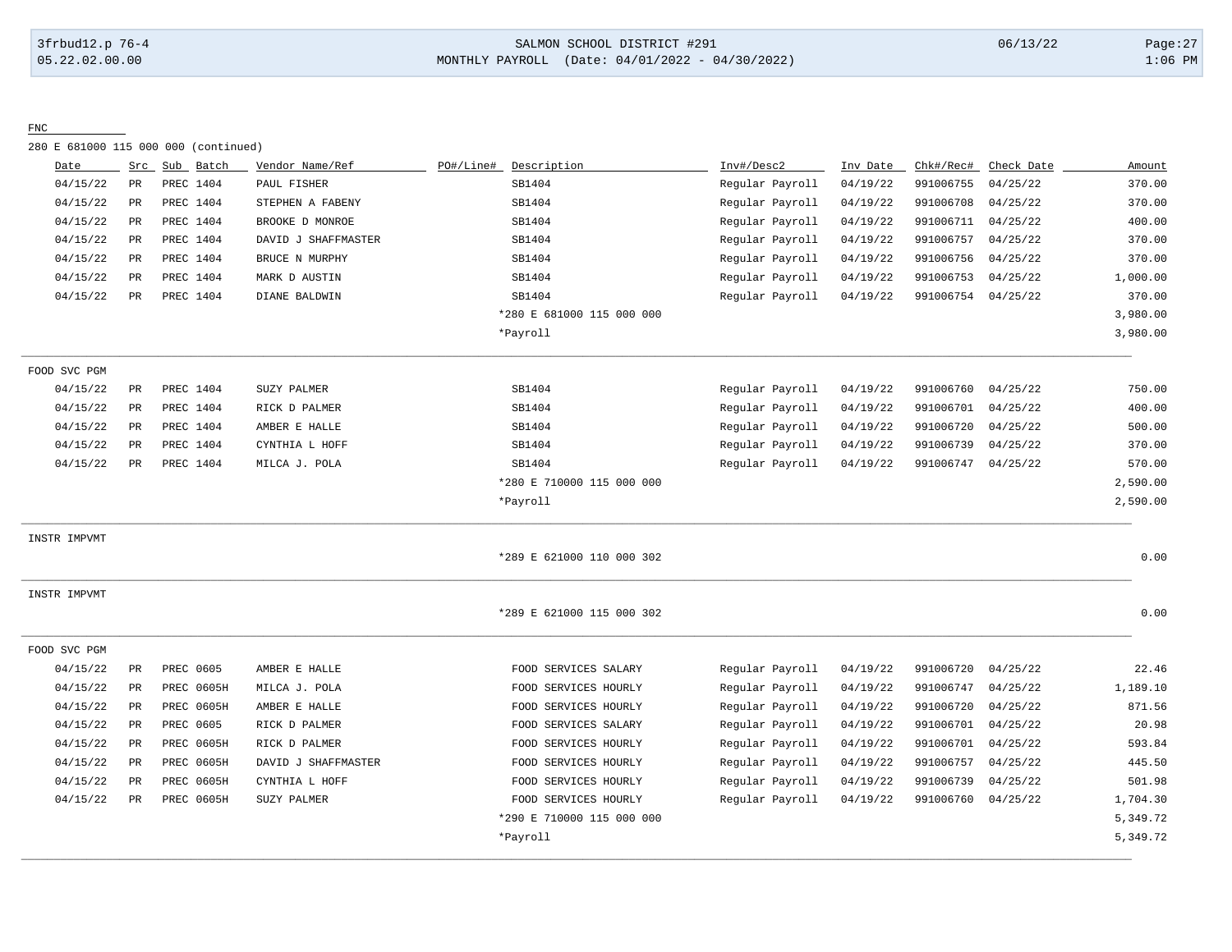#### 3frbud12.p 76-4 SALMON SCHOOL DISTRICT #291 06/13/22 Page:27 05.22.02.00.00 MONTHLY PAYROLL (Date: 04/01/2022 - 04/30/2022) 1:06 PM

#### FNC

280 E 681000 115 000 000 (continued)

| Date         | Src         | Sub Batch         | Vendor Name/Ref     | PO#/Line#<br>Description  | Inv#/Desc2      | Inv Date | Chk#/Rec# | Check Date | Amount   |
|--------------|-------------|-------------------|---------------------|---------------------------|-----------------|----------|-----------|------------|----------|
| 04/15/22     | $_{\rm PR}$ | PREC 1404         | PAUL FISHER         | SB1404                    | Regular Payroll | 04/19/22 | 991006755 | 04/25/22   | 370.00   |
| 04/15/22     | PR          | PREC 1404         | STEPHEN A FABENY    | SB1404                    | Regular Payroll | 04/19/22 | 991006708 | 04/25/22   | 370.00   |
| 04/15/22     | PR          | PREC 1404         | BROOKE D MONROE     | SB1404                    | Regular Payroll | 04/19/22 | 991006711 | 04/25/22   | 400.00   |
| 04/15/22     | PR          | PREC 1404         | DAVID J SHAFFMASTER | SB1404                    | Regular Payroll | 04/19/22 | 991006757 | 04/25/22   | 370.00   |
| 04/15/22     | PR          | PREC 1404         | BRUCE N MURPHY      | SB1404                    | Regular Payroll | 04/19/22 | 991006756 | 04/25/22   | 370.00   |
| 04/15/22     | PR          | PREC 1404         | MARK D AUSTIN       | SB1404                    | Regular Payroll | 04/19/22 | 991006753 | 04/25/22   | 1,000.00 |
| 04/15/22     | PR          | PREC 1404         | DIANE BALDWIN       | SB1404                    | Regular Payroll | 04/19/22 | 991006754 | 04/25/22   | 370.00   |
|              |             |                   |                     | *280 E 681000 115 000 000 |                 |          |           |            | 3,980.00 |
|              |             |                   |                     | *Payroll                  |                 |          |           |            | 3,980.00 |
| FOOD SVC PGM |             |                   |                     |                           |                 |          |           |            |          |
| 04/15/22     | PR          | PREC 1404         | SUZY PALMER         | SB1404                    | Regular Payroll | 04/19/22 | 991006760 | 04/25/22   | 750.00   |
| 04/15/22     | PR          | PREC 1404         | RICK D PALMER       | SB1404                    | Regular Payroll | 04/19/22 | 991006701 | 04/25/22   | 400.00   |
| 04/15/22     | PR          | PREC 1404         | AMBER E HALLE       | SB1404                    | Regular Payroll | 04/19/22 | 991006720 | 04/25/22   | 500.00   |
| 04/15/22     | PR          | PREC 1404         | CYNTHIA L HOFF      | SB1404                    | Regular Payroll | 04/19/22 | 991006739 | 04/25/22   | 370.00   |
| 04/15/22     | PR          | PREC 1404         | MILCA J. POLA       | SB1404                    | Regular Payroll | 04/19/22 | 991006747 | 04/25/22   | 570.00   |
|              |             |                   |                     | *280 E 710000 115 000 000 |                 |          |           |            | 2,590.00 |
|              |             |                   |                     | *Payroll                  |                 |          |           |            | 2,590.00 |
| INSTR IMPVMT |             |                   |                     |                           |                 |          |           |            |          |
|              |             |                   |                     | *289 E 621000 110 000 302 |                 |          |           |            | 0.00     |
| INSTR IMPVMT |             |                   |                     |                           |                 |          |           |            |          |
|              |             |                   |                     | *289 E 621000 115 000 302 |                 |          |           |            | 0.00     |
| FOOD SVC PGM |             |                   |                     |                           |                 |          |           |            |          |
| 04/15/22     | PR          | PREC 0605         | AMBER E HALLE       | FOOD SERVICES SALARY      | Regular Payroll | 04/19/22 | 991006720 | 04/25/22   | 22.46    |
| 04/15/22     | $_{\rm PR}$ | PREC 0605H        | MILCA J. POLA       | FOOD SERVICES HOURLY      | Regular Payroll | 04/19/22 | 991006747 | 04/25/22   | 1,189.10 |
| 04/15/22     | $_{\rm PR}$ | PREC 0605H        | AMBER E HALLE       | FOOD SERVICES HOURLY      | Regular Payroll | 04/19/22 | 991006720 | 04/25/22   | 871.56   |
| 04/15/22     | PR          | PREC 0605         | RICK D PALMER       | FOOD SERVICES SALARY      | Regular Payroll | 04/19/22 | 991006701 | 04/25/22   | 20.98    |
| 04/15/22     | $_{\rm PR}$ | PREC 0605H        | RICK D PALMER       | FOOD SERVICES HOURLY      | Regular Payroll | 04/19/22 | 991006701 | 04/25/22   | 593.84   |
| 04/15/22     | PR          | <b>PREC 0605H</b> | DAVID J SHAFFMASTER | FOOD SERVICES HOURLY      | Regular Payroll | 04/19/22 | 991006757 | 04/25/22   | 445.50   |
| 04/15/22     | PR          | PREC 0605H        | CYNTHIA L HOFF      | FOOD SERVICES HOURLY      | Regular Payroll | 04/19/22 | 991006739 | 04/25/22   | 501.98   |
| 04/15/22     | PR          | PREC 0605H        | SUZY PALMER         | FOOD SERVICES HOURLY      | Regular Payroll | 04/19/22 | 991006760 | 04/25/22   | 1,704.30 |
|              |             |                   |                     | *290 E 710000 115 000 000 |                 |          |           |            | 5,349.72 |
|              |             |                   |                     | *Payroll                  |                 |          |           |            | 5,349.72 |